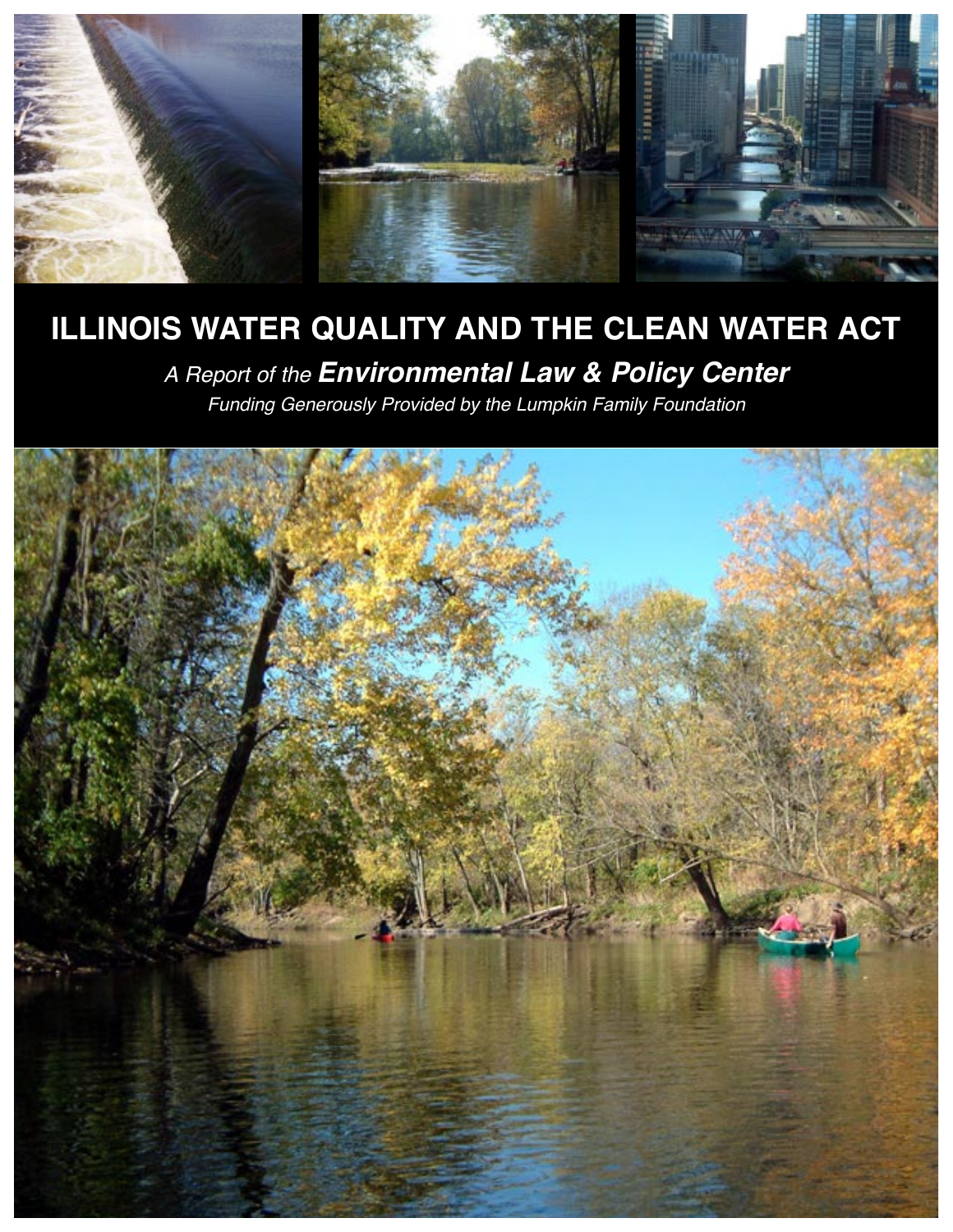

# **ILLINOIS WATER QUALITY AND THE CLEAN WATER ACT**

*A Report of the Environmental Law & Policy Center*

*Funding Generously Provided by the Lumpkin Family Foundation*

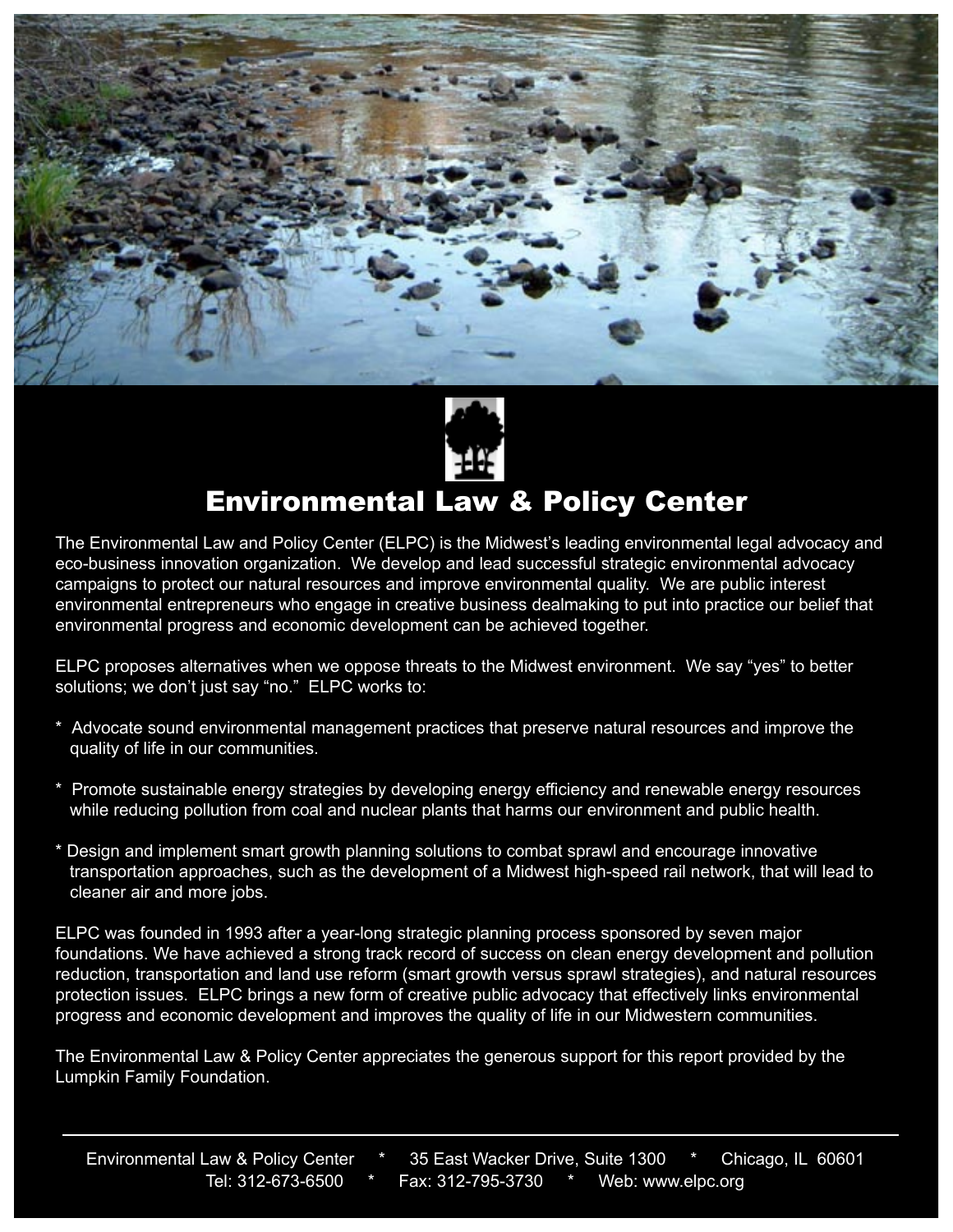



## Environmental Law & Policy Center

The Environmental Law and Policy Center (ELPC) is the Midwest's leading environmental legal advocacy and eco-business innovation organization. We develop and lead successful strategic environmental advocacy campaigns to protect our natural resources and improve environmental quality. We are public interest environmental entrepreneurs who engage in creative business dealmaking to put into practice our belief that environmental progress and economic development can be achieved together.

ELPC proposes alternatives when we oppose threats to the Midwest environment. We say "yes" to better solutions; we don't just say "no." ELPC works to:

- \* Advocate sound environmental management practices that preserve natural resources and improve the quality of life in our communities.
- \* Promote sustainable energy strategies by developing energy efficiency and renewable energy resources while reducing pollution from coal and nuclear plants that harms our environment and public health.
- \* Design and implement smart growth planning solutions to combat sprawl and encourage innovative transportation approaches, such as the development of a Midwest high-speed rail network, that will lead to cleaner air and more jobs.

ELPC was founded in 1993 after a year-long strategic planning process sponsored by seven major foundations. We have achieved a strong track record of success on clean energy development and pollution reduction, transportation and land use reform (smart growth versus sprawl strategies), and natural resources protection issues. ELPC brings a new form of creative public advocacy that effectively links environmental progress and economic development and improves the quality of life in our Midwestern communities.

The Environmental Law & Policy Center appreciates the generous support for this report provided by the Lumpkin Family Foundation.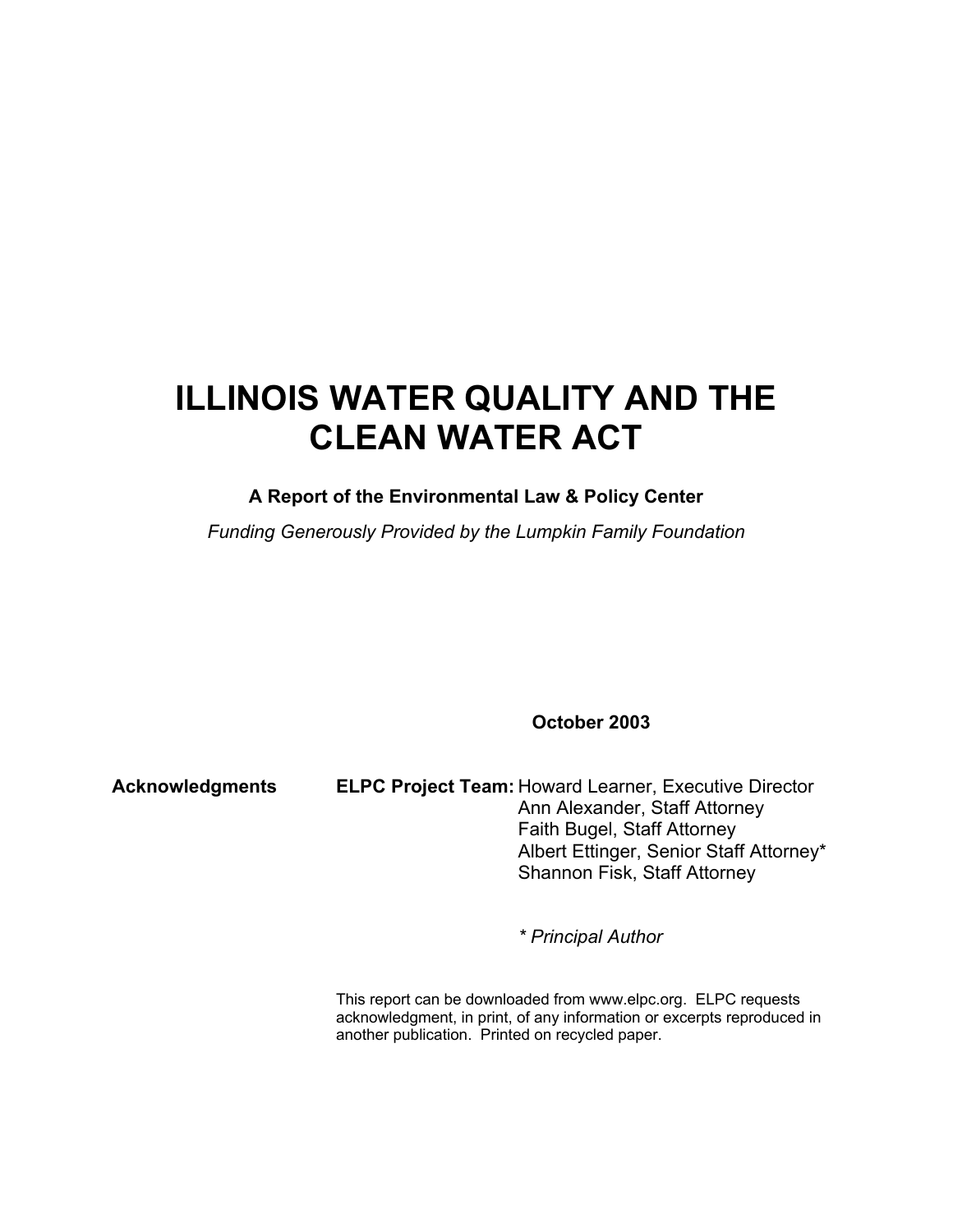## **ILLINOIS WATER QUALITY AND THE CLEAN WATER ACT**

### **A Report of the Environmental Law & Policy Center**

*Funding Generously Provided by the Lumpkin Family Foundation*

**October 2003**

**Acknowledgments ELPC Project Team:** Howard Learner, Executive Director Ann Alexander, Staff Attorney Faith Bugel, Staff Attorney Albert Ettinger, Senior Staff Attorney\* Shannon Fisk, Staff Attorney

*\* Principal Author*

This report can be downloaded from www.elpc.org. ELPC requests acknowledgment, in print, of any information or excerpts reproduced in another publication. Printed on recycled paper.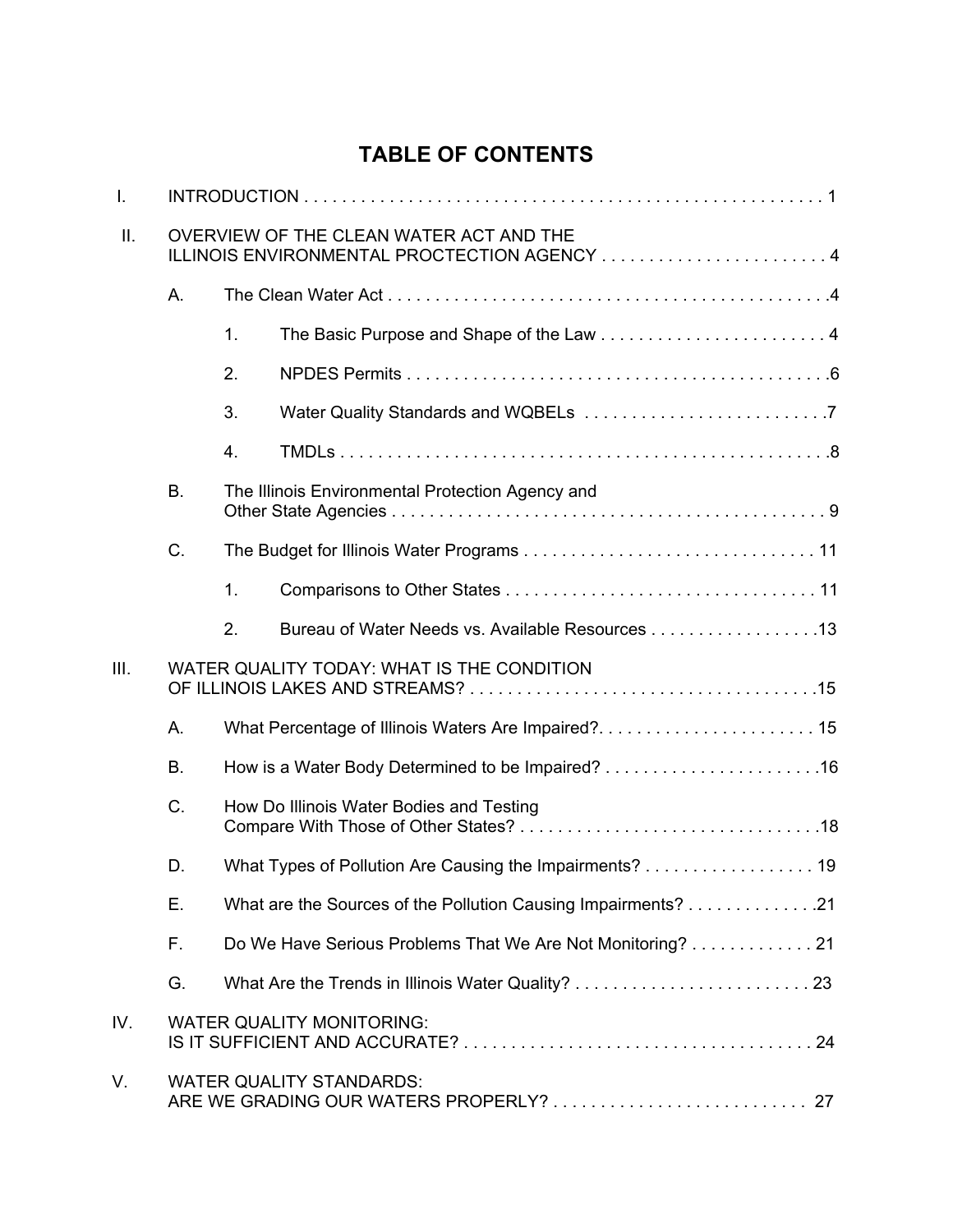### **TABLE OF CONTENTS**

| $\mathsf{L}$ |                                            |                                          |                                                                                         |  |  |
|--------------|--------------------------------------------|------------------------------------------|-----------------------------------------------------------------------------------------|--|--|
| ΙΙ.          |                                            |                                          | OVERVIEW OF THE CLEAN WATER ACT AND THE<br>ILLINOIS ENVIRONMENTAL PROCTECTION AGENCY  4 |  |  |
|              | А.                                         |                                          |                                                                                         |  |  |
|              |                                            | 1.                                       |                                                                                         |  |  |
|              |                                            | 2.                                       |                                                                                         |  |  |
|              |                                            | 3.                                       |                                                                                         |  |  |
|              |                                            | 4.                                       |                                                                                         |  |  |
|              | <b>B.</b>                                  |                                          | The Illinois Environmental Protection Agency and                                        |  |  |
|              | C.                                         |                                          |                                                                                         |  |  |
|              |                                            | 1.                                       |                                                                                         |  |  |
|              |                                            | 2.                                       | Bureau of Water Needs vs. Available Resources 13                                        |  |  |
| III.         | WATER QUALITY TODAY: WHAT IS THE CONDITION |                                          |                                                                                         |  |  |
|              | A.                                         |                                          |                                                                                         |  |  |
|              | <b>B.</b>                                  |                                          |                                                                                         |  |  |
|              | C.                                         | How Do Illinois Water Bodies and Testing |                                                                                         |  |  |
|              | D.                                         |                                          | What Types of Pollution Are Causing the Impairments? 19                                 |  |  |
|              | Е.                                         |                                          |                                                                                         |  |  |
|              | F.                                         |                                          | Do We Have Serious Problems That We Are Not Monitoring? 21                              |  |  |
|              | G.                                         |                                          |                                                                                         |  |  |
| IV.          |                                            |                                          | <b>WATER QUALITY MONITORING:</b>                                                        |  |  |
| V.           |                                            |                                          | <b>WATER QUALITY STANDARDS:</b>                                                         |  |  |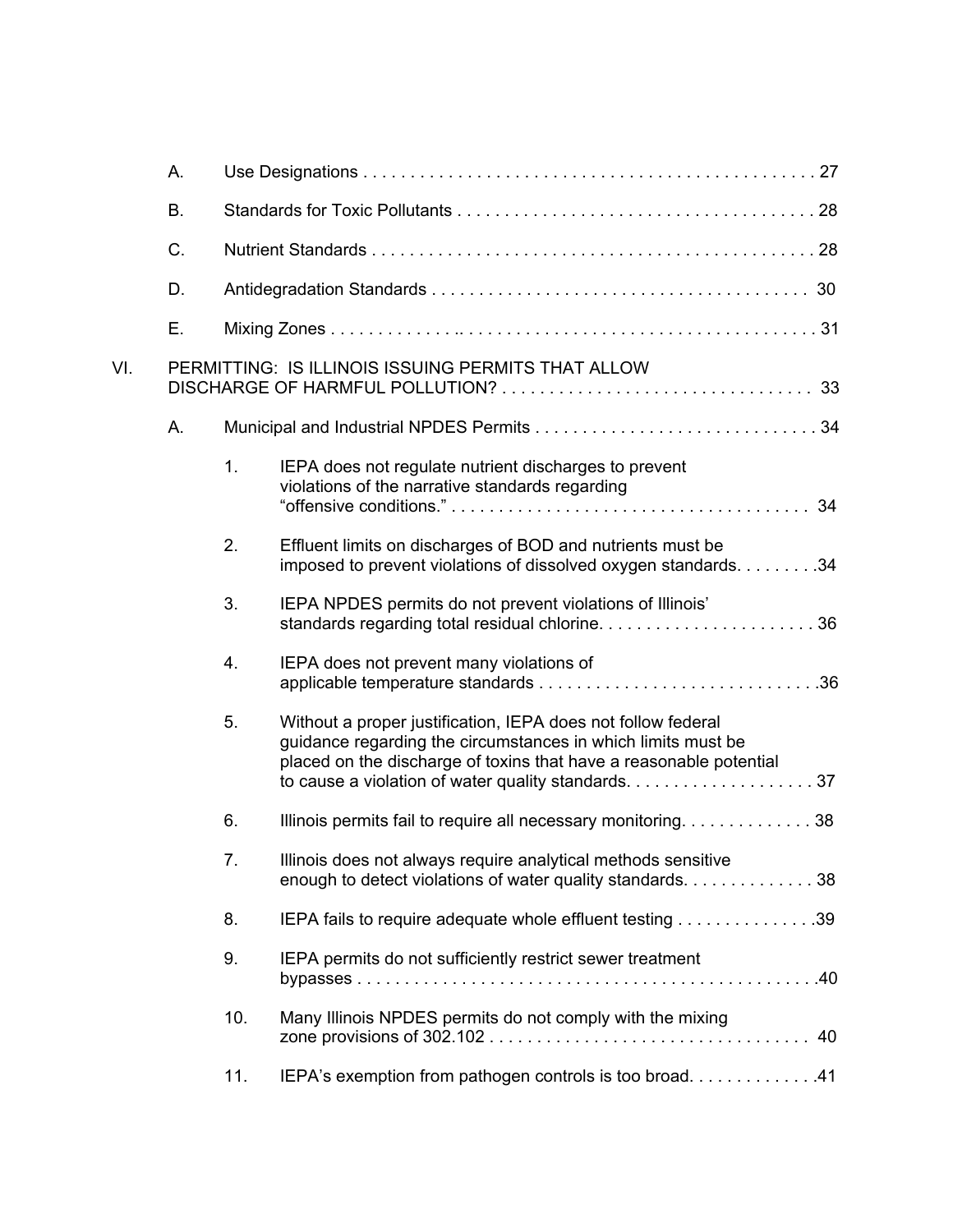|     | Α. |     |                                                                                                                                                                                                    |    |
|-----|----|-----|----------------------------------------------------------------------------------------------------------------------------------------------------------------------------------------------------|----|
|     | B. |     |                                                                                                                                                                                                    |    |
|     | C. |     |                                                                                                                                                                                                    |    |
|     | D. |     |                                                                                                                                                                                                    |    |
|     | Ε. |     |                                                                                                                                                                                                    |    |
| VI. |    |     | PERMITTING: IS ILLINOIS ISSUING PERMITS THAT ALLOW                                                                                                                                                 |    |
|     | А. |     |                                                                                                                                                                                                    |    |
|     |    | 1.  | IEPA does not regulate nutrient discharges to prevent<br>violations of the narrative standards regarding                                                                                           |    |
|     |    | 2.  | Effluent limits on discharges of BOD and nutrients must be<br>imposed to prevent violations of dissolved oxygen standards. 34                                                                      |    |
|     |    | 3.  | IEPA NPDES permits do not prevent violations of Illinois'                                                                                                                                          |    |
|     |    | 4.  | IEPA does not prevent many violations of                                                                                                                                                           |    |
|     |    | 5.  | Without a proper justification, IEPA does not follow federal<br>guidance regarding the circumstances in which limits must be<br>placed on the discharge of toxins that have a reasonable potential |    |
|     |    | 6.  | Illinois permits fail to require all necessary monitoring38                                                                                                                                        |    |
|     |    | 7.  | Illinois does not always require analytical methods sensitive<br>enough to detect violations of water quality standards. 38                                                                        |    |
|     |    | 8.  |                                                                                                                                                                                                    |    |
|     |    | 9.  | IEPA permits do not sufficiently restrict sewer treatment                                                                                                                                          |    |
|     |    | 10. | Many Illinois NPDES permits do not comply with the mixing                                                                                                                                          | 40 |
|     |    | 11. | IEPA's exemption from pathogen controls is too broad41                                                                                                                                             |    |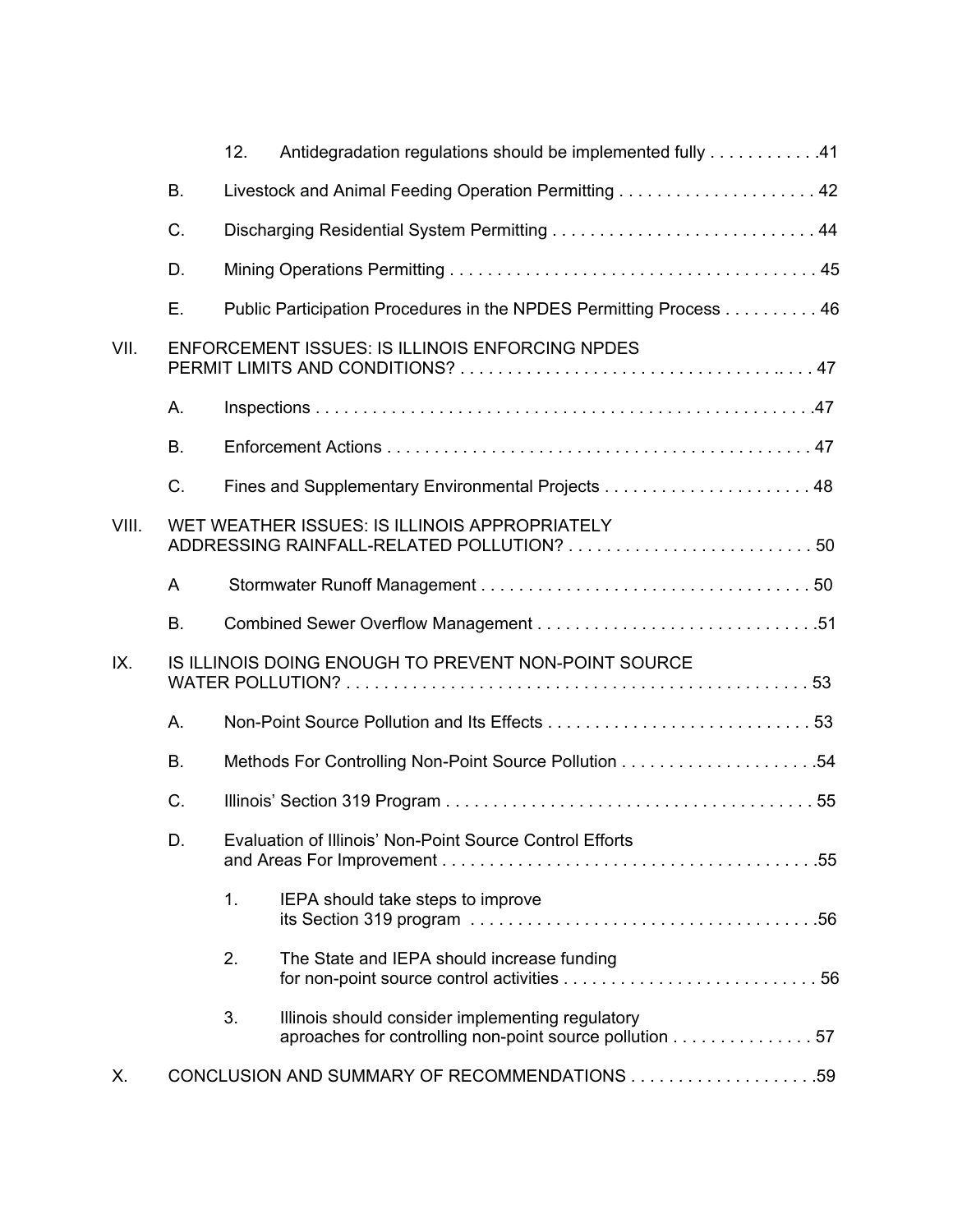|       |           | 12. | Antidegradation regulations should be implemented fully 41                                                                                                |  |
|-------|-----------|-----|-----------------------------------------------------------------------------------------------------------------------------------------------------------|--|
|       | <b>B.</b> |     | Livestock and Animal Feeding Operation Permitting  42                                                                                                     |  |
|       | C.        |     |                                                                                                                                                           |  |
|       | D.        |     |                                                                                                                                                           |  |
|       | Ε.        |     | Public Participation Procedures in the NPDES Permitting Process 46                                                                                        |  |
| VII.  |           |     | <b>ENFORCEMENT ISSUES: IS ILLINOIS ENFORCING NPDES</b>                                                                                                    |  |
|       | А.        |     |                                                                                                                                                           |  |
|       | <b>B.</b> |     |                                                                                                                                                           |  |
|       | C.        |     |                                                                                                                                                           |  |
| VIII. |           |     | WET WEATHER ISSUES: IS ILLINOIS APPROPRIATELY                                                                                                             |  |
|       | A         |     |                                                                                                                                                           |  |
|       | <b>B.</b> |     |                                                                                                                                                           |  |
| IX.   |           |     | IS ILLINOIS DOING ENOUGH TO PREVENT NON-POINT SOURCE                                                                                                      |  |
|       | Α.        |     |                                                                                                                                                           |  |
|       | <b>B.</b> |     |                                                                                                                                                           |  |
|       | C.        |     |                                                                                                                                                           |  |
|       | D.        |     | Evaluation of Illinois' Non-Point Source Control Efforts                                                                                                  |  |
|       |           | 1.  | IEPA should take steps to improve<br>its Section 319 program $\ldots \ldots \ldots \ldots \ldots \ldots \ldots \ldots \ldots \ldots \ldots \ldots \ldots$ |  |
|       |           | 2.  | The State and IEPA should increase funding                                                                                                                |  |
|       |           | 3.  | Illinois should consider implementing regulatory<br>aproaches for controlling non-point source pollution 57                                               |  |
| Х.    |           |     |                                                                                                                                                           |  |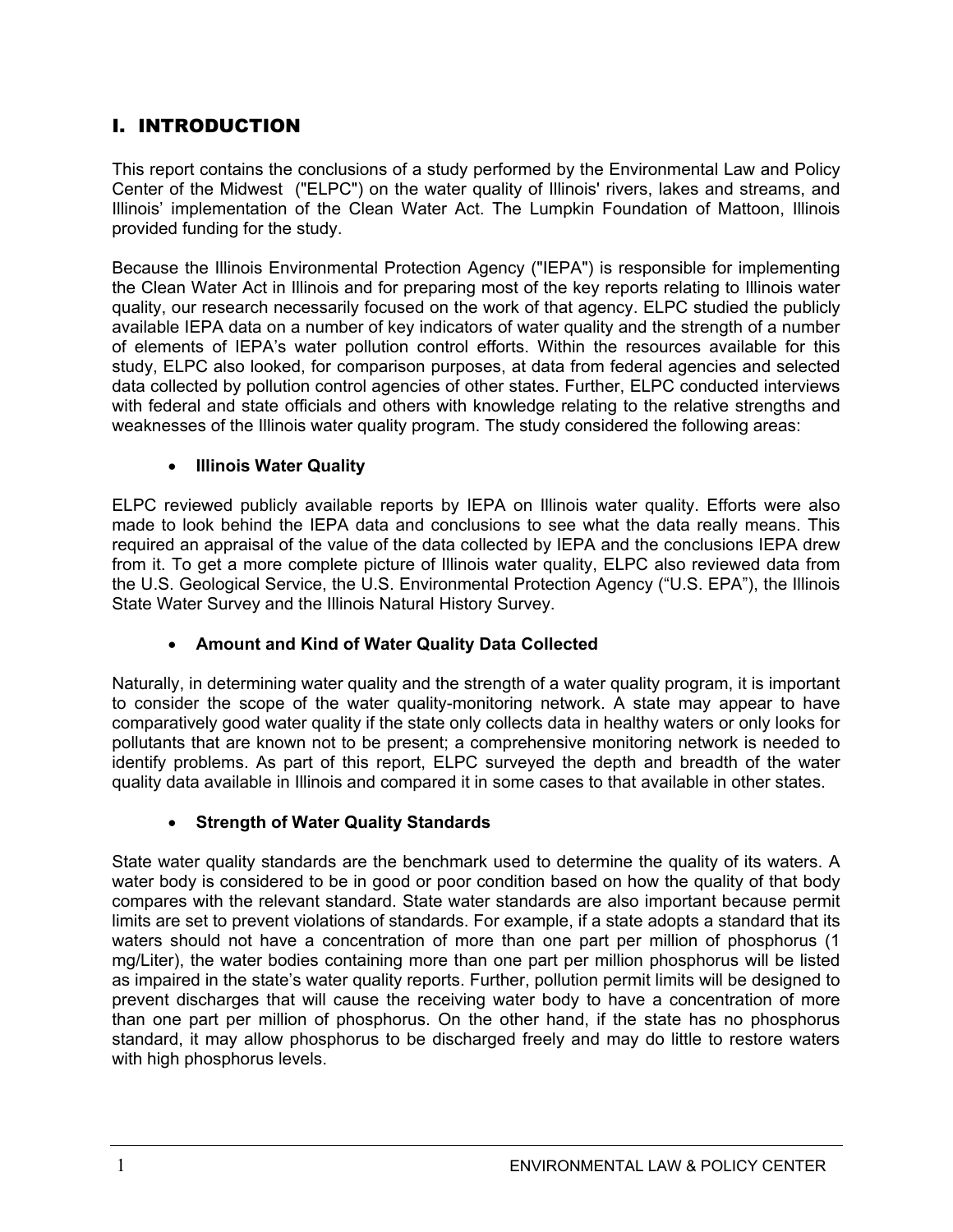### I. INTRODUCTION

This report contains the conclusions of a study performed by the Environmental Law and Policy Center of the Midwest ("ELPC") on the water quality of Illinois' rivers, lakes and streams, and Illinois' implementation of the Clean Water Act. The Lumpkin Foundation of Mattoon, Illinois provided funding for the study.

Because the Illinois Environmental Protection Agency ("IEPA") is responsible for implementing the Clean Water Act in Illinois and for preparing most of the key reports relating to Illinois water quality, our research necessarily focused on the work of that agency. ELPC studied the publicly available IEPA data on a number of key indicators of water quality and the strength of a number of elements of IEPA's water pollution control efforts. Within the resources available for this study, ELPC also looked, for comparison purposes, at data from federal agencies and selected data collected by pollution control agencies of other states. Further, ELPC conducted interviews with federal and state officials and others with knowledge relating to the relative strengths and weaknesses of the Illinois water quality program. The study considered the following areas:

### x **Illinois Water Quality**

ELPC reviewed publicly available reports by IEPA on Illinois water quality. Efforts were also made to look behind the IEPA data and conclusions to see what the data really means. This required an appraisal of the value of the data collected by IEPA and the conclusions IEPA drew from it. To get a more complete picture of Illinois water quality, ELPC also reviewed data from the U.S. Geological Service, the U.S. Environmental Protection Agency ("U.S. EPA"), the Illinois State Water Survey and the Illinois Natural History Survey.

### x **Amount and Kind of Water Quality Data Collected**

Naturally, in determining water quality and the strength of a water quality program, it is important to consider the scope of the water quality-monitoring network. A state may appear to have comparatively good water quality if the state only collects data in healthy waters or only looks for pollutants that are known not to be present; a comprehensive monitoring network is needed to identify problems. As part of this report, ELPC surveyed the depth and breadth of the water quality data available in Illinois and compared it in some cases to that available in other states.

### **• Strength of Water Quality Standards**

State water quality standards are the benchmark used to determine the quality of its waters. A water body is considered to be in good or poor condition based on how the quality of that body compares with the relevant standard. State water standards are also important because permit limits are set to prevent violations of standards. For example, if a state adopts a standard that its waters should not have a concentration of more than one part per million of phosphorus (1 mg/Liter), the water bodies containing more than one part per million phosphorus will be listed as impaired in the state's water quality reports. Further, pollution permit limits will be designed to prevent discharges that will cause the receiving water body to have a concentration of more than one part per million of phosphorus. On the other hand, if the state has no phosphorus standard, it may allow phosphorus to be discharged freely and may do little to restore waters with high phosphorus levels.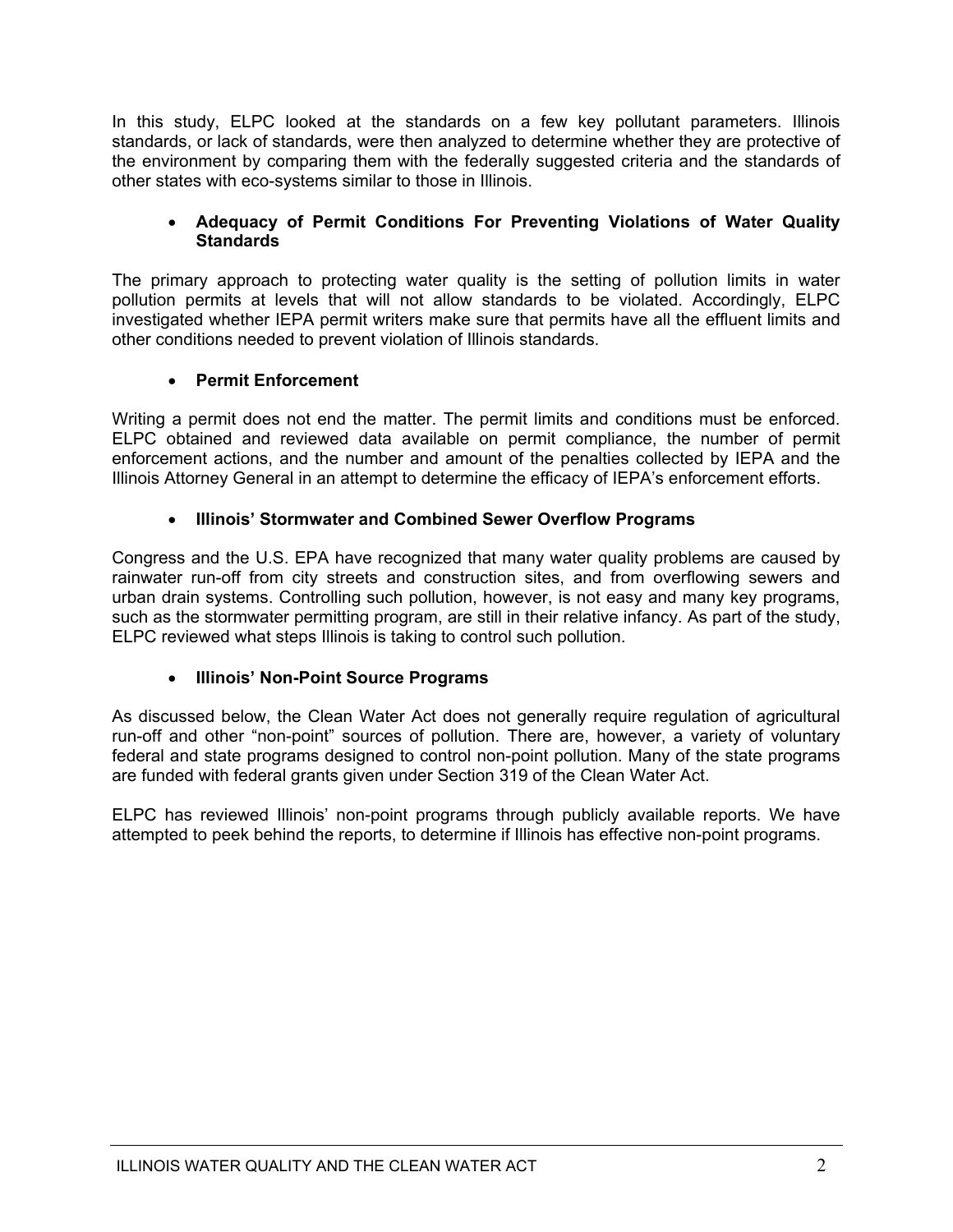In this study, ELPC looked at the standards on a few key pollutant parameters. Illinois standards, or lack of standards, were then analyzed to determine whether they are protective of the environment by comparing them with the federally suggested criteria and the standards of other states with eco-systems similar to those in Illinois.

#### x **Adequacy of Permit Conditions For Preventing Violations of Water Quality Standards**

The primary approach to protecting water quality is the setting of pollution limits in water pollution permits at levels that will not allow standards to be violated. Accordingly, ELPC investigated whether IEPA permit writers make sure that permits have all the effluent limits and other conditions needed to prevent violation of Illinois standards.

#### x **Permit Enforcement**

Writing a permit does not end the matter. The permit limits and conditions must be enforced. ELPC obtained and reviewed data available on permit compliance, the number of permit enforcement actions, and the number and amount of the penalties collected by IEPA and the Illinois Attorney General in an attempt to determine the efficacy of IEPA's enforcement efforts.

#### **• Illinois' Stormwater and Combined Sewer Overflow Programs**

Congress and the U.S. EPA have recognized that many water quality problems are caused by rainwater run-off from city streets and construction sites, and from overflowing sewers and urban drain systems. Controlling such pollution, however, is not easy and many key programs, such as the stormwater permitting program, are still in their relative infancy. As part of the study, ELPC reviewed what steps Illinois is taking to control such pollution.

### x **Illinois' Non-Point Source Programs**

As discussed below, the Clean Water Act does not generally require regulation of agricultural run-off and other "non-point" sources of pollution. There are, however, a variety of voluntary federal and state programs designed to control non-point pollution. Many of the state programs are funded with federal grants given under Section 319 of the Clean Water Act.

ELPC has reviewed Illinois' non-point programs through publicly available reports. We have attempted to peek behind the reports, to determine if Illinois has effective non-point programs.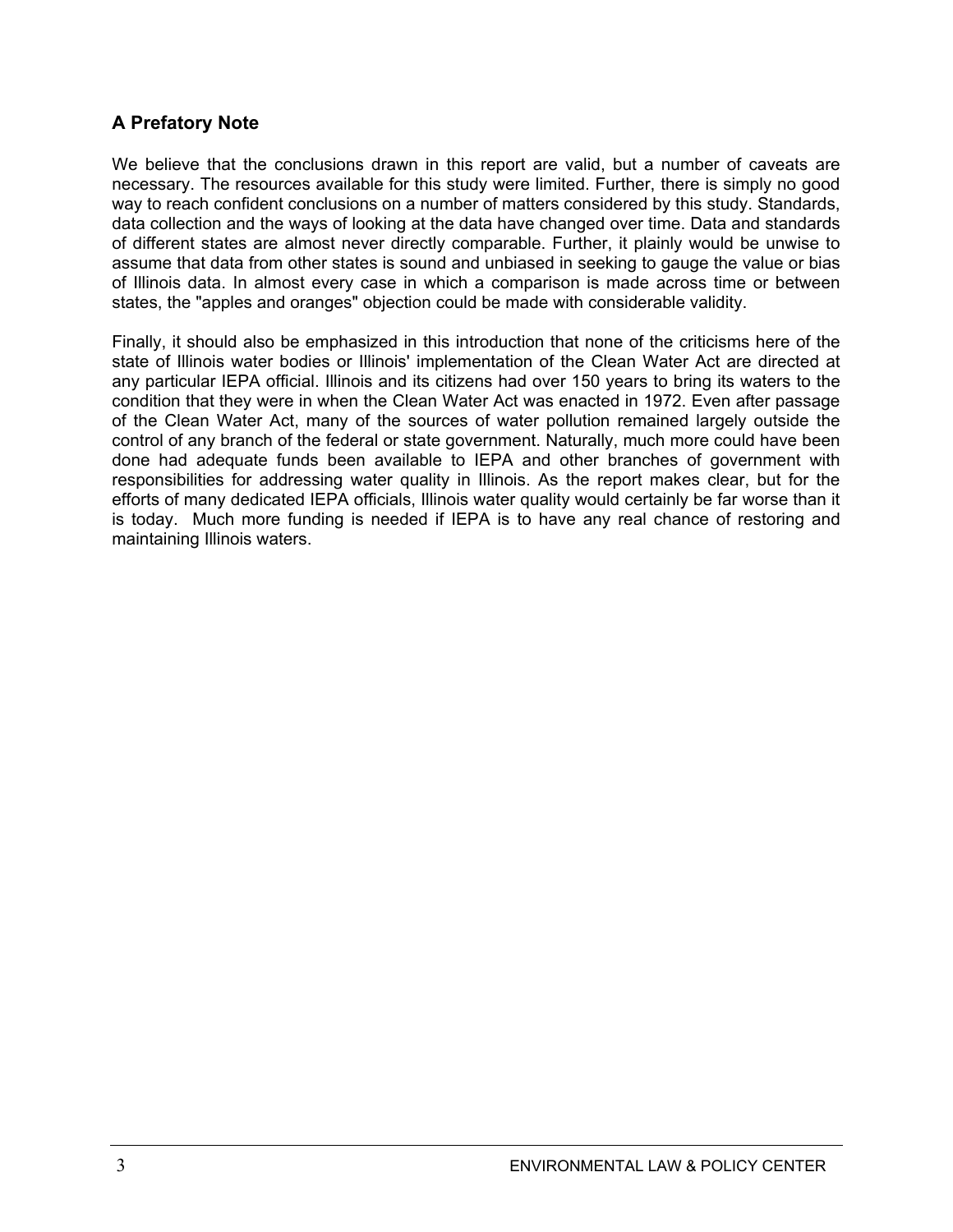### **A Prefatory Note**

We believe that the conclusions drawn in this report are valid, but a number of caveats are necessary. The resources available for this study were limited. Further, there is simply no good way to reach confident conclusions on a number of matters considered by this study. Standards, data collection and the ways of looking at the data have changed over time. Data and standards of different states are almost never directly comparable. Further, it plainly would be unwise to assume that data from other states is sound and unbiased in seeking to gauge the value or bias of Illinois data. In almost every case in which a comparison is made across time or between states, the "apples and oranges" objection could be made with considerable validity.

Finally, it should also be emphasized in this introduction that none of the criticisms here of the state of Illinois water bodies or Illinois' implementation of the Clean Water Act are directed at any particular IEPA official. Illinois and its citizens had over 150 years to bring its waters to the condition that they were in when the Clean Water Act was enacted in 1972. Even after passage of the Clean Water Act, many of the sources of water pollution remained largely outside the control of any branch of the federal or state government. Naturally, much more could have been done had adequate funds been available to IEPA and other branches of government with responsibilities for addressing water quality in Illinois. As the report makes clear, but for the efforts of many dedicated IEPA officials, Illinois water quality would certainly be far worse than it is today. Much more funding is needed if IEPA is to have any real chance of restoring and maintaining Illinois waters.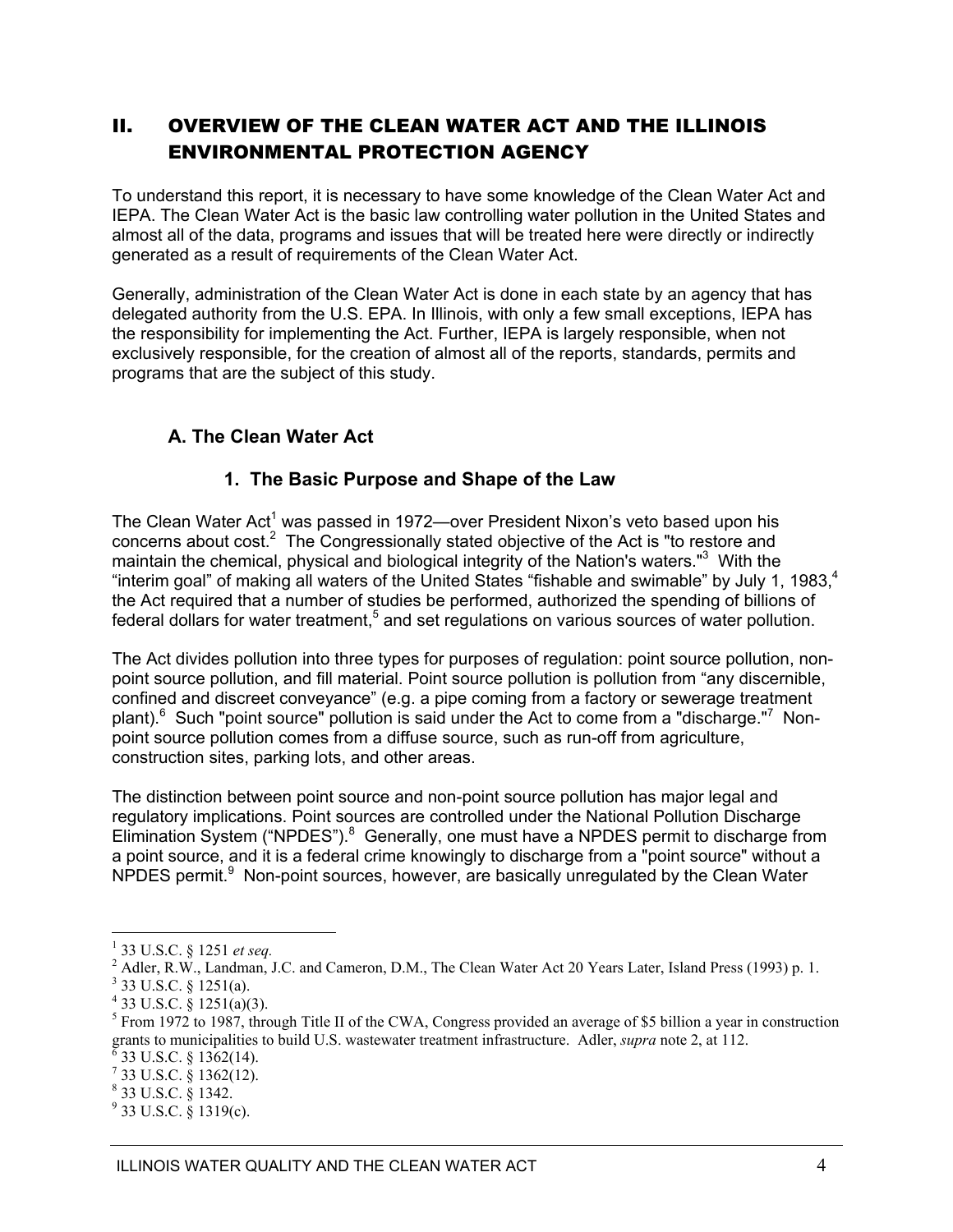### II. OVERVIEW OF THE CLEAN WATER ACT AND THE ILLINOIS ENVIRONMENTAL PROTECTION AGENCY

To understand this report, it is necessary to have some knowledge of the Clean Water Act and IEPA. The Clean Water Act is the basic law controlling water pollution in the United States and almost all of the data, programs and issues that will be treated here were directly or indirectly generated as a result of requirements of the Clean Water Act.

Generally, administration of the Clean Water Act is done in each state by an agency that has delegated authority from the U.S. EPA. In Illinois, with only a few small exceptions, IEPA has the responsibility for implementing the Act. Further, IEPA is largely responsible, when not exclusively responsible, for the creation of almost all of the reports, standards, permits and programs that are the subject of this study.

### **A. The Clean Water Act**

### **1. The Basic Purpose and Shape of the Law**

The Clean Water Act<sup>1</sup> was passed in 1972—over President Nixon's veto based upon his concerns about  $cost^2$  The Congressionally stated objective of the Act is "to restore and maintain the chemical, physical and biological integrity of the Nation's waters."<sup>3</sup> With the "interim goal" of making all waters of the United States "fishable and swimable" by July 1, 1983, $4$ the Act required that a number of studies be performed, authorized the spending of billions of federal dollars for water treatment,<sup>5</sup> and set regulations on various sources of water pollution.

The Act divides pollution into three types for purposes of regulation: point source pollution, nonpoint source pollution, and fill material. Point source pollution is pollution from "any discernible, confined and discreet conveyance" (e.g. a pipe coming from a factory or sewerage treatment plant).<sup>6</sup> Such "point source" pollution is said under the Act to come from a "discharge."<sup>7</sup> Nonpoint source pollution comes from a diffuse source, such as run-off from agriculture, construction sites, parking lots, and other areas.

The distinction between point source and non-point source pollution has major legal and regulatory implications. Point sources are controlled under the National Pollution Discharge Elimination System ("NPDES").<sup>8</sup> Generally, one must have a NPDES permit to discharge from a point source, and it is a federal crime knowingly to discharge from a "point source" without a NPDES permit.<sup>9</sup> Non-point sources, however, are basically unregulated by the Clean Water

<sup>1</sup> 33 U.S.C. § 1251 *et seq.* <sup>2</sup>

<sup>&</sup>lt;sup>2</sup> Adler, R.W., Landman, J.C. and Cameron, D.M., The Clean Water Act 20 Years Later, Island Press (1993) p. 1.

 $3$  33 U.S.C. § 1251(a).

 $4$  33 U.S.C. § 1251(a)(3).

<sup>&</sup>lt;sup>5</sup> From 1972 to 1987, through Title II of the CWA, Congress provided an average of \$5 billion a year in construction grants to municipalities to build U.S. wastewater treatment infrastructure. Adler, *supra* note 2, at 112. <sup>6</sup>  $6$  33 U.S.C. § 1362(14).

 $^7$  33 U.S.C. § 1362(12).

<sup>8</sup> 33 U.S.C. § 1342.

 $9^9$  33 U.S.C. § 1319(c).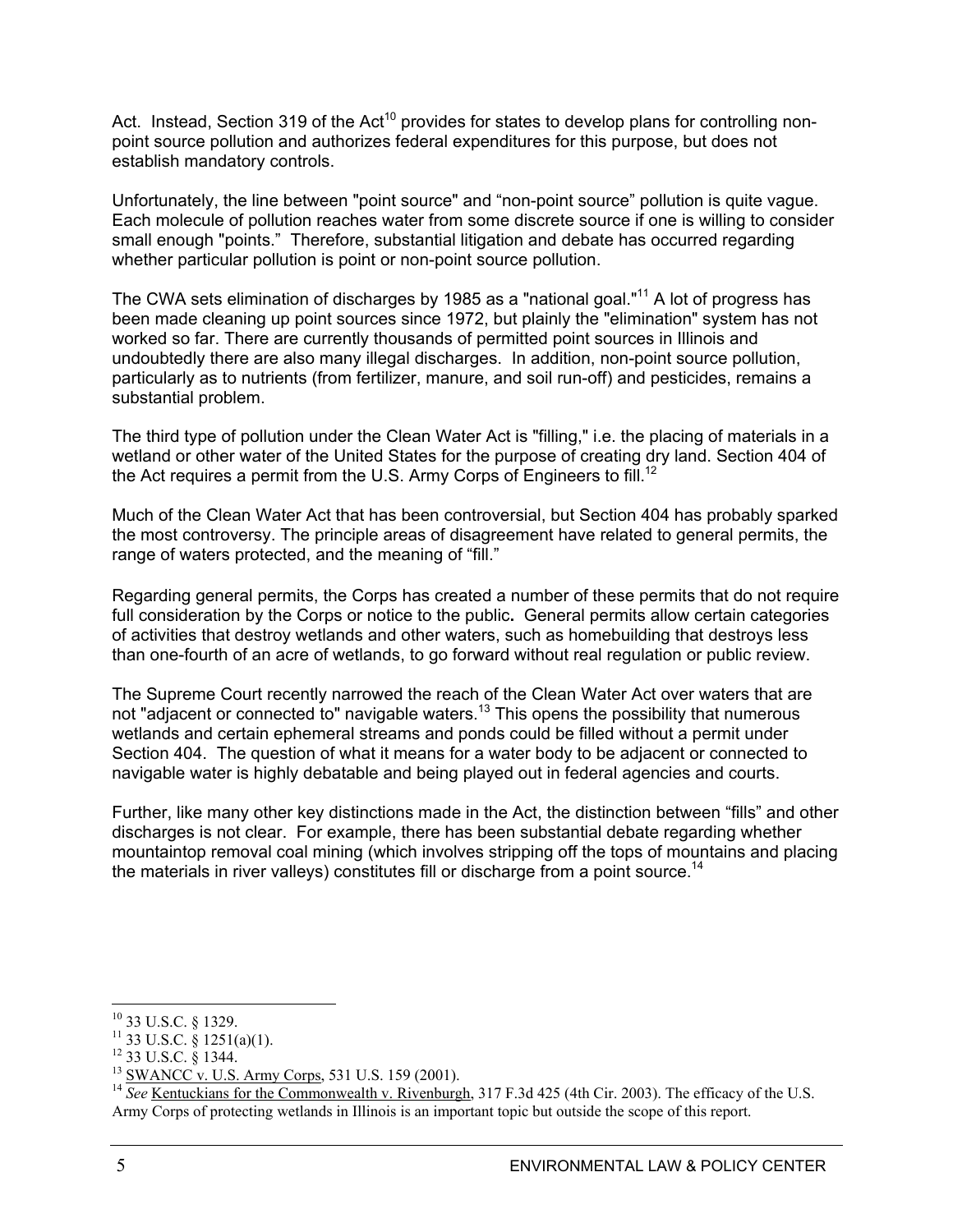Act. Instead, Section 319 of the Act<sup>10</sup> provides for states to develop plans for controlling nonpoint source pollution and authorizes federal expenditures for this purpose, but does not establish mandatory controls.

Unfortunately, the line between "point source" and "non-point source" pollution is quite vague. Each molecule of pollution reaches water from some discrete source if one is willing to consider small enough "points." Therefore, substantial litigation and debate has occurred regarding whether particular pollution is point or non-point source pollution.

The CWA sets elimination of discharges by 1985 as a "national goal."<sup>11</sup> A lot of progress has been made cleaning up point sources since 1972, but plainly the "elimination" system has not worked so far. There are currently thousands of permitted point sources in Illinois and undoubtedly there are also many illegal discharges. In addition, non-point source pollution, particularly as to nutrients (from fertilizer, manure, and soil run-off) and pesticides, remains a substantial problem.

The third type of pollution under the Clean Water Act is "filling," i.e. the placing of materials in a wetland or other water of the United States for the purpose of creating dry land. Section 404 of the Act requires a permit from the U.S. Army Corps of Engineers to fill.<sup>12</sup>

Much of the Clean Water Act that has been controversial, but Section 404 has probably sparked the most controversy. The principle areas of disagreement have related to general permits, the range of waters protected, and the meaning of "fill."

Regarding general permits, the Corps has created a number of these permits that do not require full consideration by the Corps or notice to the public**.** General permits allow certain categories of activities that destroy wetlands and other waters, such as homebuilding that destroys less than one-fourth of an acre of wetlands, to go forward without real regulation or public review.

The Supreme Court recently narrowed the reach of the Clean Water Act over waters that are not "adjacent or connected to" navigable waters.<sup>13</sup> This opens the possibility that numerous wetlands and certain ephemeral streams and ponds could be filled without a permit under Section 404. The question of what it means for a water body to be adjacent or connected to navigable water is highly debatable and being played out in federal agencies and courts.

Further, like many other key distinctions made in the Act, the distinction between "fills" and other discharges is not clear. For example, there has been substantial debate regarding whether mountaintop removal coal mining (which involves stripping off the tops of mountains and placing the materials in river valleys) constitutes fill or discharge from a point source.<sup>14</sup>

 $\overline{a}$ 10 33 U.S.C. § 1329.

 $11$  33 U.S.C.  $\frac{8}{9}$  1251(a)(1).

<sup>12 33</sup> U.S.C. § 1344.

<sup>&</sup>lt;sup>13</sup> SWANCC v. U.S. Army Corps, 531 U.S. 159 (2001).

<sup>&</sup>lt;sup>14</sup> *See* Kentuckians for the Commonwealth v. Rivenburgh, 317 F.3d 425 (4th Cir. 2003). The efficacy of the U.S. Army Corps of protecting wetlands in Illinois is an important topic but outside the scope of this report.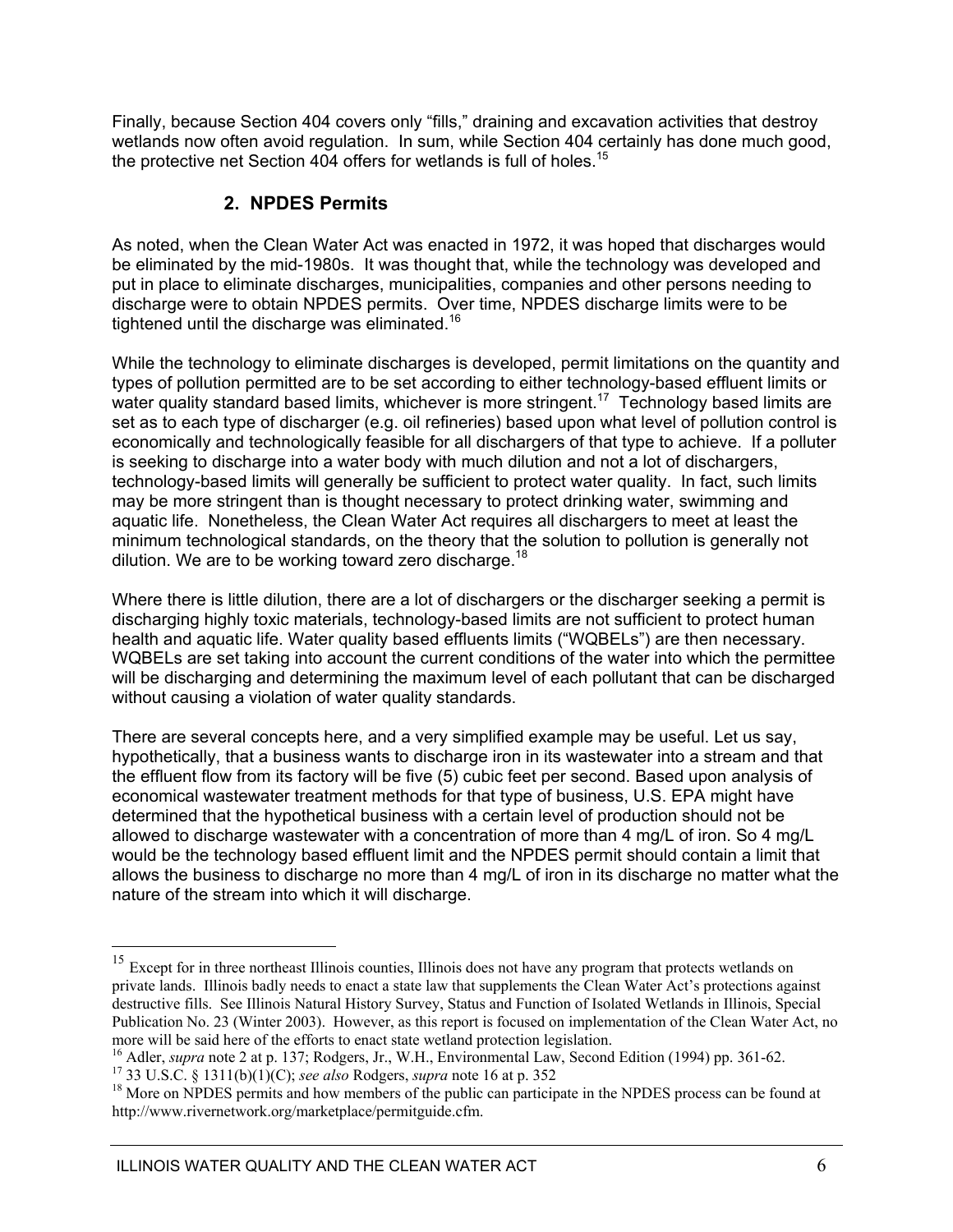Finally, because Section 404 covers only "fills," draining and excavation activities that destroy wetlands now often avoid regulation. In sum, while Section 404 certainly has done much good, the protective net Section  $404$  offers for wetlands is full of holes.<sup>15</sup>

### **2. NPDES Permits**

As noted, when the Clean Water Act was enacted in 1972, it was hoped that discharges would be eliminated by the mid-1980s. It was thought that, while the technology was developed and put in place to eliminate discharges, municipalities, companies and other persons needing to discharge were to obtain NPDES permits. Over time, NPDES discharge limits were to be tightened until the discharge was eliminated.<sup>16</sup>

While the technology to eliminate discharges is developed, permit limitations on the quantity and types of pollution permitted are to be set according to either technology-based effluent limits or water quality standard based limits, whichever is more stringent.<sup>17</sup> Technology based limits are set as to each type of discharger (e.g. oil refineries) based upon what level of pollution control is economically and technologically feasible for all dischargers of that type to achieve. If a polluter is seeking to discharge into a water body with much dilution and not a lot of dischargers, technology-based limits will generally be sufficient to protect water quality. In fact, such limits may be more stringent than is thought necessary to protect drinking water, swimming and aquatic life. Nonetheless, the Clean Water Act requires all dischargers to meet at least the minimum technological standards, on the theory that the solution to pollution is generally not dilution. We are to be working toward zero discharge.<sup>18</sup>

Where there is little dilution, there are a lot of dischargers or the discharger seeking a permit is discharging highly toxic materials, technology-based limits are not sufficient to protect human health and aquatic life. Water quality based effluents limits ("WQBELs") are then necessary. WQBELs are set taking into account the current conditions of the water into which the permittee will be discharging and determining the maximum level of each pollutant that can be discharged without causing a violation of water quality standards.

There are several concepts here, and a very simplified example may be useful. Let us say, hypothetically, that a business wants to discharge iron in its wastewater into a stream and that the effluent flow from its factory will be five (5) cubic feet per second. Based upon analysis of economical wastewater treatment methods for that type of business, U.S. EPA might have determined that the hypothetical business with a certain level of production should not be allowed to discharge wastewater with a concentration of more than 4 mg/L of iron. So 4 mg/L would be the technology based effluent limit and the NPDES permit should contain a limit that allows the business to discharge no more than 4 mg/L of iron in its discharge no matter what the nature of the stream into which it will discharge.

<sup>&</sup>lt;sup>15</sup> Except for in three northeast Illinois counties, Illinois does not have any program that protects wetlands on private lands. Illinois badly needs to enact a state law that supplements the Clean Water Act's protections against destructive fills. See Illinois Natural History Survey, Status and Function of Isolated Wetlands in Illinois, Special Publication No. 23 (Winter 2003). However, as this report is focused on implementation of the Clean Water Act, no more will be said here of the efforts to enact state wetland protection legislation.<br><sup>16</sup> Adler, *supra* note 2 at p. 137; Rodgers, Jr., W.H., Environmental Law, Second Edition (1994) pp. 361-62.

<sup>&</sup>lt;sup>17</sup> 33 U.S.C. § 1311(b)(1)(C); *see also* Rodgers, *supra* note 16 at p. 352<br><sup>18</sup> More on NPDES permits and how members of the public can participate in the NPDES process can be found at http://www.rivernetwork.org/marketplace/permitguide.cfm.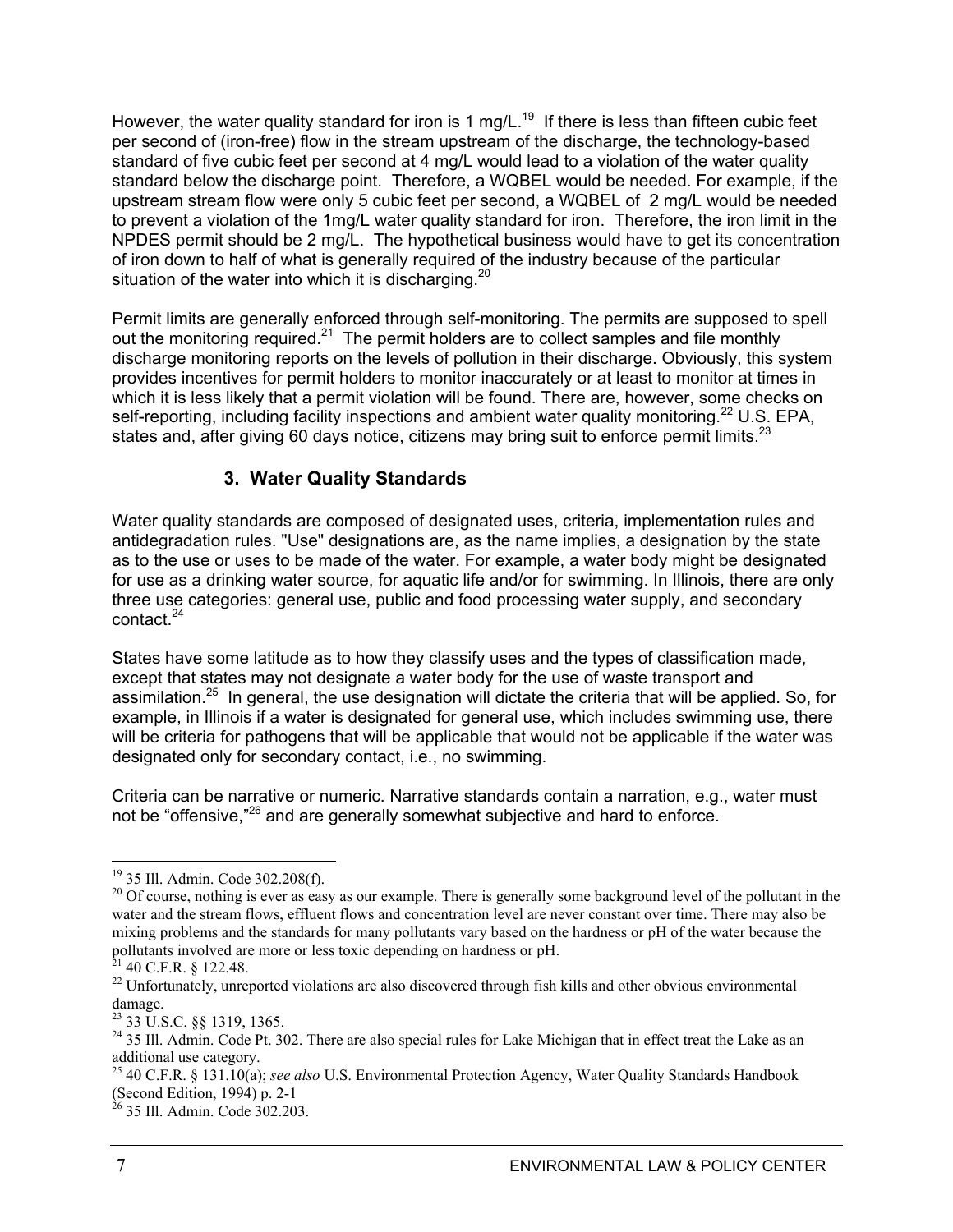However, the water quality standard for iron is 1 mg/L.<sup>19</sup> If there is less than fifteen cubic feet per second of (iron-free) flow in the stream upstream of the discharge, the technology-based standard of five cubic feet per second at 4 mg/L would lead to a violation of the water quality standard below the discharge point. Therefore, a WQBEL would be needed. For example, if the upstream stream flow were only 5 cubic feet per second, a WQBEL of 2 mg/L would be needed to prevent a violation of the 1mg/L water quality standard for iron. Therefore, the iron limit in the NPDES permit should be 2 mg/L. The hypothetical business would have to get its concentration of iron down to half of what is generally required of the industry because of the particular situation of the water into which it is discharging.<sup>20</sup>

Permit limits are generally enforced through self-monitoring. The permits are supposed to spell out the monitoring required.<sup>21</sup> The permit holders are to collect samples and file monthly discharge monitoring reports on the levels of pollution in their discharge. Obviously, this system provides incentives for permit holders to monitor inaccurately or at least to monitor at times in which it is less likely that a permit violation will be found. There are, however, some checks on self-reporting, including facility inspections and ambient water quality monitoring.<sup>22</sup> U.S. EPA, states and, after giving 60 days notice, citizens may bring suit to enforce permit limits.<sup>23</sup>

### **3. Water Quality Standards**

Water quality standards are composed of designated uses, criteria, implementation rules and antidegradation rules. "Use" designations are, as the name implies, a designation by the state as to the use or uses to be made of the water. For example, a water body might be designated for use as a drinking water source, for aquatic life and/or for swimming. In Illinois, there are only three use categories: general use, public and food processing water supply, and secondary contact.24

States have some latitude as to how they classify uses and the types of classification made, except that states may not designate a water body for the use of waste transport and assimilation.25 In general, the use designation will dictate the criteria that will be applied. So, for example, in Illinois if a water is designated for general use, which includes swimming use, there will be criteria for pathogens that will be applicable that would not be applicable if the water was designated only for secondary contact, i.e., no swimming.

Criteria can be narrative or numeric. Narrative standards contain a narration, e.g., water must not be "offensive,"<sup>26</sup> and are generally somewhat subjective and hard to enforce.

<sup>19 35</sup> Ill. Admin. Code 302.208(f).

<sup>&</sup>lt;sup>20</sup> Of course, nothing is ever as easy as our example. There is generally some background level of the pollutant in the water and the stream flows, effluent flows and concentration level are never constant over time. There may also be mixing problems and the standards for many pollutants vary based on the hardness or pH of the water because the pollutants involved are more or less toxic depending on hardness or pH.

 $21$  40 C.F.R. § 122.48.

<sup>&</sup>lt;sup>22</sup> Unfortunately, unreported violations are also discovered through fish kills and other obvious environmental damage.

<sup>23 33</sup> U.S.C. §§ 1319, 1365.

<sup>&</sup>lt;sup>24</sup> 35 Ill. Admin. Code Pt. 302. There are also special rules for Lake Michigan that in effect treat the Lake as an additional use category.

<sup>25 40</sup> C.F.R. § 131.10(a); *see also* U.S. Environmental Protection Agency, Water Quality Standards Handbook (Second Edition, 1994) p. 2-1

 $^{26}$  35 Ill. Admin. Code 302.203.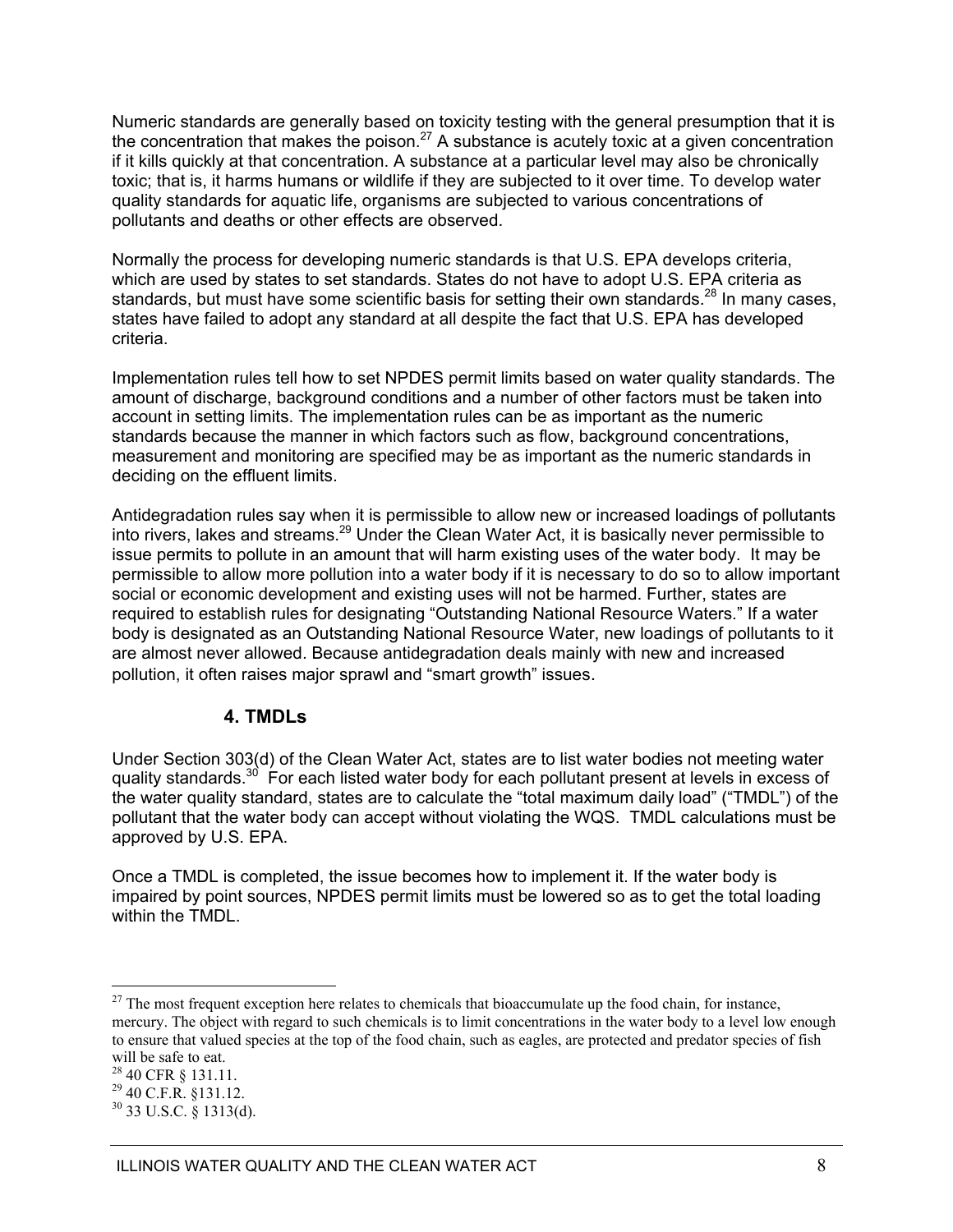Numeric standards are generally based on toxicity testing with the general presumption that it is the concentration that makes the poison.<sup>27</sup> A substance is acutely toxic at a given concentration if it kills quickly at that concentration. A substance at a particular level may also be chronically toxic; that is, it harms humans or wildlife if they are subjected to it over time. To develop water quality standards for aquatic life, organisms are subjected to various concentrations of pollutants and deaths or other effects are observed.

Normally the process for developing numeric standards is that U.S. EPA develops criteria, which are used by states to set standards. States do not have to adopt U.S. EPA criteria as standards, but must have some scientific basis for setting their own standards.<sup>28</sup> In many cases, states have failed to adopt any standard at all despite the fact that U.S. EPA has developed criteria.

Implementation rules tell how to set NPDES permit limits based on water quality standards. The amount of discharge, background conditions and a number of other factors must be taken into account in setting limits. The implementation rules can be as important as the numeric standards because the manner in which factors such as flow, background concentrations, measurement and monitoring are specified may be as important as the numeric standards in deciding on the effluent limits.

Antidegradation rules say when it is permissible to allow new or increased loadings of pollutants into rivers, lakes and streams.29 Under the Clean Water Act, it is basically never permissible to issue permits to pollute in an amount that will harm existing uses of the water body. It may be permissible to allow more pollution into a water body if it is necessary to do so to allow important social or economic development and existing uses will not be harmed. Further, states are required to establish rules for designating "Outstanding National Resource Waters." If a water body is designated as an Outstanding National Resource Water, new loadings of pollutants to it are almost never allowed. Because antidegradation deals mainly with new and increased pollution, it often raises major sprawl and "smart growth" issues.

### **4. TMDLs**

Under Section 303(d) of the Clean Water Act, states are to list water bodies not meeting water quality standards.<sup>30</sup> For each listed water body for each pollutant present at levels in excess of the water quality standard, states are to calculate the "total maximum daily load" ("TMDL") of the pollutant that the water body can accept without violating the WQS. TMDL calculations must be approved by U.S. EPA.

Once a TMDL is completed, the issue becomes how to implement it. If the water body is impaired by point sources, NPDES permit limits must be lowered so as to get the total loading within the TMDL.

 $^{27}$  The most frequent exception here relates to chemicals that bioaccumulate up the food chain, for instance, mercury. The object with regard to such chemicals is to limit concentrations in the water body to a level low enough to ensure that valued species at the top of the food chain, such as eagles, are protected and predator species of fish will be safe to eat.

<sup>28 40</sup> CFR § 131.11.

<sup>29 40</sup> C.F.R. §131.12.

 $30$  33 U.S.C. § 1313(d).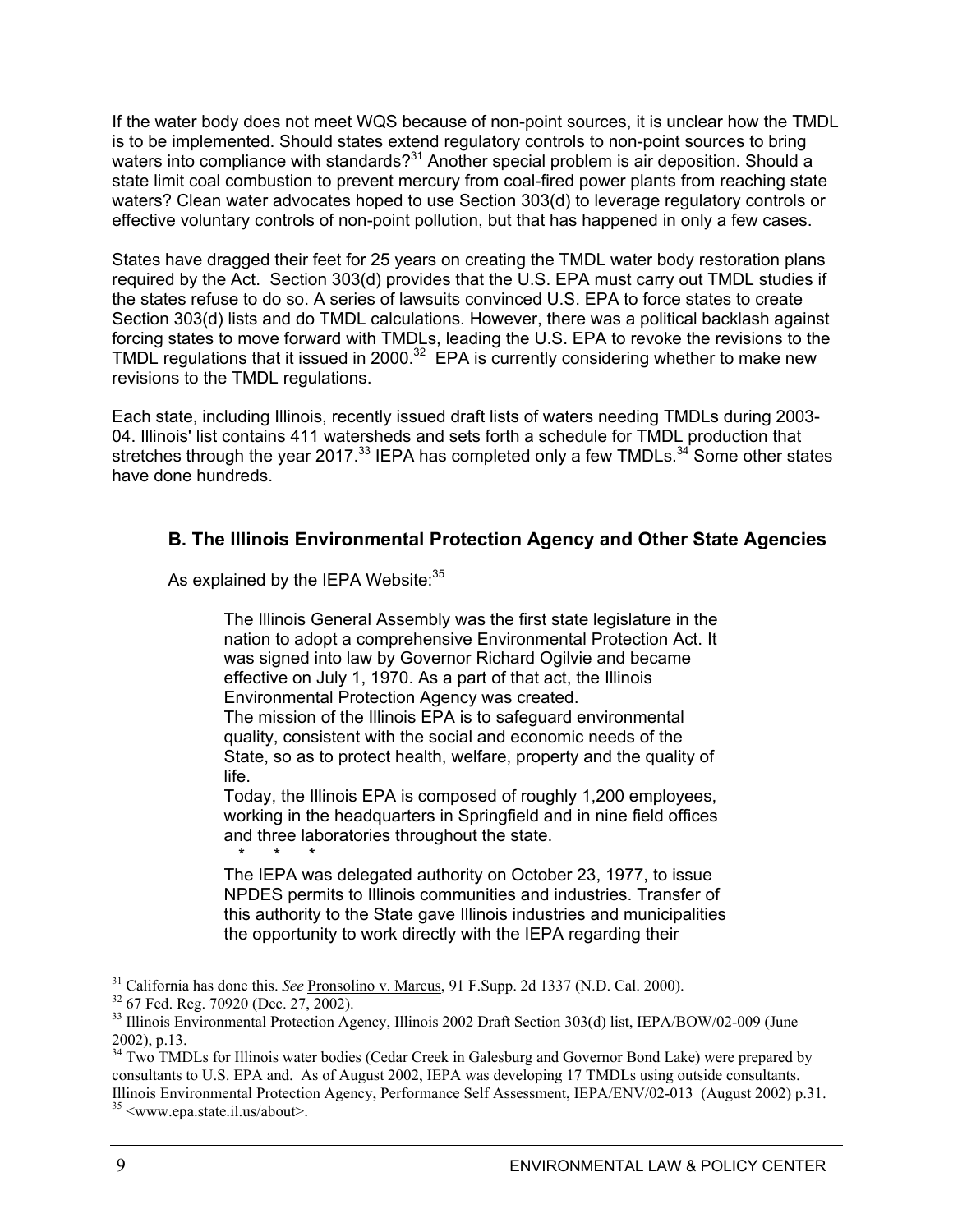If the water body does not meet WQS because of non-point sources, it is unclear how the TMDL is to be implemented. Should states extend regulatory controls to non-point sources to bring waters into compliance with standards?<sup>31</sup> Another special problem is air deposition. Should a state limit coal combustion to prevent mercury from coal-fired power plants from reaching state waters? Clean water advocates hoped to use Section 303(d) to leverage regulatory controls or effective voluntary controls of non-point pollution, but that has happened in only a few cases.

States have dragged their feet for 25 years on creating the TMDL water body restoration plans required by the Act. Section 303(d) provides that the U.S. EPA must carry out TMDL studies if the states refuse to do so. A series of lawsuits convinced U.S. EPA to force states to create Section 303(d) lists and do TMDL calculations. However, there was a political backlash against forcing states to move forward with TMDLs, leading the U.S. EPA to revoke the revisions to the TMDL regulations that it issued in 2000.<sup>32</sup> EPA is currently considering whether to make new revisions to the TMDL regulations.

Each state, including Illinois, recently issued draft lists of waters needing TMDLs during 2003- 04. Illinois' list contains 411 watersheds and sets forth a schedule for TMDL production that stretches through the year 2017. $^{33}$  IEPA has completed only a few TMDLs. $^{34}$  Some other states have done hundreds.

### **B. The Illinois Environmental Protection Agency and Other State Agencies**

As explained by the IEPA Website: 35

The Illinois General Assembly was the first state legislature in the nation to adopt a comprehensive Environmental Protection Act. It was signed into law by Governor Richard Ogilvie and became effective on July 1, 1970. As a part of that act, the Illinois Environmental Protection Agency was created. The mission of the Illinois EPA is to safeguard environmental quality, consistent with the social and economic needs of the State, so as to protect health, welfare, property and the quality of life.

Today, the Illinois EPA is composed of roughly 1,200 employees, working in the headquarters in Springfield and in nine field offices and three laboratories throughout the state.

 \* \* \* The IEPA was delegated authority on October 23, 1977, to issue NPDES permits to Illinois communities and industries. Transfer of this authority to the State gave Illinois industries and municipalities the opportunity to work directly with the IEPA regarding their

<sup>&</sup>lt;sup>31</sup> California has done this. *See* <u>Pronsolino v. Marcus</u>, 91 F.Supp. 2d 1337 (N.D. Cal. 2000). <sup>32</sup> 67 Fed. Reg. 70920 (Dec. 27, 2002).

<sup>33</sup> Illinois Environmental Protection Agency, Illinois 2002 Draft Section 303(d) list, IEPA/BOW/02-009 (June 2002), p.13.

<sup>&</sup>lt;sup>34</sup> Two TMDLs for Illinois water bodies (Cedar Creek in Galesburg and Governor Bond Lake) were prepared by consultants to U.S. EPA and. As of August 2002, IEPA was developing 17 TMDLs using outside consultants. Illinois Environmental Protection Agency, Performance Self Assessment, IEPA/ENV/02-013 (August 2002) p.31. <br><sup>35</sup> <www.epa.state.il.us/about>.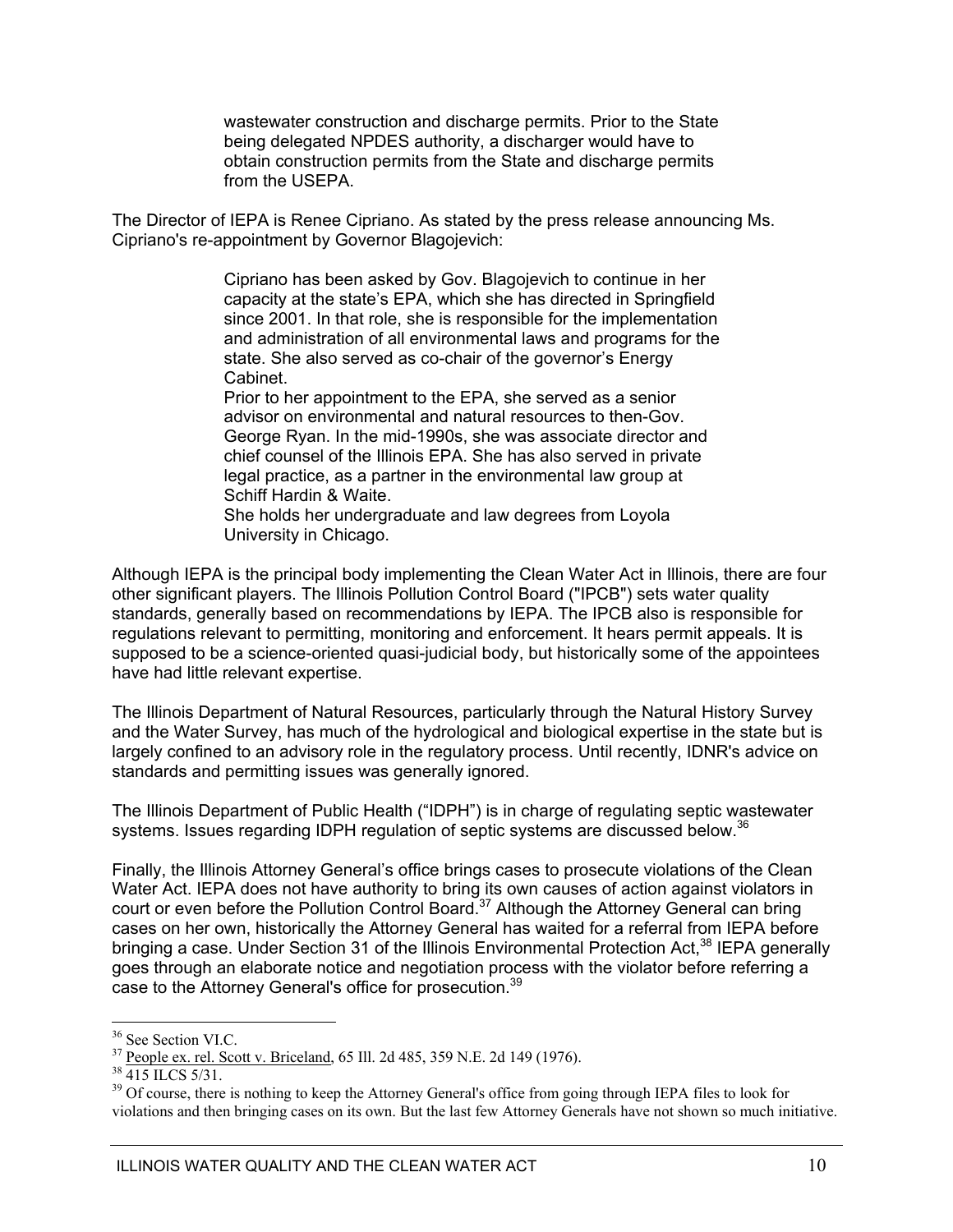wastewater construction and discharge permits. Prior to the State being delegated NPDES authority, a discharger would have to obtain construction permits from the State and discharge permits from the USEPA.

The Director of IEPA is Renee Cipriano. As stated by the press release announcing Ms. Cipriano's re-appointment by Governor Blagojevich:

> Cipriano has been asked by Gov. Blagojevich to continue in her capacity at the state's EPA, which she has directed in Springfield since 2001. In that role, she is responsible for the implementation and administration of all environmental laws and programs for the state. She also served as co-chair of the governor's Energy Cabinet.

Prior to her appointment to the EPA, she served as a senior advisor on environmental and natural resources to then-Gov. George Ryan. In the mid-1990s, she was associate director and chief counsel of the Illinois EPA. She has also served in private legal practice, as a partner in the environmental law group at Schiff Hardin & Waite.

She holds her undergraduate and law degrees from Loyola University in Chicago.

Although IEPA is the principal body implementing the Clean Water Act in Illinois, there are four other significant players. The Illinois Pollution Control Board ("IPCB") sets water quality standards, generally based on recommendations by IEPA. The IPCB also is responsible for regulations relevant to permitting, monitoring and enforcement. It hears permit appeals. It is supposed to be a science-oriented quasi-judicial body, but historically some of the appointees have had little relevant expertise.

The Illinois Department of Natural Resources, particularly through the Natural History Survey and the Water Survey, has much of the hydrological and biological expertise in the state but is largely confined to an advisory role in the regulatory process. Until recently, IDNR's advice on standards and permitting issues was generally ignored.

The Illinois Department of Public Health ("IDPH") is in charge of regulating septic wastewater systems. Issues regarding IDPH regulation of septic systems are discussed below.<sup>36</sup>

Finally, the Illinois Attorney General's office brings cases to prosecute violations of the Clean Water Act. IEPA does not have authority to bring its own causes of action against violators in court or even before the Pollution Control Board.<sup>37</sup> Although the Attorney General can bring cases on her own, historically the Attorney General has waited for a referral from IEPA before bringing a case. Under Section 31 of the Illinois Environmental Protection Act,<sup>38</sup> IEPA generally goes through an elaborate notice and negotiation process with the violator before referring a case to the Attorney General's office for prosecution.<sup>39</sup>

<sup>&</sup>lt;sup>36</sup> See Section VI.C.

<sup>&</sup>lt;sup>37</sup> People ex. rel. Scott v. Briceland, 65 Ill. 2d 485, 359 N.E. 2d 149 (1976).

 $38\overline{415}$  ILCS 5/31.

<sup>&</sup>lt;sup>39</sup> Of course, there is nothing to keep the Attorney General's office from going through IEPA files to look for violations and then bringing cases on its own. But the last few Attorney Generals have not shown so much initiative.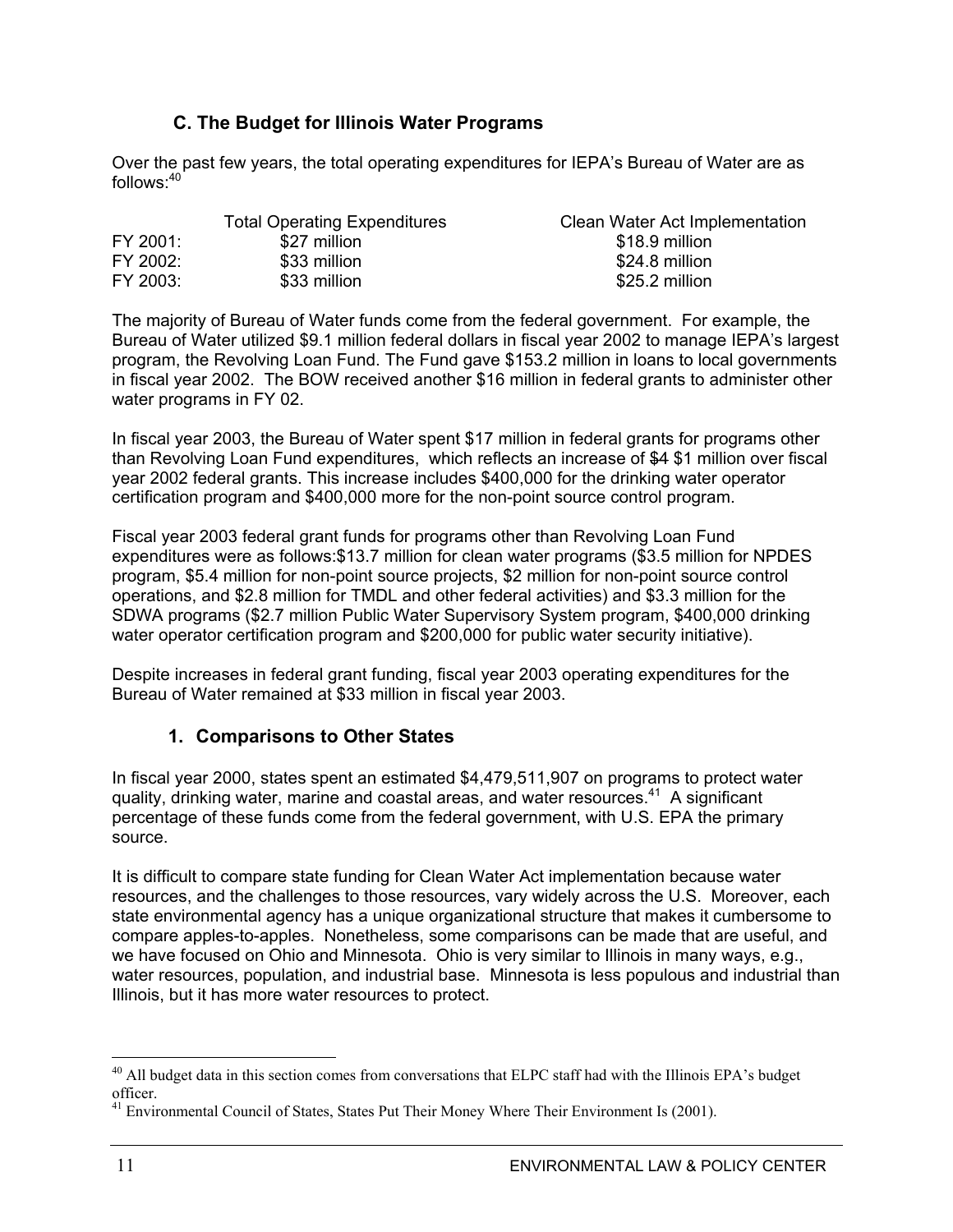### **C. The Budget for Illinois Water Programs**

Over the past few years, the total operating expenditures for IEPA's Bureau of Water are as follows:40

|          | <b>Total Operating Expenditures</b> | Clean Water Act Implementation |
|----------|-------------------------------------|--------------------------------|
| FY 2001: | \$27 million                        | \$18.9 million                 |
| FY 2002: | \$33 million                        | \$24.8 million                 |
| FY 2003: | \$33 million                        | \$25.2 million                 |

The majority of Bureau of Water funds come from the federal government. For example, the Bureau of Water utilized \$9.1 million federal dollars in fiscal year 2002 to manage IEPA's largest program, the Revolving Loan Fund. The Fund gave \$153.2 million in loans to local governments in fiscal year 2002. The BOW received another \$16 million in federal grants to administer other water programs in FY 02.

In fiscal year 2003, the Bureau of Water spent \$17 million in federal grants for programs other than Revolving Loan Fund expenditures, which reflects an increase of \$4 \$1 million over fiscal year 2002 federal grants. This increase includes \$400,000 for the drinking water operator certification program and \$400,000 more for the non-point source control program.

Fiscal year 2003 federal grant funds for programs other than Revolving Loan Fund expenditures were as follows:\$13.7 million for clean water programs (\$3.5 million for NPDES program, \$5.4 million for non-point source projects, \$2 million for non-point source control operations, and \$2.8 million for TMDL and other federal activities) and \$3.3 million for the SDWA programs (\$2.7 million Public Water Supervisory System program, \$400,000 drinking water operator certification program and \$200,000 for public water security initiative).

Despite increases in federal grant funding, fiscal year 2003 operating expenditures for the Bureau of Water remained at \$33 million in fiscal year 2003.

### **1. Comparisons to Other States**

In fiscal year 2000, states spent an estimated \$4,479,511,907 on programs to protect water quality, drinking water, marine and coastal areas, and water resources.41 A significant percentage of these funds come from the federal government, with U.S. EPA the primary source.

It is difficult to compare state funding for Clean Water Act implementation because water resources, and the challenges to those resources, vary widely across the U.S. Moreover, each state environmental agency has a unique organizational structure that makes it cumbersome to compare apples-to-apples. Nonetheless, some comparisons can be made that are useful, and we have focused on Ohio and Minnesota. Ohio is very similar to Illinois in many ways, e.g., water resources, population, and industrial base. Minnesota is less populous and industrial than Illinois, but it has more water resources to protect.

<sup>&</sup>lt;sup>40</sup> All budget data in this section comes from conversations that ELPC staff had with the Illinois EPA's budget officer.

 $41$  Environmental Council of States, States Put Their Money Where Their Environment Is (2001).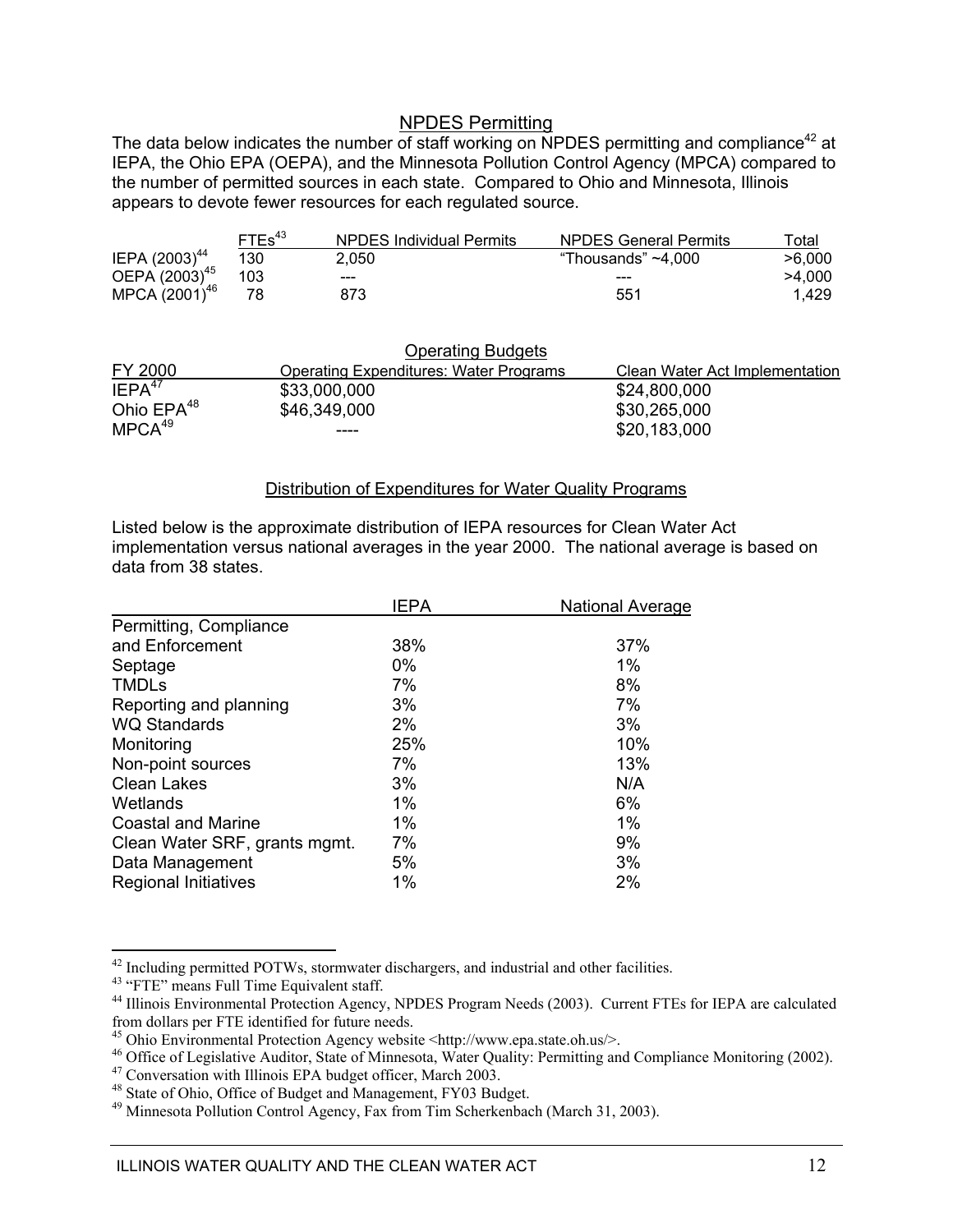#### NPDES Permitting

The data below indicates the number of staff working on NPDES permitting and compliance<sup>42</sup> at IEPA, the Ohio EPA (OEPA), and the Minnesota Pollution Control Agency (MPCA) compared to the number of permitted sources in each state. Compared to Ohio and Minnesota, Illinois appears to devote fewer resources for each regulated source.

|                           | FTEs <sup>43</sup> | <b>NPDES Individual Permits</b> | <b>NPDES General Permits</b> | ™otal  |
|---------------------------|--------------------|---------------------------------|------------------------------|--------|
| IEPA $(2003)^{44}$        | 130                | 2.050                           | "Thousands" $~1$ .000        | >6.000 |
| OEPA (2003) <sup>45</sup> | 103                | ---                             | ---                          | >4.000 |
| MPCA (2001) <sup>46</sup> | 78                 | 873                             | 551                          | 1.429  |

|                        | <b>Operating Budgets</b>                      |                                |
|------------------------|-----------------------------------------------|--------------------------------|
| FY 2000                | <b>Operating Expenditures: Water Programs</b> | Clean Water Act Implementation |
| IEPA <sup>47</sup>     | \$33,000,000                                  | \$24,800,000                   |
| Ohio EPA <sup>48</sup> | \$46,349,000                                  | \$30,265,000                   |
| MPCA <sup>49</sup>     | ----                                          | \$20,183,000                   |

#### Distribution of Expenditures for Water Quality Programs

Listed below is the approximate distribution of IEPA resources for Clean Water Act implementation versus national averages in the year 2000. The national average is based on data from 38 states.

|                               | <b>IEPA</b> | <b>National Average</b> |
|-------------------------------|-------------|-------------------------|
| Permitting, Compliance        |             |                         |
| and Enforcement               | 38%         | 37%                     |
| Septage                       | $0\%$       | 1%                      |
| <b>TMDLs</b>                  | 7%          | 8%                      |
| Reporting and planning        | 3%          | 7%                      |
| <b>WQ Standards</b>           | 2%          | 3%                      |
| Monitoring                    | 25%         | 10%                     |
| Non-point sources             | 7%          | 13%                     |
| <b>Clean Lakes</b>            | 3%          | N/A                     |
| Wetlands                      | 1%          | 6%                      |
| Coastal and Marine            | 1%          | 1%                      |
| Clean Water SRF, grants mgmt. | 7%          | 9%                      |
| Data Management               | 5%          | 3%                      |
| <b>Regional Initiatives</b>   | 1%          | 2%                      |

 $\overline{a}$ <sup>42</sup> Including permitted POTWs, stormwater dischargers, and industrial and other facilities.

<sup>&</sup>lt;sup>43</sup> "FTE" means Full Time Equivalent staff.

<sup>&</sup>lt;sup>44</sup> Illinois Environmental Protection Agency, NPDES Program Needs (2003). Current FTEs for IEPA are calculated from dollars per FTE identified for future needs.

<sup>45</sup> Ohio Environmental Protection Agency website <http://www.epa.state.oh.us/>.

 $46$  Office of Legislative Auditor, State of Minnesota, Water Quality: Permitting and Compliance Monitoring (2002).<br><sup>47</sup> Conversation with Illinois EPA budget officer, March 2003.

<sup>48</sup> State of Ohio, Office of Budget and Management, FY03 Budget.

<sup>49</sup> Minnesota Pollution Control Agency, Fax from Tim Scherkenbach (March 31, 2003).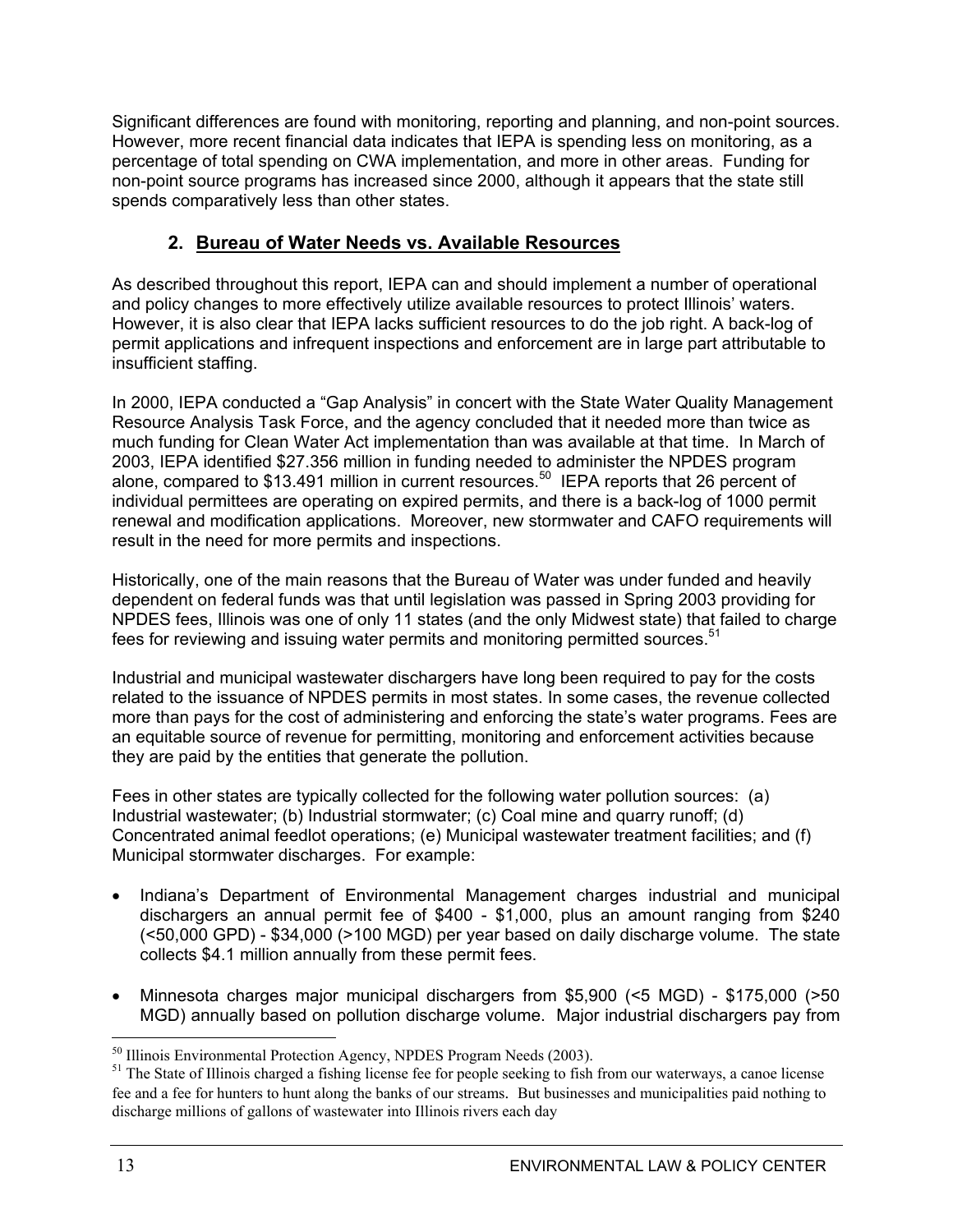Significant differences are found with monitoring, reporting and planning, and non-point sources. However, more recent financial data indicates that IEPA is spending less on monitoring, as a percentage of total spending on CWA implementation, and more in other areas. Funding for non-point source programs has increased since 2000, although it appears that the state still spends comparatively less than other states.

### **2. Bureau of Water Needs vs. Available Resources**

As described throughout this report, IEPA can and should implement a number of operational and policy changes to more effectively utilize available resources to protect Illinois' waters. However, it is also clear that IEPA lacks sufficient resources to do the job right. A back-log of permit applications and infrequent inspections and enforcement are in large part attributable to insufficient staffing.

In 2000, IEPA conducted a "Gap Analysis" in concert with the State Water Quality Management Resource Analysis Task Force, and the agency concluded that it needed more than twice as much funding for Clean Water Act implementation than was available at that time. In March of 2003, IEPA identified \$27.356 million in funding needed to administer the NPDES program alone, compared to \$13.491 million in current resources.<sup>50</sup> IEPA reports that 26 percent of individual permittees are operating on expired permits, and there is a back-log of 1000 permit renewal and modification applications. Moreover, new stormwater and CAFO requirements will result in the need for more permits and inspections.

Historically, one of the main reasons that the Bureau of Water was under funded and heavily dependent on federal funds was that until legislation was passed in Spring 2003 providing for NPDES fees, Illinois was one of only 11 states (and the only Midwest state) that failed to charge fees for reviewing and issuing water permits and monitoring permitted sources.<sup>51</sup>

Industrial and municipal wastewater dischargers have long been required to pay for the costs related to the issuance of NPDES permits in most states. In some cases, the revenue collected more than pays for the cost of administering and enforcing the state's water programs. Fees are an equitable source of revenue for permitting, monitoring and enforcement activities because they are paid by the entities that generate the pollution.

Fees in other states are typically collected for the following water pollution sources: (a) Industrial wastewater; (b) Industrial stormwater; (c) Coal mine and quarry runoff; (d) Concentrated animal feedlot operations; (e) Municipal wastewater treatment facilities; and (f) Municipal stormwater discharges. For example:

- Indiana's Department of Environmental Management charges industrial and municipal dischargers an annual permit fee of \$400 - \$1,000, plus an amount ranging from \$240 (<50,000 GPD) - \$34,000 (>100 MGD) per year based on daily discharge volume. The state collects \$4.1 million annually from these permit fees.
- Minnesota charges major municipal dischargers from \$5,900 (<5 MGD) \$175,000 (>50 MGD) annually based on pollution discharge volume. Major industrial dischargers pay from

 $\overline{a}$ <sup>50</sup> Illinois Environmental Protection Agency, NPDES Program Needs (2003).

<sup>&</sup>lt;sup>51</sup> The State of Illinois charged a fishing license fee for people seeking to fish from our waterways, a canoe license fee and a fee for hunters to hunt along the banks of our streams. But businesses and municipalities paid nothing to discharge millions of gallons of wastewater into Illinois rivers each day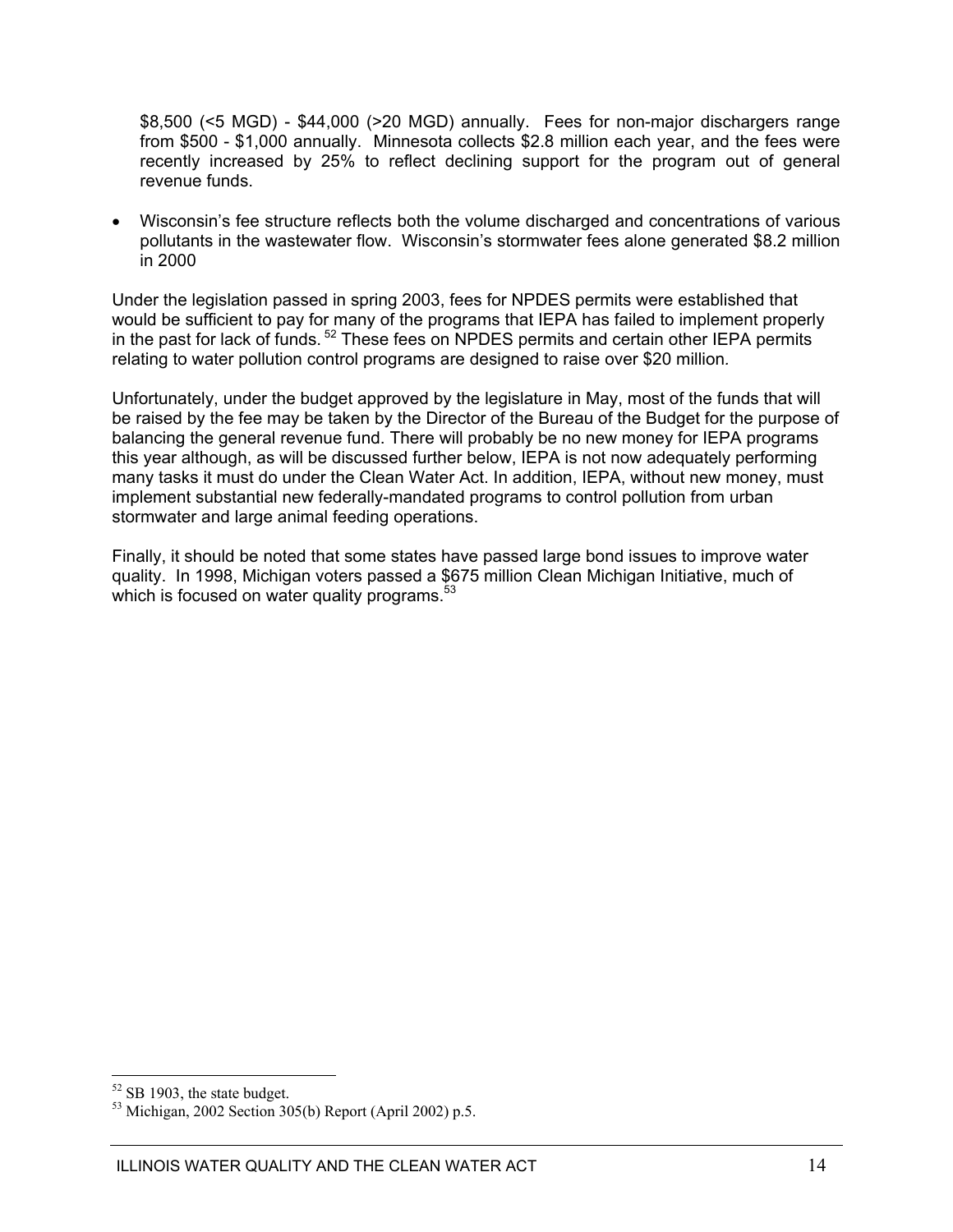\$8,500 (<5 MGD) - \$44,000 (>20 MGD) annually. Fees for non-major dischargers range from \$500 - \$1,000 annually. Minnesota collects \$2.8 million each year, and the fees were recently increased by 25% to reflect declining support for the program out of general revenue funds.

Wisconsin's fee structure reflects both the volume discharged and concentrations of various pollutants in the wastewater flow. Wisconsin's stormwater fees alone generated \$8.2 million in 2000

Under the legislation passed in spring 2003, fees for NPDES permits were established that would be sufficient to pay for many of the programs that IEPA has failed to implement properly in the past for lack of funds. 52 These fees on NPDES permits and certain other IEPA permits relating to water pollution control programs are designed to raise over \$20 million*.*

Unfortunately, under the budget approved by the legislature in May, most of the funds that will be raised by the fee may be taken by the Director of the Bureau of the Budget for the purpose of balancing the general revenue fund. There will probably be no new money for IEPA programs this year although, as will be discussed further below, IEPA is not now adequately performing many tasks it must do under the Clean Water Act. In addition, IEPA, without new money, must implement substantial new federally-mandated programs to control pollution from urban stormwater and large animal feeding operations.

Finally, it should be noted that some states have passed large bond issues to improve water quality. In 1998, Michigan voters passed a \$675 million Clean Michigan Initiative, much of which is focused on water quality programs.<sup>53</sup>

 $52$  SB 1903, the state budget.

<sup>53</sup> Michigan, 2002 Section 305(b) Report (April 2002) p.5.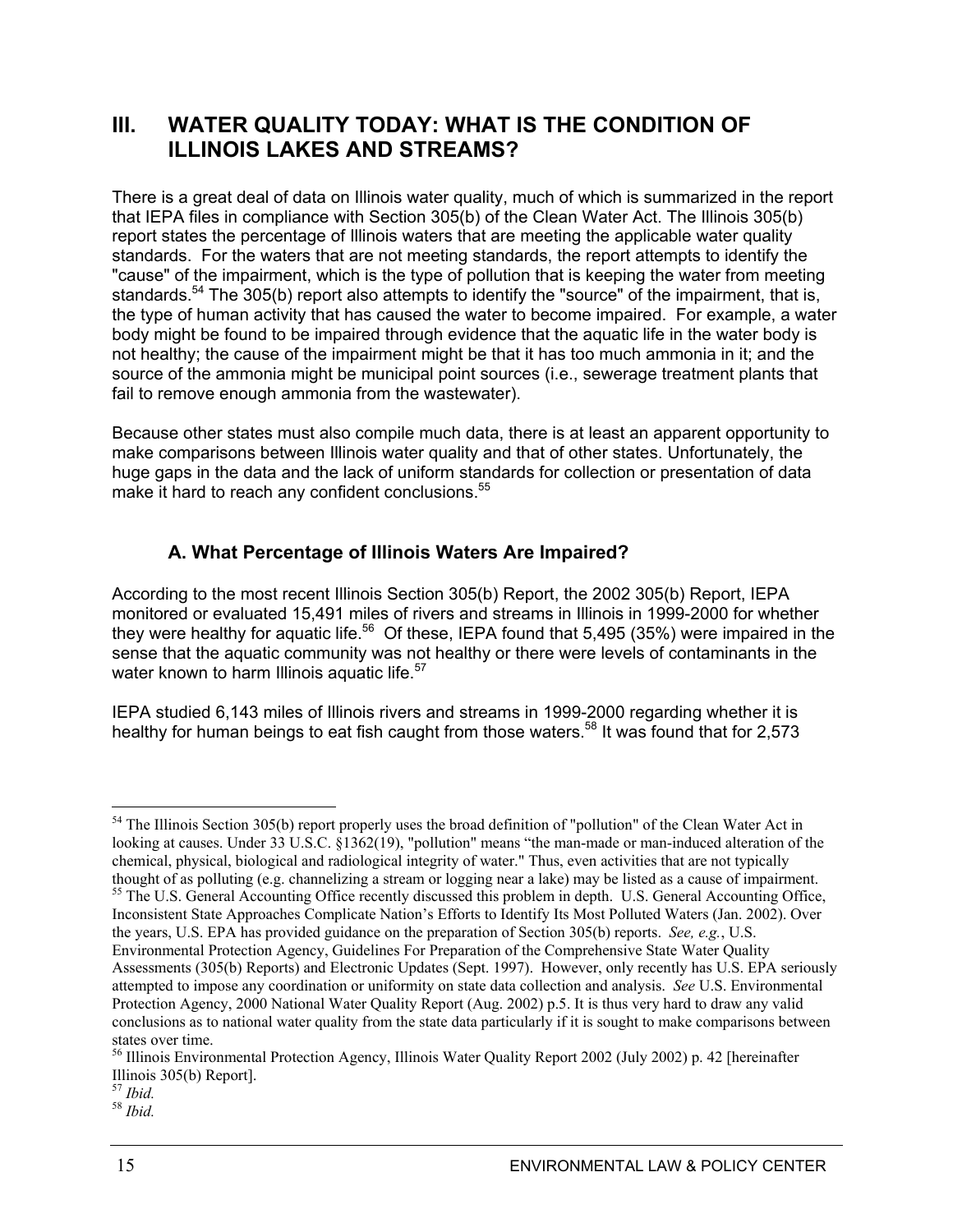### **III. WATER QUALITY TODAY: WHAT IS THE CONDITION OF ILLINOIS LAKES AND STREAMS?**

There is a great deal of data on Illinois water quality, much of which is summarized in the report that IEPA files in compliance with Section 305(b) of the Clean Water Act. The Illinois 305(b) report states the percentage of Illinois waters that are meeting the applicable water quality standards. For the waters that are not meeting standards, the report attempts to identify the "cause" of the impairment, which is the type of pollution that is keeping the water from meeting standards.<sup>54</sup> The 305(b) report also attempts to identify the "source" of the impairment, that is, the type of human activity that has caused the water to become impaired. For example, a water body might be found to be impaired through evidence that the aquatic life in the water body is not healthy; the cause of the impairment might be that it has too much ammonia in it; and the source of the ammonia might be municipal point sources (i.e., sewerage treatment plants that fail to remove enough ammonia from the wastewater).

Because other states must also compile much data, there is at least an apparent opportunity to make comparisons between Illinois water quality and that of other states. Unfortunately, the huge gaps in the data and the lack of uniform standards for collection or presentation of data make it hard to reach any confident conclusions.<sup>55</sup>

### **A. What Percentage of Illinois Waters Are Impaired?**

According to the most recent Illinois Section 305(b) Report, the 2002 305(b) Report, IEPA monitored or evaluated 15,491 miles of rivers and streams in Illinois in 1999-2000 for whether they were healthy for aquatic life.<sup>56</sup> Of these, IEPA found that 5,495 (35%) were impaired in the sense that the aquatic community was not healthy or there were levels of contaminants in the water known to harm Illinois aquatic life.<sup>57</sup>

IEPA studied 6,143 miles of Illinois rivers and streams in 1999-2000 regarding whether it is healthy for human beings to eat fish caught from those waters.<sup>58</sup> It was found that for 2,573

 $\overline{a}$ 

<sup>57</sup> *Ibid.* <sup>58</sup> *Ibid.*

<sup>&</sup>lt;sup>54</sup> The Illinois Section 305(b) report properly uses the broad definition of "pollution" of the Clean Water Act in looking at causes. Under 33 U.S.C. §1362(19), "pollution" means "the man-made or man-induced alteration of the chemical, physical, biological and radiological integrity of water." Thus, even activities that are not typically thought of as polluting (e.g. channelizing a stream or logging near a lake) may be listed as a cause of impairment. <sup>55</sup> The U.S. General Accounting Office recently discussed this problem in depth. U.S. General Accounting Office, Inconsistent State Approaches Complicate Nation's Efforts to Identify Its Most Polluted Waters (Jan. 2002). Over the years, U.S. EPA has provided guidance on the preparation of Section 305(b) reports. *See, e.g.*, U.S. Environmental Protection Agency, Guidelines For Preparation of the Comprehensive State Water Quality Assessments (305(b) Reports) and Electronic Updates (Sept. 1997). However, only recently has U.S. EPA seriously attempted to impose any coordination or uniformity on state data collection and analysis. *See* U.S. Environmental Protection Agency, 2000 National Water Quality Report (Aug. 2002) p.5. It is thus very hard to draw any valid conclusions as to national water quality from the state data particularly if it is sought to make comparisons between states over time.

<sup>&</sup>lt;sup>56</sup> Illinois Environmental Protection Agency, Illinois Water Quality Report 2002 (July 2002) p. 42 [hereinafter Illinois 305(b) Report].<br> $57$  *Ibid.*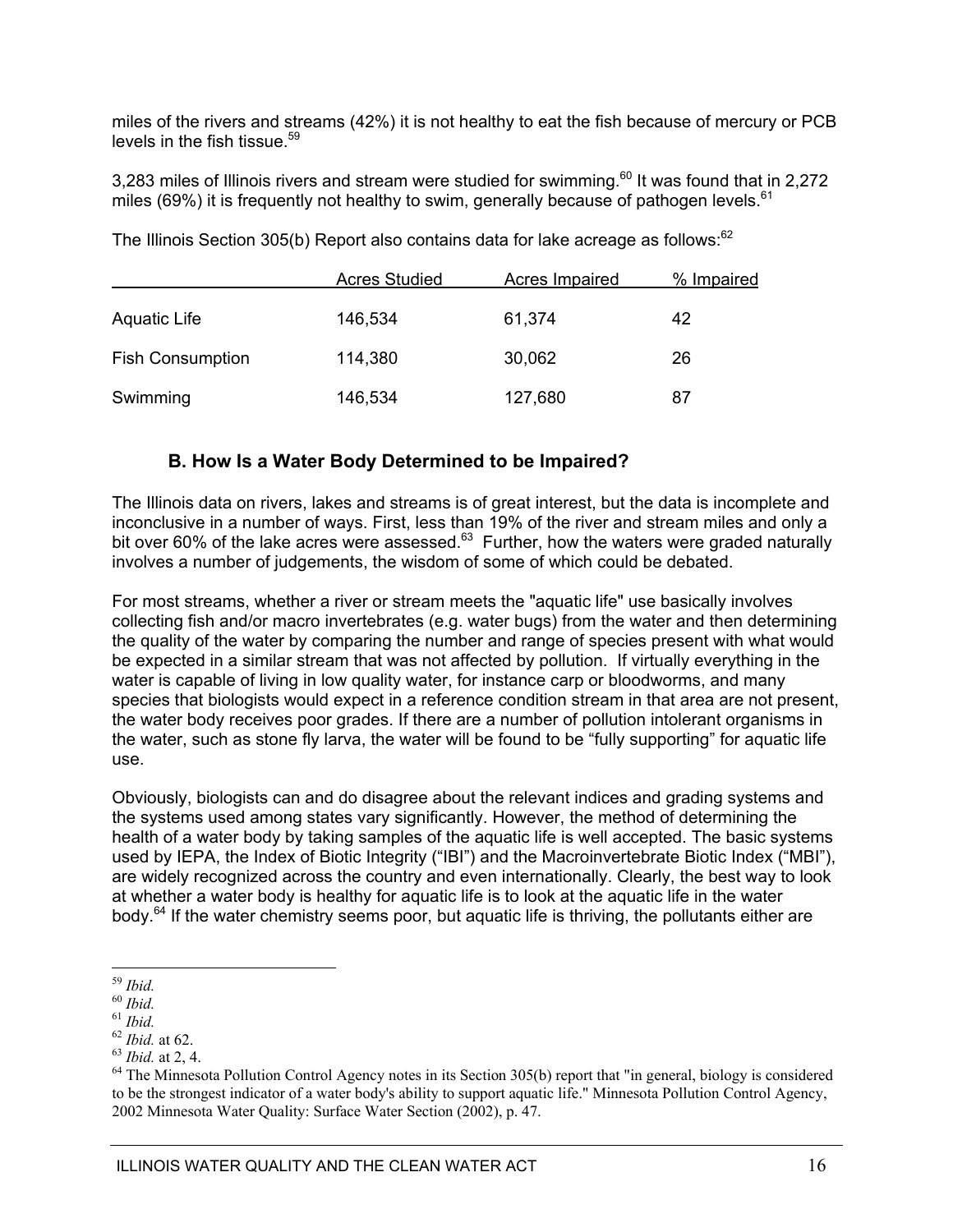miles of the rivers and streams (42%) it is not healthy to eat the fish because of mercury or PCB levels in the fish tissue.<sup>59</sup>

3,283 miles of Illinois rivers and stream were studied for swimming. $60$  It was found that in 2,272 miles (69%) it is frequently not healthy to swim, generally because of pathogen levels.<sup>61</sup>

 Acres Studied Acres Impaired % Impaired Aquatic Life 146.534 61.374 42 Fish Consumption 114,380 30,062 26 Swimming 146,534 127,680 87

The Illinois Section 305(b) Report also contains data for lake acreage as follows: $62$ 

### **B. How Is a Water Body Determined to be Impaired?**

The Illinois data on rivers, lakes and streams is of great interest, but the data is incomplete and inconclusive in a number of ways. First, less than 19% of the river and stream miles and only a bit over 60% of the lake acres were assessed.<sup>63</sup> Further, how the waters were graded naturally involves a number of judgements, the wisdom of some of which could be debated.

For most streams, whether a river or stream meets the "aquatic life" use basically involves collecting fish and/or macro invertebrates (e.g. water bugs) from the water and then determining the quality of the water by comparing the number and range of species present with what would be expected in a similar stream that was not affected by pollution. If virtually everything in the water is capable of living in low quality water, for instance carp or bloodworms, and many species that biologists would expect in a reference condition stream in that area are not present, the water body receives poor grades. If there are a number of pollution intolerant organisms in the water, such as stone fly larva, the water will be found to be "fully supporting" for aquatic life use.

Obviously, biologists can and do disagree about the relevant indices and grading systems and the systems used among states vary significantly. However, the method of determining the health of a water body by taking samples of the aquatic life is well accepted. The basic systems used by IEPA, the Index of Biotic Integrity ("IBI") and the Macroinvertebrate Biotic Index ("MBI"), are widely recognized across the country and even internationally. Clearly, the best way to look at whether a water body is healthy for aquatic life is to look at the aquatic life in the water body.<sup>64</sup> If the water chemistry seems poor, but aquatic life is thriving, the pollutants either are

 $^{\rm 59}$  Ibid.

<sup>&</sup>lt;sup>60</sup> *Ibid.*<br>
<sup>61</sup> *Ibid.* 62 *Ibid.* at 62.<br>
<sup>62</sup> *Ibid.* at 62.<br>
<sup>63</sup> *Ibid.* at 2, 4.<br>
<sup>64</sup> The Minnesota Pollution Control Agency notes in its Section 305(b) report that "in general, biology is considered to be the strongest indicator of a water body's ability to support aquatic life." Minnesota Pollution Control Agency, 2002 Minnesota Water Quality: Surface Water Section (2002), p. 47.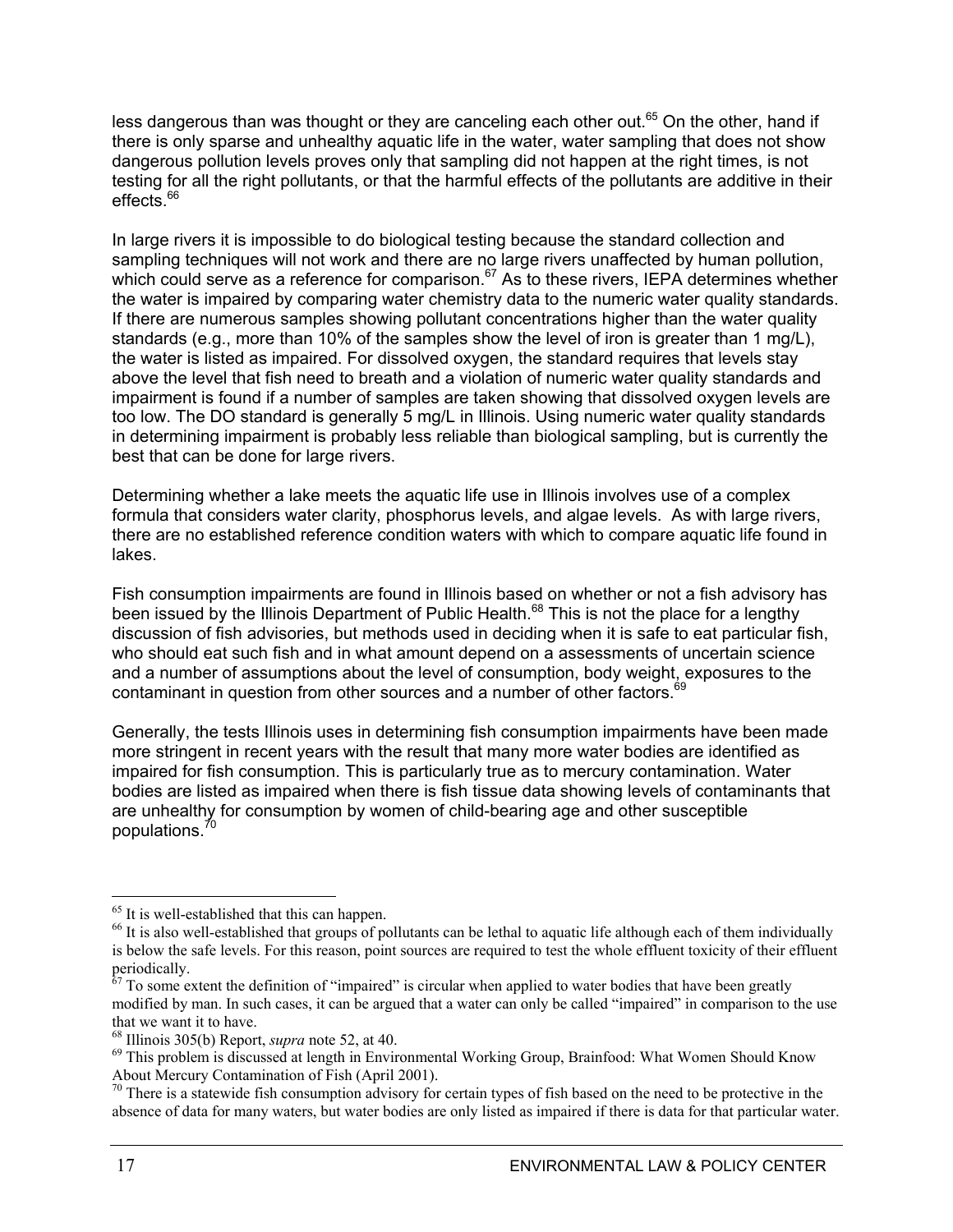less dangerous than was thought or they are canceling each other out.<sup>65</sup> On the other, hand if there is only sparse and unhealthy aquatic life in the water, water sampling that does not show dangerous pollution levels proves only that sampling did not happen at the right times, is not testing for all the right pollutants, or that the harmful effects of the pollutants are additive in their effects.<sup>66</sup>

In large rivers it is impossible to do biological testing because the standard collection and sampling techniques will not work and there are no large rivers unaffected by human pollution, which could serve as a reference for comparison.<sup>67</sup> As to these rivers, IEPA determines whether the water is impaired by comparing water chemistry data to the numeric water quality standards. If there are numerous samples showing pollutant concentrations higher than the water quality standards (e.g., more than 10% of the samples show the level of iron is greater than 1 mg/L), the water is listed as impaired. For dissolved oxygen, the standard requires that levels stay above the level that fish need to breath and a violation of numeric water quality standards and impairment is found if a number of samples are taken showing that dissolved oxygen levels are too low. The DO standard is generally 5 mg/L in Illinois. Using numeric water quality standards in determining impairment is probably less reliable than biological sampling, but is currently the best that can be done for large rivers.

Determining whether a lake meets the aquatic life use in Illinois involves use of a complex formula that considers water clarity, phosphorus levels, and algae levels. As with large rivers, there are no established reference condition waters with which to compare aquatic life found in lakes.

Fish consumption impairments are found in Illinois based on whether or not a fish advisory has been issued by the Illinois Department of Public Health.<sup>68</sup> This is not the place for a lengthy discussion of fish advisories, but methods used in deciding when it is safe to eat particular fish, who should eat such fish and in what amount depend on a assessments of uncertain science and a number of assumptions about the level of consumption, body weight, exposures to the contaminant in question from other sources and a number of other factors.<sup>69</sup>

Generally, the tests Illinois uses in determining fish consumption impairments have been made more stringent in recent years with the result that many more water bodies are identified as impaired for fish consumption. This is particularly true as to mercury contamination. Water bodies are listed as impaired when there is fish tissue data showing levels of contaminants that are unhealthy for consumption by women of child-bearing age and other susceptible populations.70

<sup>&</sup>lt;sup>65</sup> It is well-established that this can happen.

<sup>&</sup>lt;sup>66</sup> It is also well-established that groups of pollutants can be lethal to aquatic life although each of them individually is below the safe levels. For this reason, point sources are required to test the whole effluent toxicity of their effluent periodically.

 $67$  To some extent the definition of "impaired" is circular when applied to water bodies that have been greatly modified by man. In such cases, it can be argued that a water can only be called "impaired" in comparison to the use that we want it to have.<br><sup>68</sup> Illinois 305(b) Report, *supra* note 52, at 40.

<sup>&</sup>lt;sup>69</sup> This problem is discussed at length in Environmental Working Group, Brainfood: What Women Should Know About Mercury Contamination of Fish (April 2001).

<sup>&</sup>lt;sup>70</sup> There is a statewide fish consumption advisory for certain types of fish based on the need to be protective in the absence of data for many waters, but water bodies are only listed as impaired if there is data for that particular water.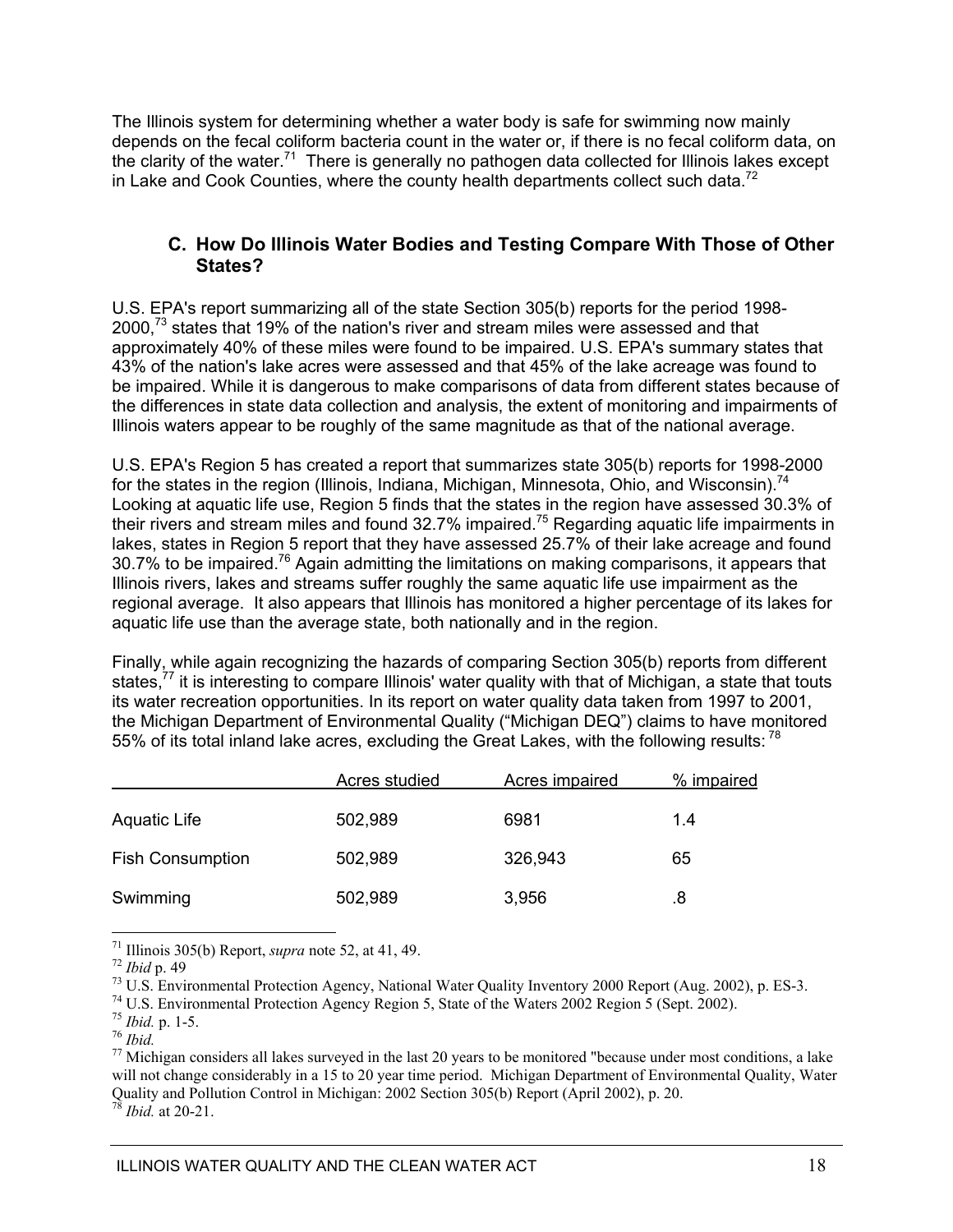The Illinois system for determining whether a water body is safe for swimming now mainly depends on the fecal coliform bacteria count in the water or, if there is no fecal coliform data, on the clarity of the water.<sup>71</sup> There is generally no pathogen data collected for Illinois lakes except in Lake and Cook Counties, where the county health departments collect such data.<sup>72</sup>

### **C. How Do Illinois Water Bodies and Testing Compare With Those of Other States?**

U.S. EPA's report summarizing all of the state Section 305(b) reports for the period 1998- 2000.<sup>73</sup> states that 19% of the nation's river and stream miles were assessed and that approximately 40% of these miles were found to be impaired. U.S. EPA's summary states that 43% of the nation's lake acres were assessed and that 45% of the lake acreage was found to be impaired. While it is dangerous to make comparisons of data from different states because of the differences in state data collection and analysis, the extent of monitoring and impairments of Illinois waters appear to be roughly of the same magnitude as that of the national average.

U.S. EPA's Region 5 has created a report that summarizes state 305(b) reports for 1998-2000 for the states in the region (Illinois, Indiana, Michigan, Minnesota, Ohio, and Wisconsin).<sup>74</sup> Looking at aquatic life use, Region 5 finds that the states in the region have assessed 30.3% of their rivers and stream miles and found 32.7% impaired.<sup>75</sup> Regarding aquatic life impairments in lakes, states in Region 5 report that they have assessed 25.7% of their lake acreage and found 30.7% to be impaired.<sup>76</sup> Again admitting the limitations on making comparisons, it appears that Illinois rivers, lakes and streams suffer roughly the same aquatic life use impairment as the regional average. It also appears that Illinois has monitored a higher percentage of its lakes for aquatic life use than the average state, both nationally and in the region.

Finally, while again recognizing the hazards of comparing Section 305(b) reports from different states,<sup>77</sup> it is interesting to compare Illinois' water quality with that of Michigan, a state that touts its water recreation opportunities. In its report on water quality data taken from 1997 to 2001, the Michigan Department of Environmental Quality ("Michigan DEQ") claims to have monitored 55% of its total inland lake acres, excluding the Great Lakes, with the following results: 78

|                         | Acres studied | <b>Acres impaired</b> | % impaired |
|-------------------------|---------------|-----------------------|------------|
| <b>Aquatic Life</b>     | 502,989       | 6981                  | 1.4        |
| <b>Fish Consumption</b> | 502,989       | 326,943               | 65         |
| Swimming                | 502,989       | 3,956                 | .8         |

 $\overline{a}$ 

<sup>71</sup> Illinois 305(b) Report, *supra* note 52, at 41, 49.<br><sup>72</sup> Ibid p. 49<br><sup>73</sup> U.S. Environmental Protection Agency, National Water Quality Inventory 2000 Report (Aug. 2002), p. ES-3.<br><sup>74</sup> U.S. Environmental Protection Age

<sup>76</sup> *Ibid.* <sup>7</sup><br><sup>77</sup> Michigan considers all lakes surveyed in the last 20 years to be monitored "because under most conditions, a lake will not change considerably in a 15 to 20 year time period. Michigan Department of Environmental Quality, Water Quality and Pollution Control in Michigan: 2002 Section 305(b) Report (April 2002), p. 20.

<sup>78</sup> *Ibid.* at 20-21.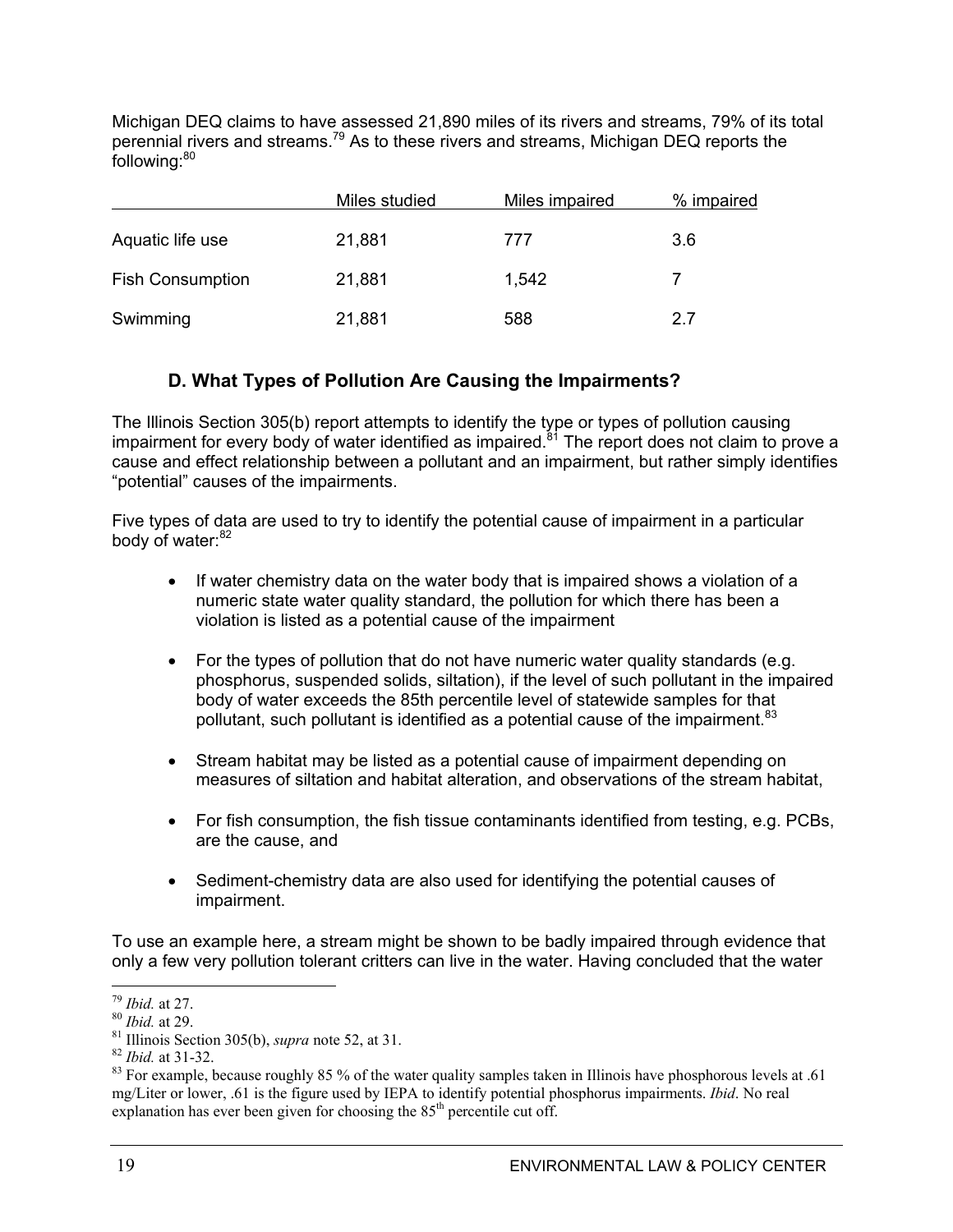Michigan DEQ claims to have assessed 21,890 miles of its rivers and streams, 79% of its total perennial rivers and streams.79 As to these rivers and streams, Michigan DEQ reports the following:<sup>80</sup>

|                         | Miles studied | Miles impaired | % impaired |
|-------------------------|---------------|----------------|------------|
| Aquatic life use        | 21,881        | 777            | 3.6        |
| <b>Fish Consumption</b> | 21,881        | 1,542          |            |
| Swimming                | 21,881        | 588            | 27         |

### **D. What Types of Pollution Are Causing the Impairments?**

The Illinois Section 305(b) report attempts to identify the type or types of pollution causing impairment for every body of water identified as impaired.81 The report does not claim to prove a cause and effect relationship between a pollutant and an impairment, but rather simply identifies "potential" causes of the impairments.

Five types of data are used to try to identify the potential cause of impairment in a particular body of water:<sup>82</sup>

- If water chemistry data on the water body that is impaired shows a violation of a numeric state water quality standard, the pollution for which there has been a violation is listed as a potential cause of the impairment
- $\bullet$  For the types of pollution that do not have numeric water quality standards (e.g. phosphorus, suspended solids, siltation), if the level of such pollutant in the impaired body of water exceeds the 85th percentile level of statewide samples for that pollutant, such pollutant is identified as a potential cause of the impairment.<sup>83</sup>
- Stream habitat may be listed as a potential cause of impairment depending on measures of siltation and habitat alteration, and observations of the stream habitat,
- $\bullet$  For fish consumption, the fish tissue contaminants identified from testing, e.g. PCBs, are the cause, and
- Sediment-chemistry data are also used for identifying the potential causes of impairment.

To use an example here, a stream might be shown to be badly impaired through evidence that only a few very pollution tolerant critters can live in the water. Having concluded that the water

 $79$  *Ibid.* at 27.

<sup>&</sup>lt;sup>80</sup> *Ibid.* at 29.<br><sup>81</sup> Illinois Section 305(b), *supra* note 52, at 31.<br><sup>82</sup> *Ibid.* at 31-32.<br><sup>83</sup> For example, because roughly 85 % of the water quality samples taken in Illinois have phosphorous levels at .61 mg/Liter or lower, .61 is the figure used by IEPA to identify potential phosphorus impairments. *Ibid*. No real explanation has ever been given for choosing the  $85<sup>th</sup>$  percentile cut off.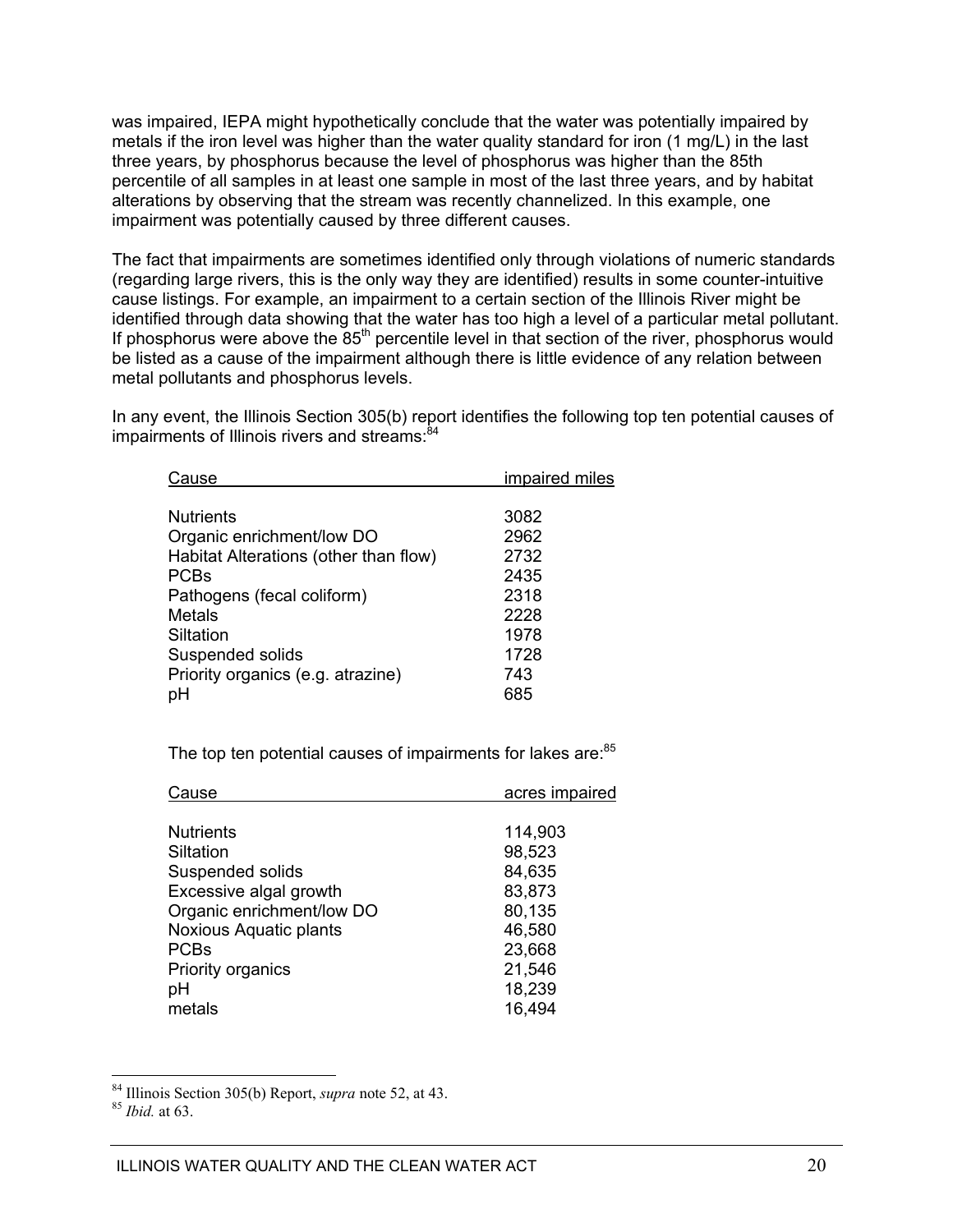was impaired, IEPA might hypothetically conclude that the water was potentially impaired by metals if the iron level was higher than the water quality standard for iron (1 mg/L) in the last three years, by phosphorus because the level of phosphorus was higher than the 85th percentile of all samples in at least one sample in most of the last three years, and by habitat alterations by observing that the stream was recently channelized. In this example, one impairment was potentially caused by three different causes.

The fact that impairments are sometimes identified only through violations of numeric standards (regarding large rivers, this is the only way they are identified) results in some counter-intuitive cause listings. For example, an impairment to a certain section of the Illinois River might be identified through data showing that the water has too high a level of a particular metal pollutant. If phosphorus were above the  $85<sup>th</sup>$  percentile level in that section of the river, phosphorus would be listed as a cause of the impairment although there is little evidence of any relation between metal pollutants and phosphorus levels.

In any event, the Illinois Section 305(b) report identifies the following top ten potential causes of impairments of Illinois rivers and streams: 84

| Cause                                 | impaired miles |
|---------------------------------------|----------------|
|                                       |                |
| <b>Nutrients</b>                      | 3082           |
| Organic enrichment/low DO             | 2962           |
| Habitat Alterations (other than flow) | 2732           |
| <b>PCBs</b>                           | 2435           |
| Pathogens (fecal coliform)            | 2318           |
| Metals                                | 2228           |
| Siltation                             | 1978           |
| Suspended solids                      | 1728           |
| Priority organics (e.g. atrazine)     | 743            |
| рH                                    | 685            |
|                                       |                |

The top ten potential causes of impairments for lakes are: 85

| Cause                     | acres impaired |
|---------------------------|----------------|
|                           |                |
| <b>Nutrients</b>          | 114,903        |
| Siltation                 | 98,523         |
| Suspended solids          | 84,635         |
| Excessive algal growth    | 83,873         |
| Organic enrichment/low DO | 80,135         |
| Noxious Aquatic plants    | 46,580         |
| <b>PCBs</b>               | 23,668         |
| <b>Priority organics</b>  | 21,546         |
| рH                        | 18,239         |
| metals                    | 16,494         |
|                           |                |

<sup>84</sup> Illinois Section 305(b) Report, *supra* note 52, at 43. <sup>85</sup> *Ibid.* at 63.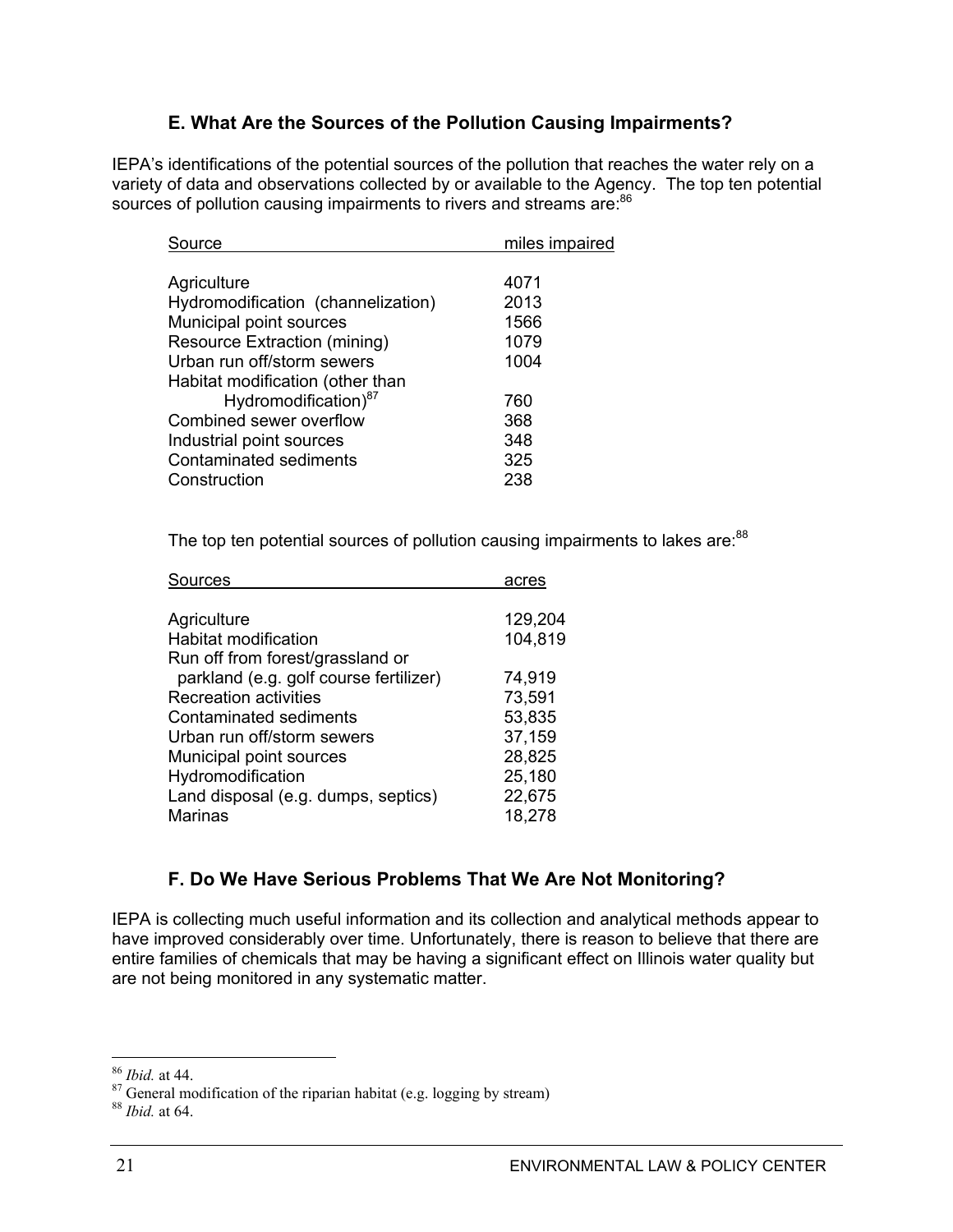### **E. What Are the Sources of the Pollution Causing Impairments?**

IEPA's identifications of the potential sources of the pollution that reaches the water rely on a variety of data and observations collected by or available to the Agency. The top ten potential sources of pollution causing impairments to rivers and streams are:<sup>86</sup>

| Source                             | miles impaired |
|------------------------------------|----------------|
|                                    |                |
| Agriculture                        | 4071           |
| Hydromodification (channelization) | 2013           |
| Municipal point sources            | 1566           |
| Resource Extraction (mining)       | 1079           |
| Urban run off/storm sewers         | 1004           |
| Habitat modification (other than   |                |
| Hydromodification) <sup>87</sup>   | 760            |
| Combined sewer overflow            | 368            |
| Industrial point sources           | 348            |
| Contaminated sediments             | 325            |
| Construction                       | 238            |
|                                    |                |

The top ten potential sources of pollution causing impairments to lakes are: $88$ 

| Sources                                                                    | acres            |
|----------------------------------------------------------------------------|------------------|
| Agriculture                                                                | 129,204          |
| Habitat modification                                                       | 104,819          |
| Run off from forest/grassland or<br>parkland (e.g. golf course fertilizer) | 74,919           |
| <b>Recreation activities</b>                                               | 73,591           |
| Contaminated sediments                                                     | 53,835           |
| Urban run off/storm sewers                                                 | 37,159           |
| Municipal point sources                                                    | 28,825           |
| Hydromodification                                                          | 25,180           |
| Land disposal (e.g. dumps, septics)<br><b>Marinas</b>                      | 22,675<br>18,278 |
|                                                                            |                  |

### **F. Do We Have Serious Problems That We Are Not Monitoring?**

IEPA is collecting much useful information and its collection and analytical methods appear to have improved considerably over time. Unfortunately, there is reason to believe that there are entire families of chemicals that may be having a significant effect on Illinois water quality but are not being monitored in any systematic matter.

<sup>&</sup>lt;sup>86</sup> *Ibid.* at 44.<br><sup>87</sup> General modification of the riparian habitat (e.g. logging by stream)

<sup>88</sup> *Ibid.* at 64.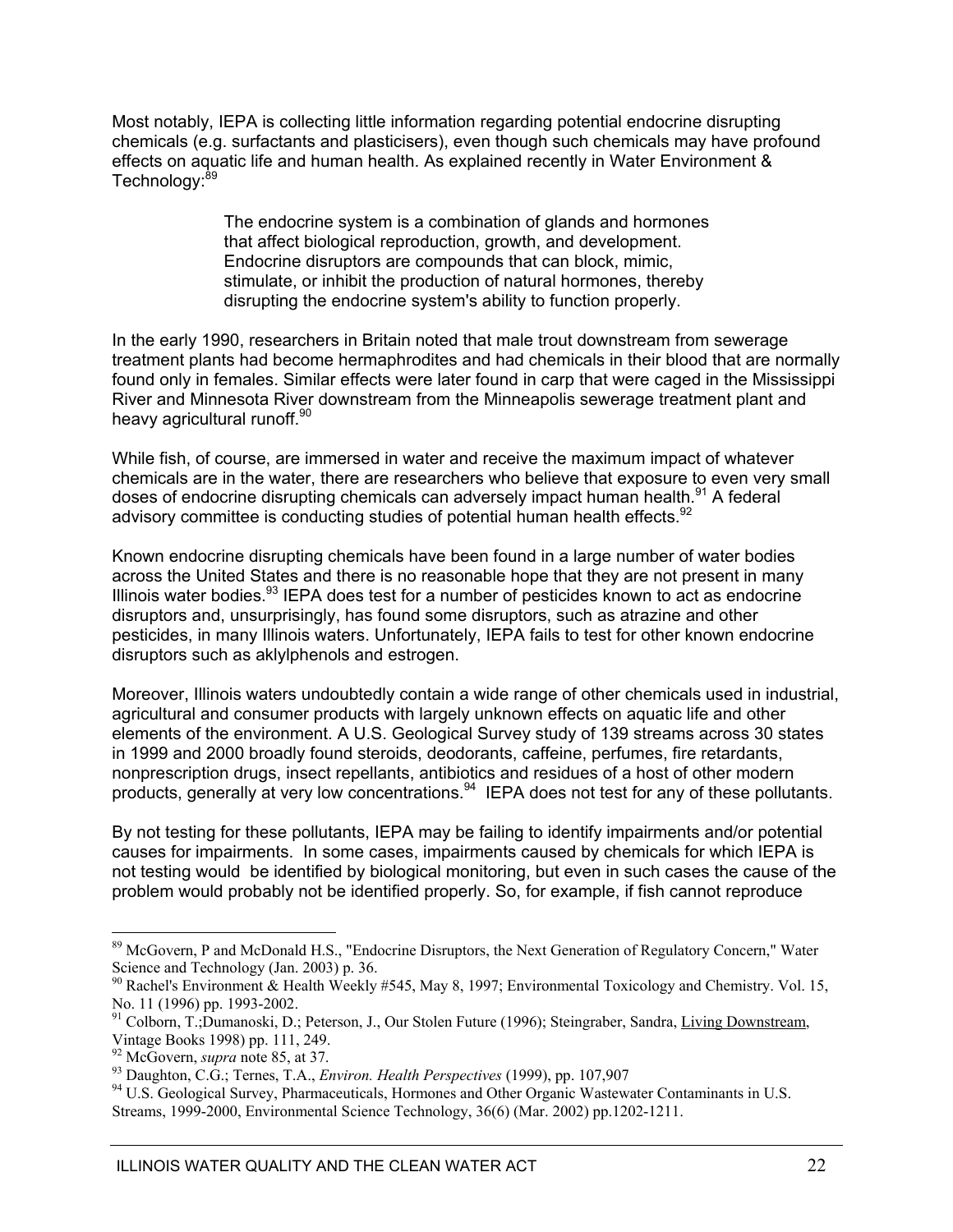Most notably, IEPA is collecting little information regarding potential endocrine disrupting chemicals (e.g. surfactants and plasticisers), even though such chemicals may have profound effects on aquatic life and human health. As explained recently in Water Environment & Technology:<sup>89</sup>

> The endocrine system is a combination of glands and hormones that affect biological reproduction, growth, and development. Endocrine disruptors are compounds that can block, mimic, stimulate, or inhibit the production of natural hormones, thereby disrupting the endocrine system's ability to function properly.

In the early 1990, researchers in Britain noted that male trout downstream from sewerage treatment plants had become hermaphrodites and had chemicals in their blood that are normally found only in females. Similar effects were later found in carp that were caged in the Mississippi River and Minnesota River downstream from the Minneapolis sewerage treatment plant and heavy agricultural runoff.<sup>90</sup>

While fish, of course, are immersed in water and receive the maximum impact of whatever chemicals are in the water, there are researchers who believe that exposure to even very small doses of endocrine disrupting chemicals can adversely impact human health.<sup>91</sup> A federal advisory committee is conducting studies of potential human health effects.  $92$ 

Known endocrine disrupting chemicals have been found in a large number of water bodies across the United States and there is no reasonable hope that they are not present in many Illinois water bodies. $93$  IEPA does test for a number of pesticides known to act as endocrine disruptors and, unsurprisingly, has found some disruptors, such as atrazine and other pesticides, in many Illinois waters. Unfortunately, IEPA fails to test for other known endocrine disruptors such as aklylphenols and estrogen.

Moreover, Illinois waters undoubtedly contain a wide range of other chemicals used in industrial, agricultural and consumer products with largely unknown effects on aquatic life and other elements of the environment. A U.S. Geological Survey study of 139 streams across 30 states in 1999 and 2000 broadly found steroids, deodorants, caffeine, perfumes, fire retardants, nonprescription drugs, insect repellants, antibiotics and residues of a host of other modern products, generally at very low concentrations.<sup>94</sup> IEPA does not test for any of these pollutants.

By not testing for these pollutants, IEPA may be failing to identify impairments and/or potential causes for impairments. In some cases, impairments caused by chemicals for which IEPA is not testing would be identified by biological monitoring, but even in such cases the cause of the problem would probably not be identified properly. So, for example, if fish cannot reproduce

<sup>&</sup>lt;sup>89</sup> McGovern, P and McDonald H.S., "Endocrine Disruptors, the Next Generation of Regulatory Concern," Water Science and Technology (Jan. 2003) p. 36.

<sup>&</sup>lt;sup>90</sup> Rachel's Environment & Health Weekly #545, May 8, 1997; Environmental Toxicology and Chemistry. Vol. 15, No. 11 (1996) pp. 1993-2002.

<sup>91</sup> Colborn, T.;Dumanoski, D.; Peterson, J., Our Stolen Future (1996); Steingraber, Sandra, Living Downstream,

Vintage Books 1998) pp. 111, 249.<br><sup>92</sup> McGovern, *supra* note 85, at 37.

<sup>&</sup>lt;sup>93</sup> Daughton, C.G.; Ternes, T.A., *Environ. Health Perspectives* (1999), pp. 107,907<br><sup>94</sup> U.S. Geological Survey, Pharmaceuticals, Hormones and Other Organic Wastewater Contaminants in U.S. Streams, 1999-2000, Environmental Science Technology, 36(6) (Mar. 2002) pp.1202-1211.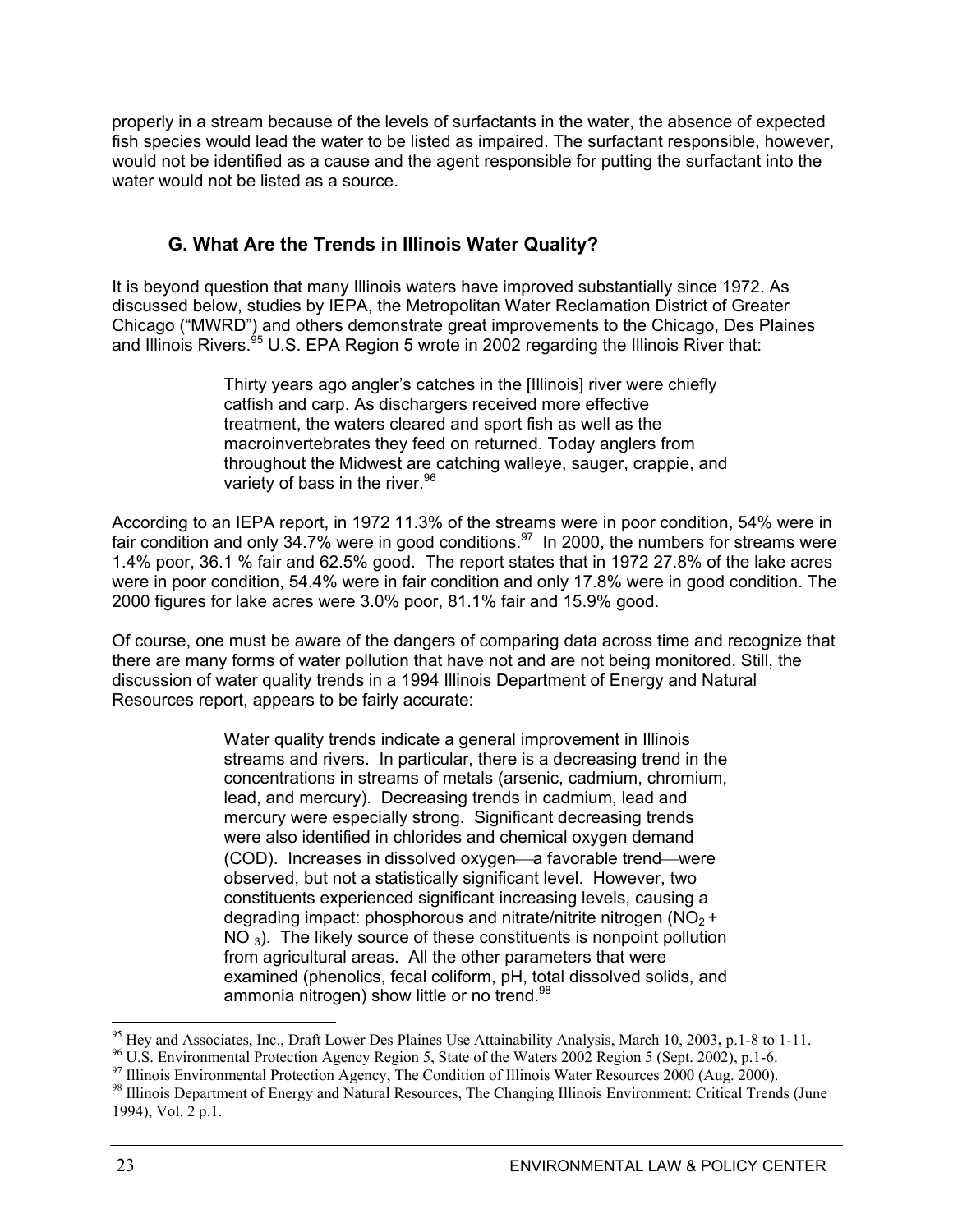properly in a stream because of the levels of surfactants in the water, the absence of expected fish species would lead the water to be listed as impaired. The surfactant responsible, however, would not be identified as a cause and the agent responsible for putting the surfactant into the water would not be listed as a source.

### **G. What Are the Trends in Illinois Water Quality?**

It is beyond question that many Illinois waters have improved substantially since 1972. As discussed below, studies by IEPA, the Metropolitan Water Reclamation District of Greater Chicago ("MWRD") and others demonstrate great improvements to the Chicago, Des Plaines and Illinois Rivers. $95$  U.S. EPA Region 5 wrote in 2002 regarding the Illinois River that:

> Thirty years ago angler's catches in the [Illinois] river were chiefly catfish and carp. As dischargers received more effective treatment, the waters cleared and sport fish as well as the macroinvertebrates they feed on returned. Today anglers from throughout the Midwest are catching walleye, sauger, crappie, and variety of bass in the river.  $96$

According to an IEPA report, in 1972 11.3% of the streams were in poor condition, 54% were in fair condition and only 34.7% were in good conditions.<sup>97</sup> In 2000, the numbers for streams were 1.4% poor, 36.1 % fair and 62.5% good. The report states that in 1972 27.8% of the lake acres were in poor condition, 54.4% were in fair condition and only 17.8% were in good condition. The 2000 figures for lake acres were 3.0% poor, 81.1% fair and 15.9% good.

Of course, one must be aware of the dangers of comparing data across time and recognize that there are many forms of water pollution that have not and are not being monitored. Still, the discussion of water quality trends in a 1994 Illinois Department of Energy and Natural Resources report, appears to be fairly accurate:

> Water quality trends indicate a general improvement in Illinois streams and rivers. In particular, there is a decreasing trend in the concentrations in streams of metals (arsenic, cadmium, chromium, lead, and mercury). Decreasing trends in cadmium, lead and mercury were especially strong. Significant decreasing trends were also identified in chlorides and chemical oxygen demand (COD). Increases in dissolved oxygen—a favorable trend—were observed, but not a statistically significant level. However, two constituents experienced significant increasing levels, causing a degrading impact: phosphorous and nitrate/nitrite nitrogen ( $NO<sub>2</sub> +$ NO<sub>3</sub>). The likely source of these constituents is nonpoint pollution from agricultural areas. All the other parameters that were examined (phenolics, fecal coliform, pH, total dissolved solids, and ammonia nitrogen) show little or no trend.<sup>98</sup>

<sup>&</sup>lt;sup>95</sup> Hey and Associates, Inc., Draft Lower Des Plaines Use Attainability Analysis, March 10, 2003, p.1-8 to 1-11. <sup>96</sup> U.S. Environmental Protection Agency Region 5, State of the Waters 2002 Region 5 (Sept. 2002), p.1-6.

<sup>&</sup>lt;sup>97</sup> Illinois Environmental Protection Agency, The Condition of Illinois Water Resources 2000 (Aug. 2000).

<sup>&</sup>lt;sup>98</sup> Illinois Department of Energy and Natural Resources, The Changing Illinois Environment: Critical Trends (June 1994), Vol. 2 p.1.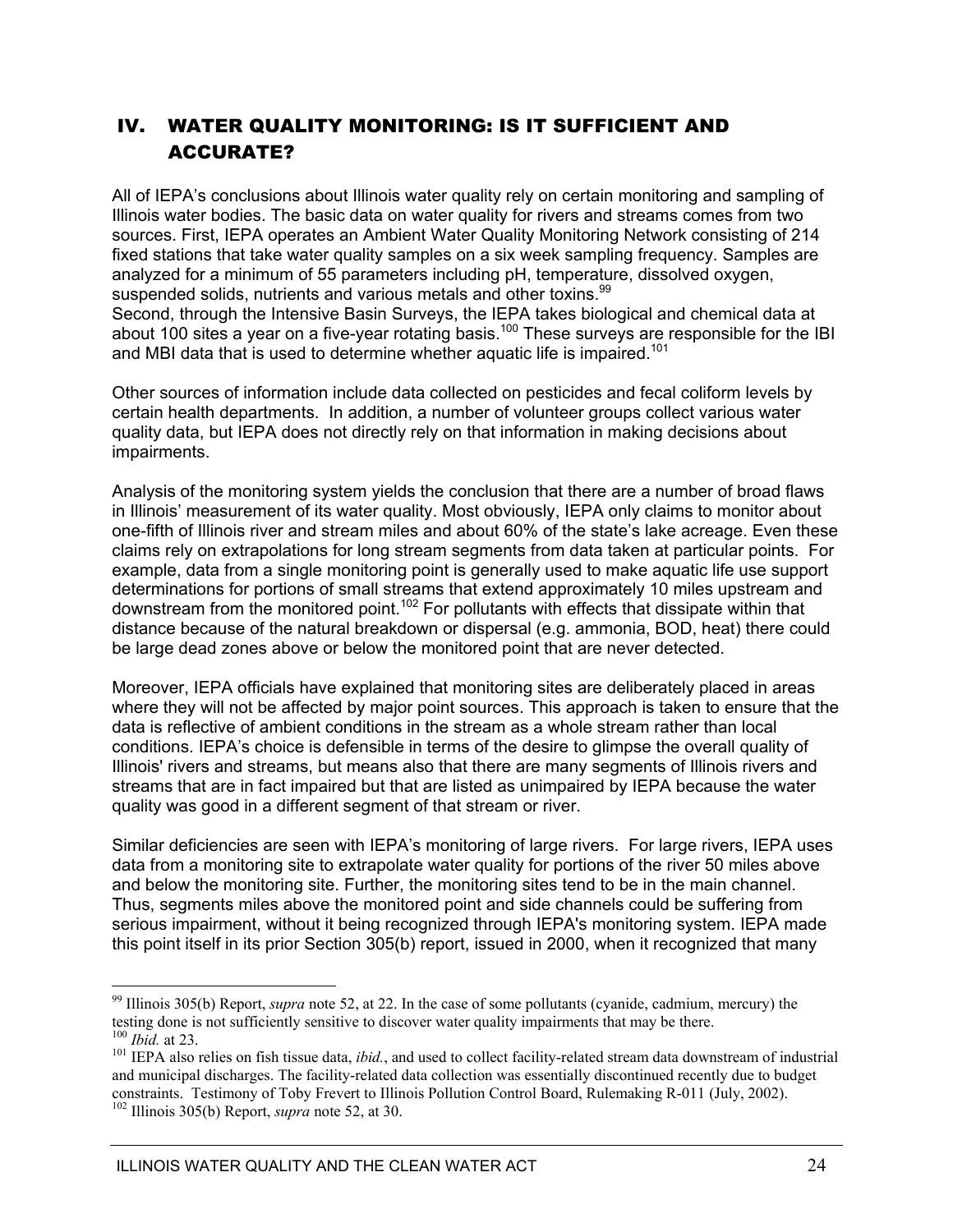### IV. WATER QUALITY MONITORING: IS IT SUFFICIENT AND ACCURATE?

All of IEPA's conclusions about Illinois water quality rely on certain monitoring and sampling of Illinois water bodies. The basic data on water quality for rivers and streams comes from two sources. First, IEPA operates an Ambient Water Quality Monitoring Network consisting of 214 fixed stations that take water quality samples on a six week sampling frequency. Samples are analyzed for a minimum of 55 parameters including pH, temperature, dissolved oxygen, suspended solids, nutrients and various metals and other toxins.<sup>99</sup>

Second, through the Intensive Basin Surveys, the IEPA takes biological and chemical data at about 100 sites a year on a five-year rotating basis.<sup>100</sup> These surveys are responsible for the IBI and MBI data that is used to determine whether aquatic life is impaired.<sup>101</sup>

Other sources of information include data collected on pesticides and fecal coliform levels by certain health departments. In addition, a number of volunteer groups collect various water quality data, but IEPA does not directly rely on that information in making decisions about impairments.

Analysis of the monitoring system yields the conclusion that there are a number of broad flaws in Illinois' measurement of its water quality. Most obviously, IEPA only claims to monitor about one-fifth of Illinois river and stream miles and about 60% of the state's lake acreage. Even these claims rely on extrapolations for long stream segments from data taken at particular points. For example, data from a single monitoring point is generally used to make aquatic life use support determinations for portions of small streams that extend approximately 10 miles upstream and downstream from the monitored point.102 For pollutants with effects that dissipate within that distance because of the natural breakdown or dispersal (e.g. ammonia, BOD, heat) there could be large dead zones above or below the monitored point that are never detected.

Moreover, IEPA officials have explained that monitoring sites are deliberately placed in areas where they will not be affected by major point sources. This approach is taken to ensure that the data is reflective of ambient conditions in the stream as a whole stream rather than local conditions. IEPA's choice is defensible in terms of the desire to glimpse the overall quality of Illinois' rivers and streams, but means also that there are many segments of Illinois rivers and streams that are in fact impaired but that are listed as unimpaired by IEPA because the water quality was good in a different segment of that stream or river.

Similar deficiencies are seen with IEPA's monitoring of large rivers. For large rivers, IEPA uses data from a monitoring site to extrapolate water quality for portions of the river 50 miles above and below the monitoring site. Further, the monitoring sites tend to be in the main channel. Thus, segments miles above the monitored point and side channels could be suffering from serious impairment, without it being recognized through IEPA's monitoring system. IEPA made this point itself in its prior Section 305(b) report, issued in 2000, when it recognized that many

<sup>99</sup> Illinois 305(b) Report, *supra* note 52, at 22. In the case of some pollutants (cyanide, cadmium, mercury) the testing done is not sufficiently sensitive to discover water quality impairments that may be there.<br><sup>100</sup> *Ibid.* at 23.

<sup>&</sup>lt;sup>101</sup> IEPA also relies on fish tissue data, *ibid.*, and used to collect facility-related stream data downstream of industrial and municipal discharges. The facility-related data collection was essentially discontinued recently due to budget constraints. Testimony of Toby Frevert to Illinois Pollution Control Board, Rulemaking R-011 (July, 2002). 102 Illinois 305(b) Report, *supra* note 52, at 30.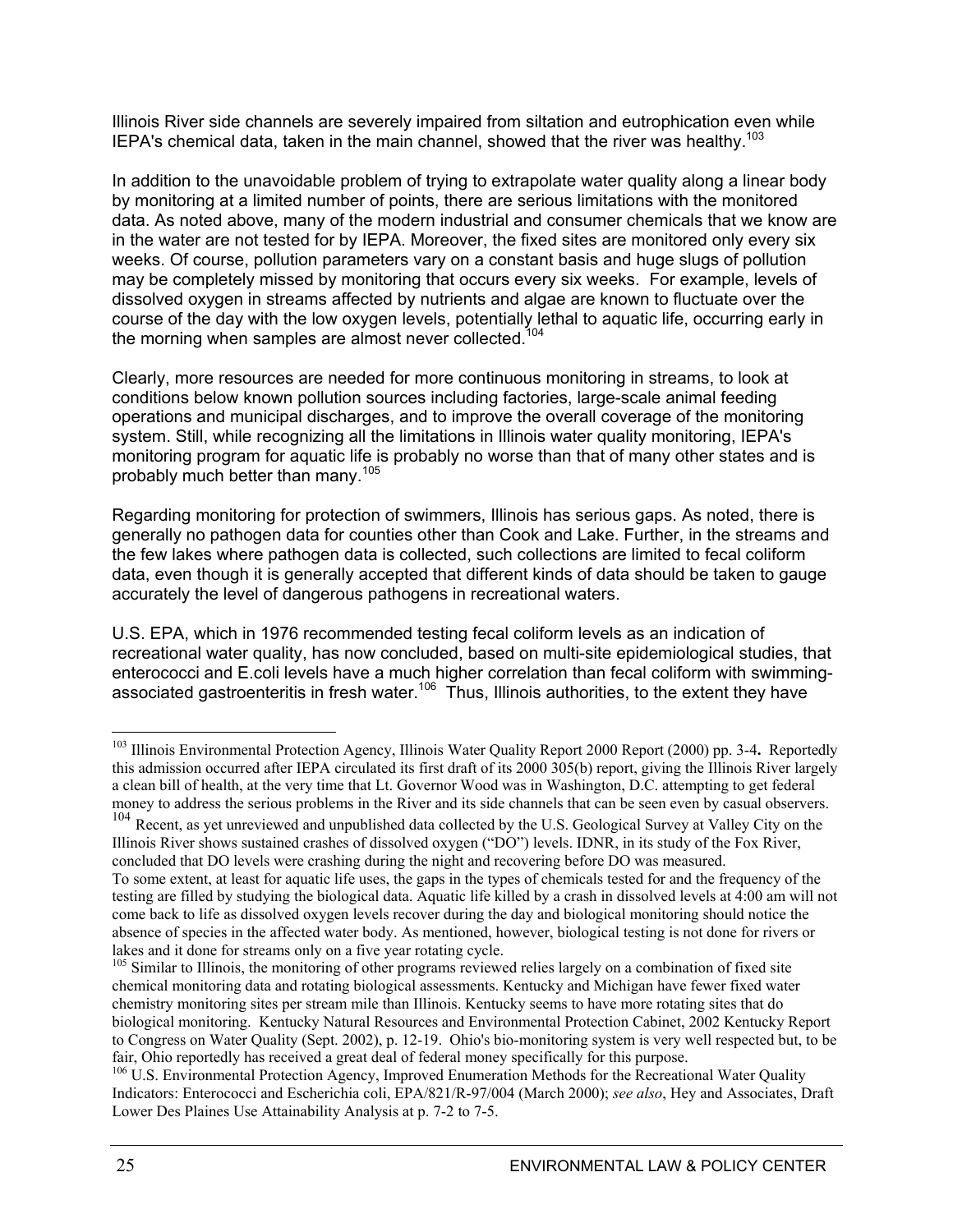Illinois River side channels are severely impaired from siltation and eutrophication even while IEPA's chemical data, taken in the main channel, showed that the river was healthy.<sup>103</sup>

In addition to the unavoidable problem of trying to extrapolate water quality along a linear body by monitoring at a limited number of points, there are serious limitations with the monitored data. As noted above, many of the modern industrial and consumer chemicals that we know are in the water are not tested for by IEPA. Moreover, the fixed sites are monitored only every six weeks. Of course, pollution parameters vary on a constant basis and huge slugs of pollution may be completely missed by monitoring that occurs every six weeks. For example, levels of dissolved oxygen in streams affected by nutrients and algae are known to fluctuate over the course of the day with the low oxygen levels, potentially lethal to aquatic life, occurring early in the morning when samples are almost never collected.<sup>104</sup>

Clearly, more resources are needed for more continuous monitoring in streams, to look at conditions below known pollution sources including factories, large-scale animal feeding operations and municipal discharges, and to improve the overall coverage of the monitoring system. Still, while recognizing all the limitations in Illinois water quality monitoring, IEPA's monitoring program for aquatic life is probably no worse than that of many other states and is probably much better than many.<sup>105</sup>

Regarding monitoring for protection of swimmers, Illinois has serious gaps. As noted, there is generally no pathogen data for counties other than Cook and Lake. Further, in the streams and the few lakes where pathogen data is collected, such collections are limited to fecal coliform data, even though it is generally accepted that different kinds of data should be taken to gauge accurately the level of dangerous pathogens in recreational waters.

U.S. EPA, which in 1976 recommended testing fecal coliform levels as an indication of recreational water quality, has now concluded, based on multi-site epidemiological studies, that enterococci and E.coli levels have a much higher correlation than fecal coliform with swimmingassociated gastroenteritis in fresh water.<sup>106</sup> Thus, Illinois authorities, to the extent they have

 $\overline{a}$ <sup>103</sup> Illinois Environmental Protection Agency, Illinois Water Quality Report 2000 Report (2000) pp. 3-4**.** Reportedly this admission occurred after IEPA circulated its first draft of its 2000 305(b) report, giving the Illinois River largely a clean bill of health, at the very time that Lt. Governor Wood was in Washington, D.C. attempting to get federal money to address the serious problems in the River and its side channels that can be seen even by casual observers.

<sup>&</sup>lt;sup>104</sup> Recent, as yet unreviewed and unpublished data collected by the U.S. Geological Survey at Valley City on the Illinois River shows sustained crashes of dissolved oxygen ("DO") levels. IDNR, in its study of the Fox River, concluded that DO levels were crashing during the night and recovering before DO was measured. To some extent, at least for aquatic life uses, the gaps in the types of chemicals tested for and the frequency of the

testing are filled by studying the biological data. Aquatic life killed by a crash in dissolved levels at 4:00 am will not come back to life as dissolved oxygen levels recover during the day and biological monitoring should notice the absence of species in the affected water body. As mentioned, however, biological testing is not done for rivers or lakes and it done for streams only on a five year rotating cycle.

<sup>&</sup>lt;sup>105</sup> Similar to Illinois, the monitoring of other programs reviewed relies largely on a combination of fixed site chemical monitoring data and rotating biological assessments. Kentucky and Michigan have fewer fixed water chemistry monitoring sites per stream mile than Illinois. Kentucky seems to have more rotating sites that do biological monitoring. Kentucky Natural Resources and Environmental Protection Cabinet, 2002 Kentucky Report to Congress on Water Quality (Sept. 2002), p. 12-19. Ohio's bio-monitoring system is very well respected but, to be fair, Ohio reportedly has received a great deal of federal money specifically for this purpose.

<sup>&</sup>lt;sup>106</sup> U.S. Environmental Protection Agency, Improved Enumeration Methods for the Recreational Water Quality Indicators: Enterococci and Escherichia coli, EPA/821/R-97/004 (March 2000); *see also*, Hey and Associates, Draft Lower Des Plaines Use Attainability Analysis at p. 7-2 to 7-5.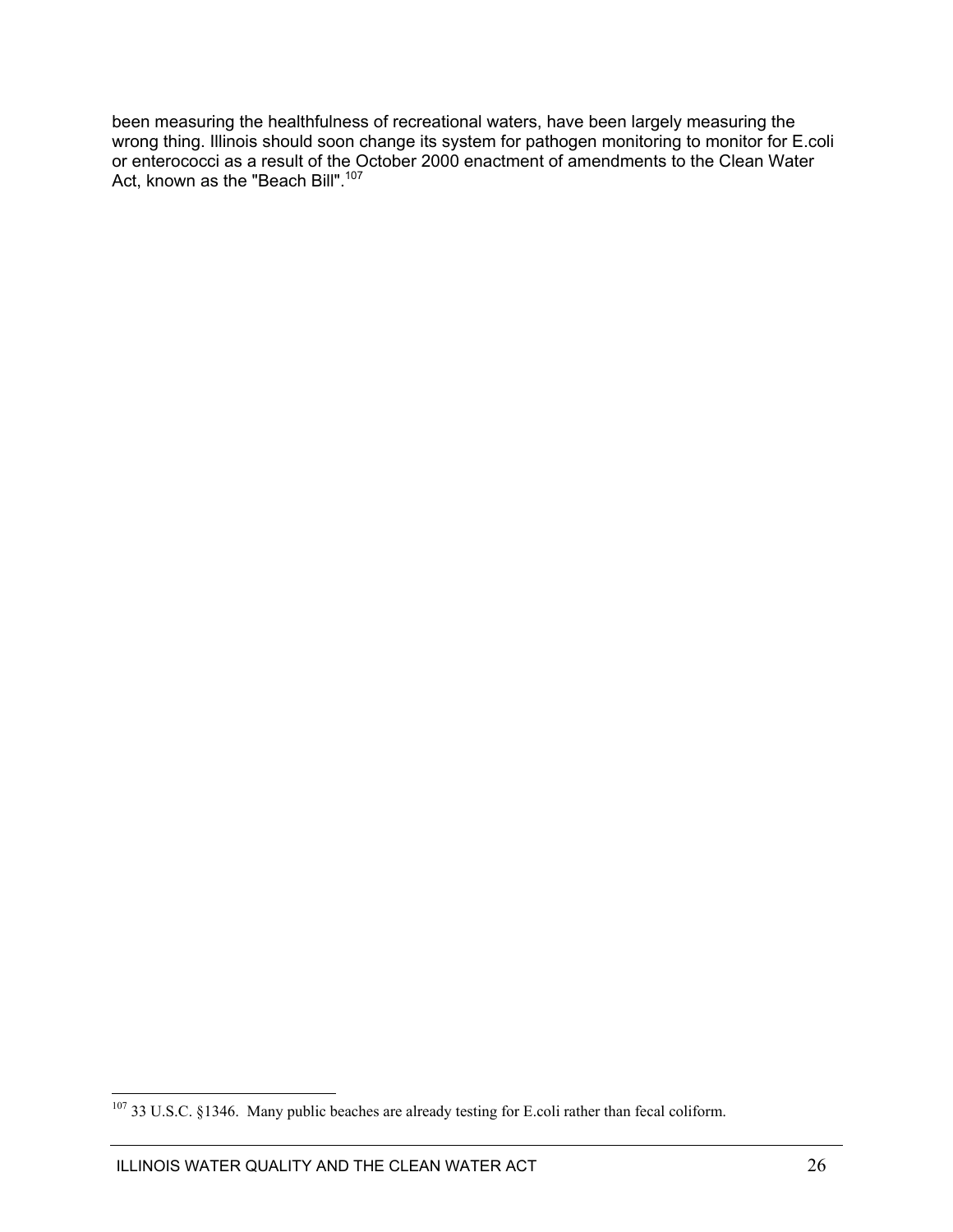been measuring the healthfulness of recreational waters, have been largely measuring the wrong thing. Illinois should soon change its system for pathogen monitoring to monitor for E.coli or enterococci as a result of the October 2000 enactment of amendments to the Clean Water Act, known as the "Beach Bill".<sup>107</sup>

 $107$  33 U.S.C. §1346. Many public beaches are already testing for E.coli rather than fecal coliform.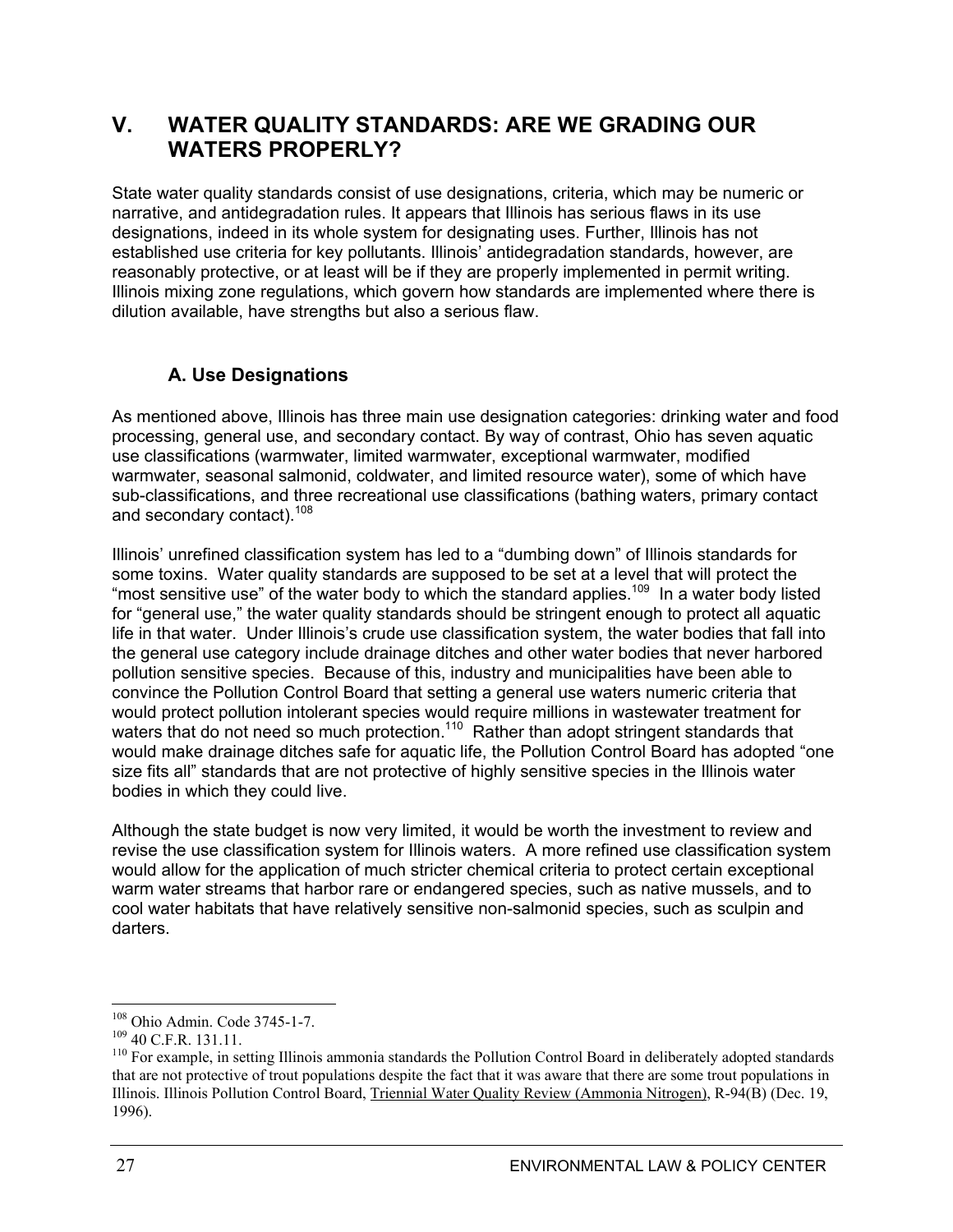### **V. WATER QUALITY STANDARDS: ARE WE GRADING OUR WATERS PROPERLY?**

State water quality standards consist of use designations, criteria, which may be numeric or narrative, and antidegradation rules. It appears that Illinois has serious flaws in its use designations, indeed in its whole system for designating uses. Further, Illinois has not established use criteria for key pollutants. Illinois' antidegradation standards, however, are reasonably protective, or at least will be if they are properly implemented in permit writing. Illinois mixing zone regulations, which govern how standards are implemented where there is dilution available, have strengths but also a serious flaw.

### **A. Use Designations**

As mentioned above, Illinois has three main use designation categories: drinking water and food processing, general use, and secondary contact. By way of contrast, Ohio has seven aquatic use classifications (warmwater, limited warmwater, exceptional warmwater, modified warmwater, seasonal salmonid, coldwater, and limited resource water), some of which have sub-classifications, and three recreational use classifications (bathing waters, primary contact and secondary contact).<sup>108</sup>

Illinois' unrefined classification system has led to a "dumbing down" of Illinois standards for some toxins. Water quality standards are supposed to be set at a level that will protect the "most sensitive use" of the water body to which the standard applies.<sup>109</sup> In a water body listed for "general use," the water quality standards should be stringent enough to protect all aquatic life in that water. Under Illinois's crude use classification system, the water bodies that fall into the general use category include drainage ditches and other water bodies that never harbored pollution sensitive species. Because of this, industry and municipalities have been able to convince the Pollution Control Board that setting a general use waters numeric criteria that would protect pollution intolerant species would require millions in wastewater treatment for waters that do not need so much protection.<sup>110</sup> Rather than adopt stringent standards that would make drainage ditches safe for aquatic life, the Pollution Control Board has adopted "one size fits all" standards that are not protective of highly sensitive species in the Illinois water bodies in which they could live.

Although the state budget is now very limited, it would be worth the investment to review and revise the use classification system for Illinois waters. A more refined use classification system would allow for the application of much stricter chemical criteria to protect certain exceptional warm water streams that harbor rare or endangered species, such as native mussels, and to cool water habitats that have relatively sensitive non-salmonid species, such as sculpin and darters.

<sup>&</sup>lt;sup>108</sup> Ohio Admin. Code 3745-1-7.

 $109$  40 C.F.R. 131.11.<br><sup>110</sup> For example, in setting Illinois ammonia standards the Pollution Control Board in deliberately adopted standards that are not protective of trout populations despite the fact that it was aware that there are some trout populations in Illinois. Illinois Pollution Control Board, Triennial Water Quality Review (Ammonia Nitrogen), R-94(B) (Dec. 19, 1996).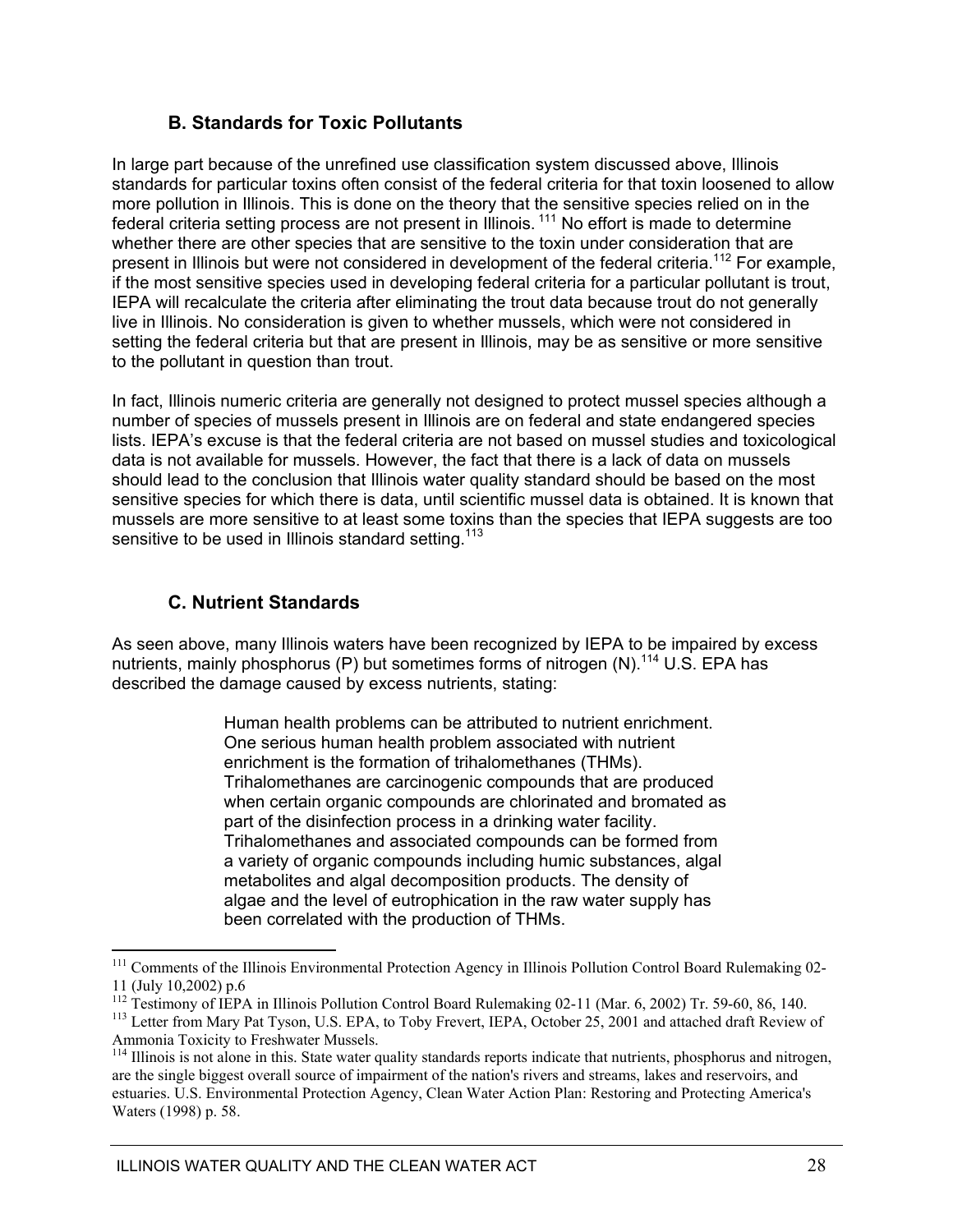### **B. Standards for Toxic Pollutants**

In large part because of the unrefined use classification system discussed above, Illinois standards for particular toxins often consist of the federal criteria for that toxin loosened to allow more pollution in Illinois. This is done on the theory that the sensitive species relied on in the federal criteria setting process are not present in Illinois.<sup>111</sup> No effort is made to determine whether there are other species that are sensitive to the toxin under consideration that are present in Illinois but were not considered in development of the federal criteria.<sup>112</sup> For example, if the most sensitive species used in developing federal criteria for a particular pollutant is trout, IEPA will recalculate the criteria after eliminating the trout data because trout do not generally live in Illinois. No consideration is given to whether mussels, which were not considered in setting the federal criteria but that are present in Illinois, may be as sensitive or more sensitive to the pollutant in question than trout.

In fact, Illinois numeric criteria are generally not designed to protect mussel species although a number of species of mussels present in Illinois are on federal and state endangered species lists. IEPA's excuse is that the federal criteria are not based on mussel studies and toxicological data is not available for mussels. However, the fact that there is a lack of data on mussels should lead to the conclusion that Illinois water quality standard should be based on the most sensitive species for which there is data, until scientific mussel data is obtained. It is known that mussels are more sensitive to at least some toxins than the species that IEPA suggests are too sensitive to be used in Illinois standard setting.<sup>113</sup>

### **C. Nutrient Standards**

As seen above, many Illinois waters have been recognized by IEPA to be impaired by excess nutrients, mainly phosphorus (P) but sometimes forms of nitrogen  $(N)$ .<sup>114</sup> U.S. EPA has described the damage caused by excess nutrients, stating:

> Human health problems can be attributed to nutrient enrichment. One serious human health problem associated with nutrient enrichment is the formation of trihalomethanes (THMs). Trihalomethanes are carcinogenic compounds that are produced when certain organic compounds are chlorinated and bromated as part of the disinfection process in a drinking water facility. Trihalomethanes and associated compounds can be formed from a variety of organic compounds including humic substances, algal metabolites and algal decomposition products. The density of algae and the level of eutrophication in the raw water supply has been correlated with the production of THMs.

 $\overline{a}$ <sup>111</sup> Comments of the Illinois Environmental Protection Agency in Illinois Pollution Control Board Rulemaking 02-11 (July 10,2002) p.6

<sup>&</sup>lt;sup>112</sup> Testimony of IEPA in Illinois Pollution Control Board Rulemaking 02-11 (Mar. 6, 2002) Tr. 59-60, 86, 140.<br><sup>113</sup> Letter from Mary Pat Tyson, U.S. EPA, to Toby Frevert, IEPA, October 25, 2001 and attached draft Review

Ammonia Toxicity to Freshwater Mussels.

<sup>&</sup>lt;sup>114</sup> Illinois is not alone in this. State water quality standards reports indicate that nutrients, phosphorus and nitrogen, are the single biggest overall source of impairment of the nation's rivers and streams, lakes and reservoirs, and estuaries. U.S. Environmental Protection Agency, Clean Water Action Plan: Restoring and Protecting America's Waters (1998) p. 58.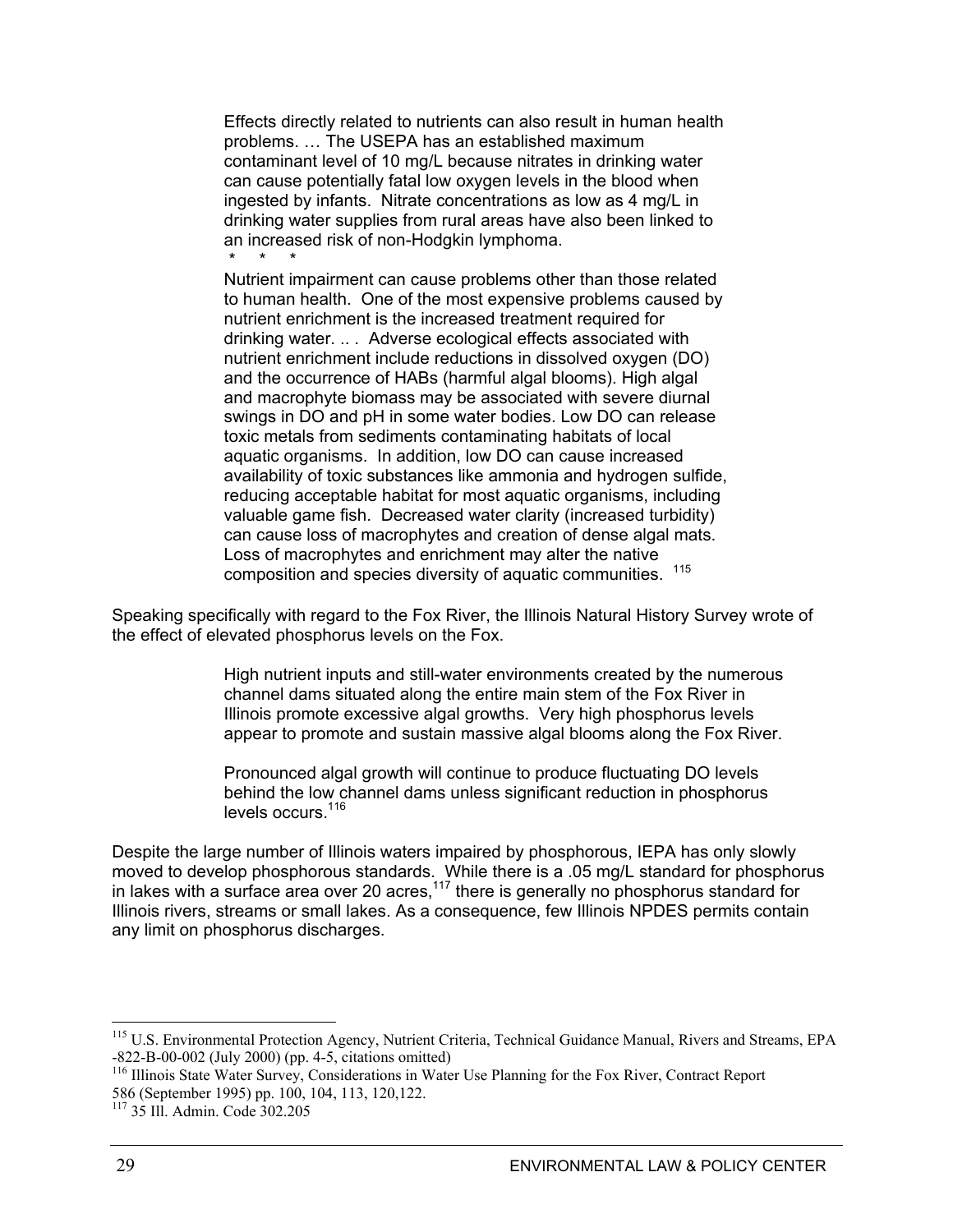Effects directly related to nutrients can also result in human health problems. … The USEPA has an established maximum contaminant level of 10 mg/L because nitrates in drinking water can cause potentially fatal low oxygen levels in the blood when ingested by infants. Nitrate concentrations as low as 4 mg/L in drinking water supplies from rural areas have also been linked to an increased risk of non-Hodgkin lymphoma. \* \* \*

Nutrient impairment can cause problems other than those related to human health. One of the most expensive problems caused by nutrient enrichment is the increased treatment required for drinking water. .. . Adverse ecological effects associated with nutrient enrichment include reductions in dissolved oxygen (DO) and the occurrence of HABs (harmful algal blooms). High algal and macrophyte biomass may be associated with severe diurnal swings in DO and pH in some water bodies. Low DO can release toxic metals from sediments contaminating habitats of local aquatic organisms. In addition, low DO can cause increased availability of toxic substances like ammonia and hydrogen sulfide, reducing acceptable habitat for most aquatic organisms, including valuable game fish. Decreased water clarity (increased turbidity) can cause loss of macrophytes and creation of dense algal mats. Loss of macrophytes and enrichment may alter the native composition and species diversity of aquatic communities. <sup>115</sup>

Speaking specifically with regard to the Fox River, the Illinois Natural History Survey wrote of the effect of elevated phosphorus levels on the Fox.

> High nutrient inputs and still-water environments created by the numerous channel dams situated along the entire main stem of the Fox River in Illinois promote excessive algal growths. Very high phosphorus levels appear to promote and sustain massive algal blooms along the Fox River.

Pronounced algal growth will continue to produce fluctuating DO levels behind the low channel dams unless significant reduction in phosphorus levels occurs.<sup>116</sup>

Despite the large number of Illinois waters impaired by phosphorous, IEPA has only slowly moved to develop phosphorous standards. While there is a .05 mg/L standard for phosphorus in lakes with a surface area over 20 acres,  $117$  there is generally no phosphorus standard for Illinois rivers, streams or small lakes. As a consequence, few Illinois NPDES permits contain any limit on phosphorus discharges.

<sup>&</sup>lt;sup>115</sup> U.S. Environmental Protection Agency, Nutrient Criteria, Technical Guidance Manual, Rivers and Streams, EPA -822-B-00-002 (July 2000) (pp. 4-5, citations omitted)

<sup>&</sup>lt;sup>116</sup> Illinois State Water Survey, Considerations in Water Use Planning for the Fox River, Contract Report 586 (September 1995) pp. 100, 104, 113, 120,122.

<sup>117 35</sup> Ill. Admin. Code 302.205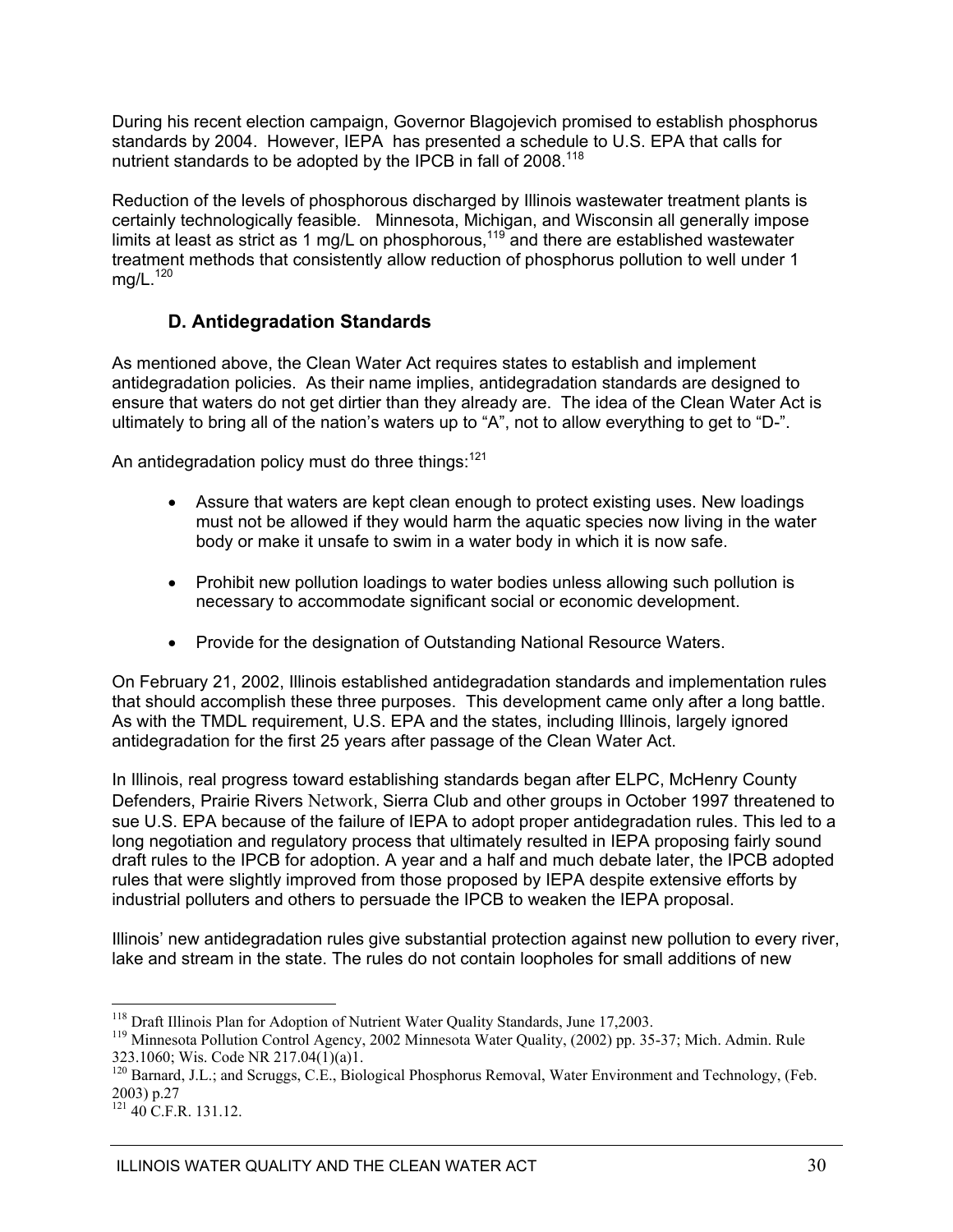During his recent election campaign, Governor Blagojevich promised to establish phosphorus standards by 2004. However, IEPA has presented a schedule to U.S. EPA that calls for nutrient standards to be adopted by the IPCB in fall of 2008.<sup>118</sup>

Reduction of the levels of phosphorous discharged by Illinois wastewater treatment plants is certainly technologically feasible. Minnesota, Michigan, and Wisconsin all generally impose limits at least as strict as 1 mg/L on phosphorous,<sup>119</sup> and there are established wastewater treatment methods that consistently allow reduction of phosphorus pollution to well under 1  $mq/L.<sup>120</sup>$ 

### **D. Antidegradation Standards**

As mentioned above, the Clean Water Act requires states to establish and implement antidegradation policies. As their name implies, antidegradation standards are designed to ensure that waters do not get dirtier than they already are. The idea of the Clean Water Act is ultimately to bring all of the nation's waters up to "A", not to allow everything to get to "D-".

An antidegradation policy must do three things: $121$ 

- Assure that waters are kept clean enough to protect existing uses. New loadings must not be allowed if they would harm the aquatic species now living in the water body or make it unsafe to swim in a water body in which it is now safe.
- Prohibit new pollution loadings to water bodies unless allowing such pollution is necessary to accommodate significant social or economic development.
- Provide for the designation of Outstanding National Resource Waters.

On February 21, 2002, Illinois established antidegradation standards and implementation rules that should accomplish these three purposes. This development came only after a long battle. As with the TMDL requirement, U.S. EPA and the states, including Illinois, largely ignored antidegradation for the first 25 years after passage of the Clean Water Act.

In Illinois, real progress toward establishing standards began after ELPC, McHenry County Defenders, Prairie Rivers Network, Sierra Club and other groups in October 1997 threatened to sue U.S. EPA because of the failure of IEPA to adopt proper antidegradation rules. This led to a long negotiation and regulatory process that ultimately resulted in IEPA proposing fairly sound draft rules to the IPCB for adoption. A year and a half and much debate later, the IPCB adopted rules that were slightly improved from those proposed by IEPA despite extensive efforts by industrial polluters and others to persuade the IPCB to weaken the IEPA proposal.

Illinois' new antidegradation rules give substantial protection against new pollution to every river, lake and stream in the state. The rules do not contain loopholes for small additions of new

<sup>&</sup>lt;sup>118</sup> Draft Illinois Plan for Adoption of Nutrient Water Quality Standards, June 17,2003.

<sup>&</sup>lt;sup>119</sup> Minnesota Pollution Control Agency, 2002 Minnesota Water Quality, (2002) pp. 35-37; Mich. Admin. Rule 323.1060; Wis. Code NR 217.04(1)(a)1.

<sup>&</sup>lt;sup>120</sup> Barnard, J.L.; and Scruggs, C.E., Biological Phosphorus Removal, Water Environment and Technology, (Feb. 2003) p.27

 $121$  40 C.F.R. 131.12.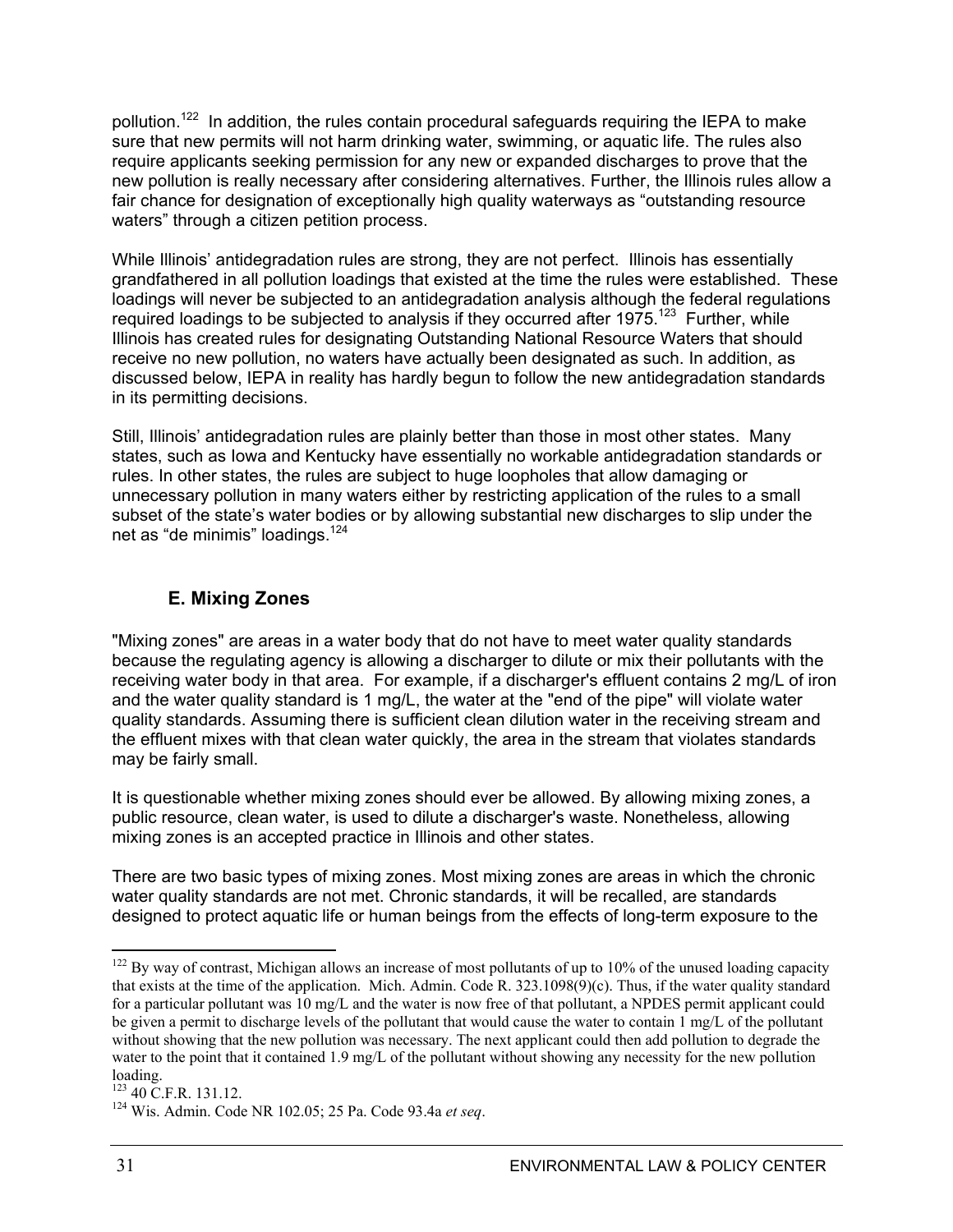pollution.<sup>122</sup> In addition, the rules contain procedural safeguards requiring the IEPA to make sure that new permits will not harm drinking water, swimming, or aquatic life. The rules also require applicants seeking permission for any new or expanded discharges to prove that the new pollution is really necessary after considering alternatives. Further, the Illinois rules allow a fair chance for designation of exceptionally high quality waterways as "outstanding resource waters" through a citizen petition process.

While Illinois' antidegradation rules are strong, they are not perfect. Illinois has essentially grandfathered in all pollution loadings that existed at the time the rules were established. These loadings will never be subjected to an antidegradation analysis although the federal regulations required loadings to be subjected to analysis if they occurred after 1975.<sup>123</sup> Further, while Illinois has created rules for designating Outstanding National Resource Waters that should receive no new pollution, no waters have actually been designated as such. In addition, as discussed below, IEPA in reality has hardly begun to follow the new antidegradation standards in its permitting decisions.

Still, Illinois' antidegradation rules are plainly better than those in most other states. Many states, such as Iowa and Kentucky have essentially no workable antidegradation standards or rules. In other states, the rules are subject to huge loopholes that allow damaging or unnecessary pollution in many waters either by restricting application of the rules to a small subset of the state's water bodies or by allowing substantial new discharges to slip under the net as "de minimis" loadings.<sup>124</sup>

### **E. Mixing Zones**

"Mixing zones" are areas in a water body that do not have to meet water quality standards because the regulating agency is allowing a discharger to dilute or mix their pollutants with the receiving water body in that area. For example, if a discharger's effluent contains 2 mg/L of iron and the water quality standard is 1 mg/L, the water at the "end of the pipe" will violate water quality standards. Assuming there is sufficient clean dilution water in the receiving stream and the effluent mixes with that clean water quickly, the area in the stream that violates standards may be fairly small.

It is questionable whether mixing zones should ever be allowed. By allowing mixing zones, a public resource, clean water, is used to dilute a discharger's waste. Nonetheless, allowing mixing zones is an accepted practice in Illinois and other states.

There are two basic types of mixing zones. Most mixing zones are areas in which the chronic water quality standards are not met. Chronic standards, it will be recalled, are standards designed to protect aquatic life or human beings from the effects of long-term exposure to the

 $122$  By way of contrast, Michigan allows an increase of most pollutants of up to 10% of the unused loading capacity that exists at the time of the application. Mich. Admin. Code R. 323.1098(9)(c). Thus, if the water quality standard for a particular pollutant was 10 mg/L and the water is now free of that pollutant, a NPDES permit applicant could be given a permit to discharge levels of the pollutant that would cause the water to contain 1 mg/L of the pollutant without showing that the new pollution was necessary. The next applicant could then add pollution to degrade the water to the point that it contained 1.9 mg/L of the pollutant without showing any necessity for the new pollution loading.<br><sup>123</sup> 40 C.F.R. 131.12.

<sup>&</sup>lt;sup>124</sup> Wis. Admin. Code NR 102.05; 25 Pa. Code 93.4a et seq.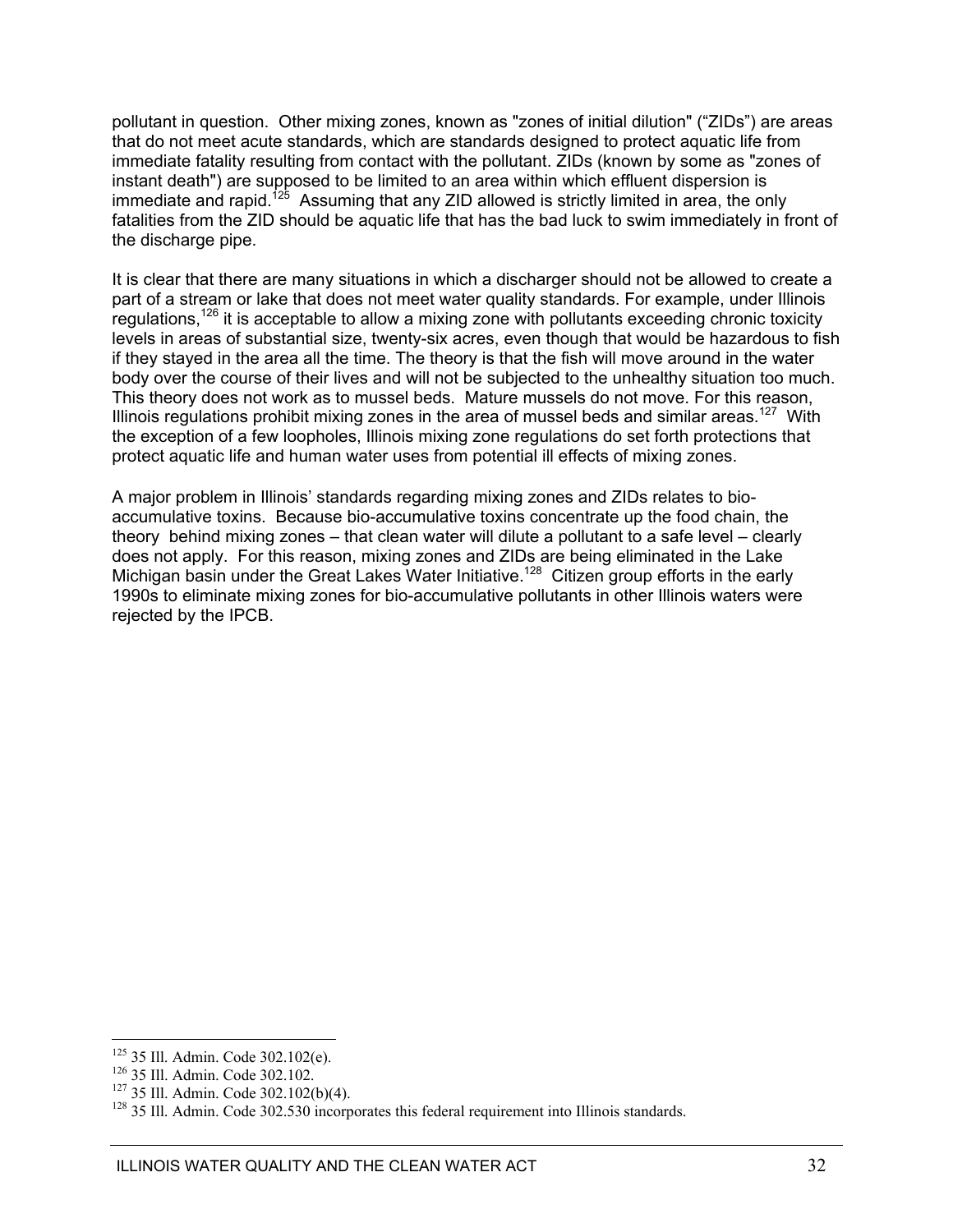pollutant in question. Other mixing zones, known as "zones of initial dilution" ("ZIDs") are areas that do not meet acute standards, which are standards designed to protect aquatic life from immediate fatality resulting from contact with the pollutant. ZIDs (known by some as "zones of instant death") are supposed to be limited to an area within which effluent dispersion is immediate and rapid.<sup>125</sup> Assuming that any ZID allowed is strictly limited in area, the only fatalities from the ZID should be aquatic life that has the bad luck to swim immediately in front of the discharge pipe.

It is clear that there are many situations in which a discharger should not be allowed to create a part of a stream or lake that does not meet water quality standards. For example, under Illinois regulations,<sup>126</sup> it is acceptable to allow a mixing zone with pollutants exceeding chronic toxicity levels in areas of substantial size, twenty-six acres, even though that would be hazardous to fish if they stayed in the area all the time. The theory is that the fish will move around in the water body over the course of their lives and will not be subjected to the unhealthy situation too much. This theory does not work as to mussel beds. Mature mussels do not move. For this reason, Illinois regulations prohibit mixing zones in the area of mussel beds and similar areas.<sup>127</sup> With the exception of a few loopholes, Illinois mixing zone regulations do set forth protections that protect aquatic life and human water uses from potential ill effects of mixing zones.

A major problem in Illinois' standards regarding mixing zones and ZIDs relates to bioaccumulative toxins. Because bio-accumulative toxins concentrate up the food chain, the theory behind mixing zones – that clean water will dilute a pollutant to a safe level – clearly does not apply. For this reason, mixing zones and ZIDs are being eliminated in the Lake Michigan basin under the Great Lakes Water Initiative.<sup>128</sup> Citizen group efforts in the early 1990s to eliminate mixing zones for bio-accumulative pollutants in other Illinois waters were rejected by the IPCB.

<sup>&</sup>lt;sup>125</sup> 35 Ill. Admin. Code 302.102(e).<br><sup>126</sup> 35 Ill. Admin. Code 302.102.<br><sup>127</sup> 35 Ill. Admin. Code 302.530 incorporates this federal requirement into Illinois standards.<br><sup>128</sup> 35 Ill. Admin. Code 302.530 incorporates this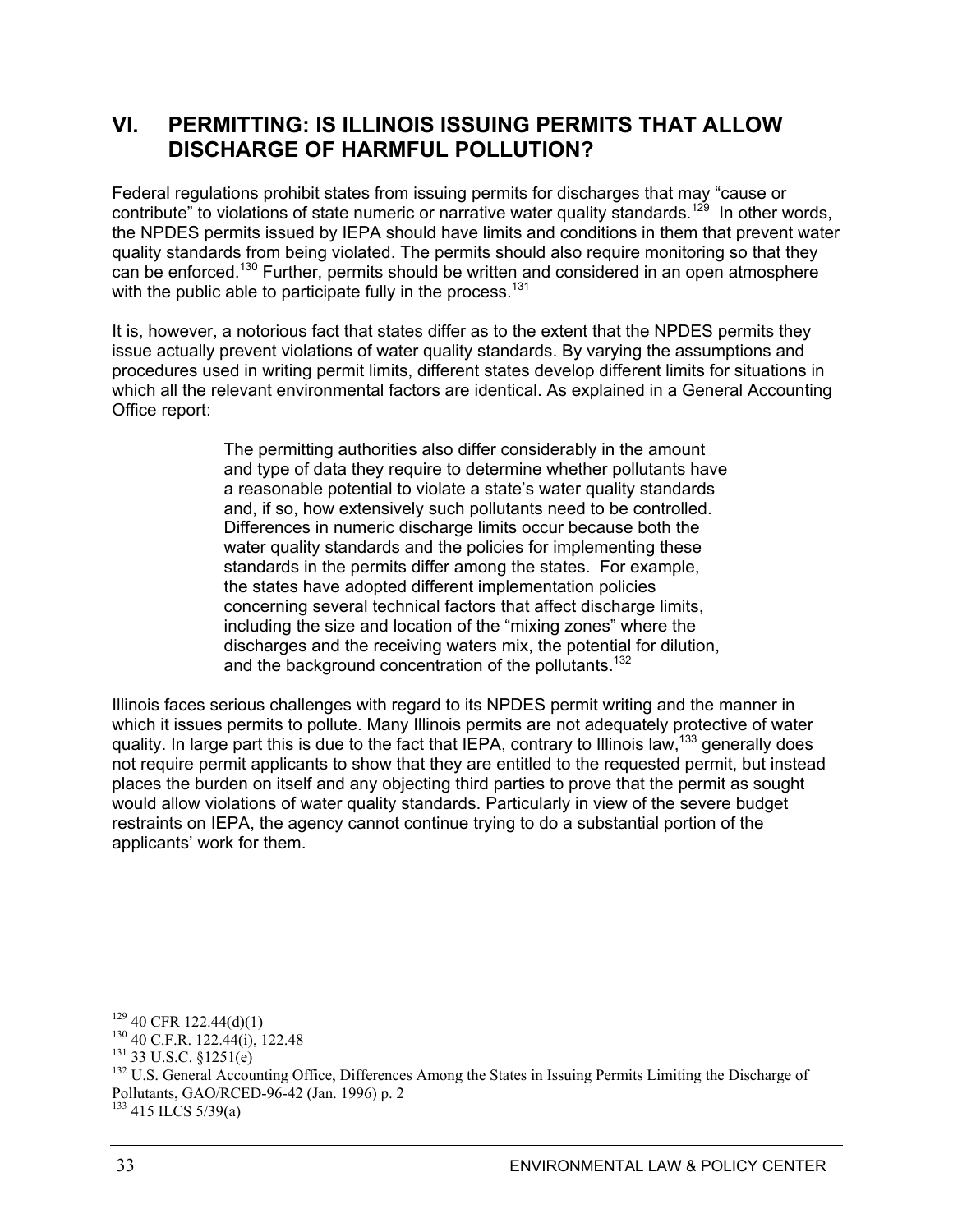### **VI. PERMITTING: IS ILLINOIS ISSUING PERMITS THAT ALLOW DISCHARGE OF HARMFUL POLLUTION?**

Federal regulations prohibit states from issuing permits for discharges that may "cause or contribute" to violations of state numeric or narrative water quality standards.<sup>129</sup> In other words, the NPDES permits issued by IEPA should have limits and conditions in them that prevent water quality standards from being violated. The permits should also require monitoring so that they can be enforced.<sup>130</sup> Further, permits should be written and considered in an open atmosphere with the public able to participate fully in the process.<sup>131</sup>

It is, however, a notorious fact that states differ as to the extent that the NPDES permits they issue actually prevent violations of water quality standards. By varying the assumptions and procedures used in writing permit limits, different states develop different limits for situations in which all the relevant environmental factors are identical. As explained in a General Accounting Office report:

> The permitting authorities also differ considerably in the amount and type of data they require to determine whether pollutants have a reasonable potential to violate a state's water quality standards and, if so, how extensively such pollutants need to be controlled. Differences in numeric discharge limits occur because both the water quality standards and the policies for implementing these standards in the permits differ among the states. For example, the states have adopted different implementation policies concerning several technical factors that affect discharge limits, including the size and location of the "mixing zones" where the discharges and the receiving waters mix, the potential for dilution, and the background concentration of the pollutants.<sup>132</sup>

Illinois faces serious challenges with regard to its NPDES permit writing and the manner in which it issues permits to pollute. Many Illinois permits are not adequately protective of water quality. In large part this is due to the fact that IEPA, contrary to Illinois law,<sup>133</sup> generally does not require permit applicants to show that they are entitled to the requested permit, but instead places the burden on itself and any objecting third parties to prove that the permit as sought would allow violations of water quality standards. Particularly in view of the severe budget restraints on IEPA, the agency cannot continue trying to do a substantial portion of the applicants' work for them.

 $129$  40 CFR 122.44(d)(1)

<sup>&</sup>lt;sup>130</sup> 40 C.F.R. 122.44(i), 122.48<br><sup>131</sup> 33 U.S.C. §1251(e)<br><sup>132</sup> U.S. General Accounting Office, Differences Among the States in Issuing Permits Limiting the Discharge of Pollutants, GAO/RCED-96-42 (Jan. 1996) p. 2

 $133$  415 ILCS 5/39(a)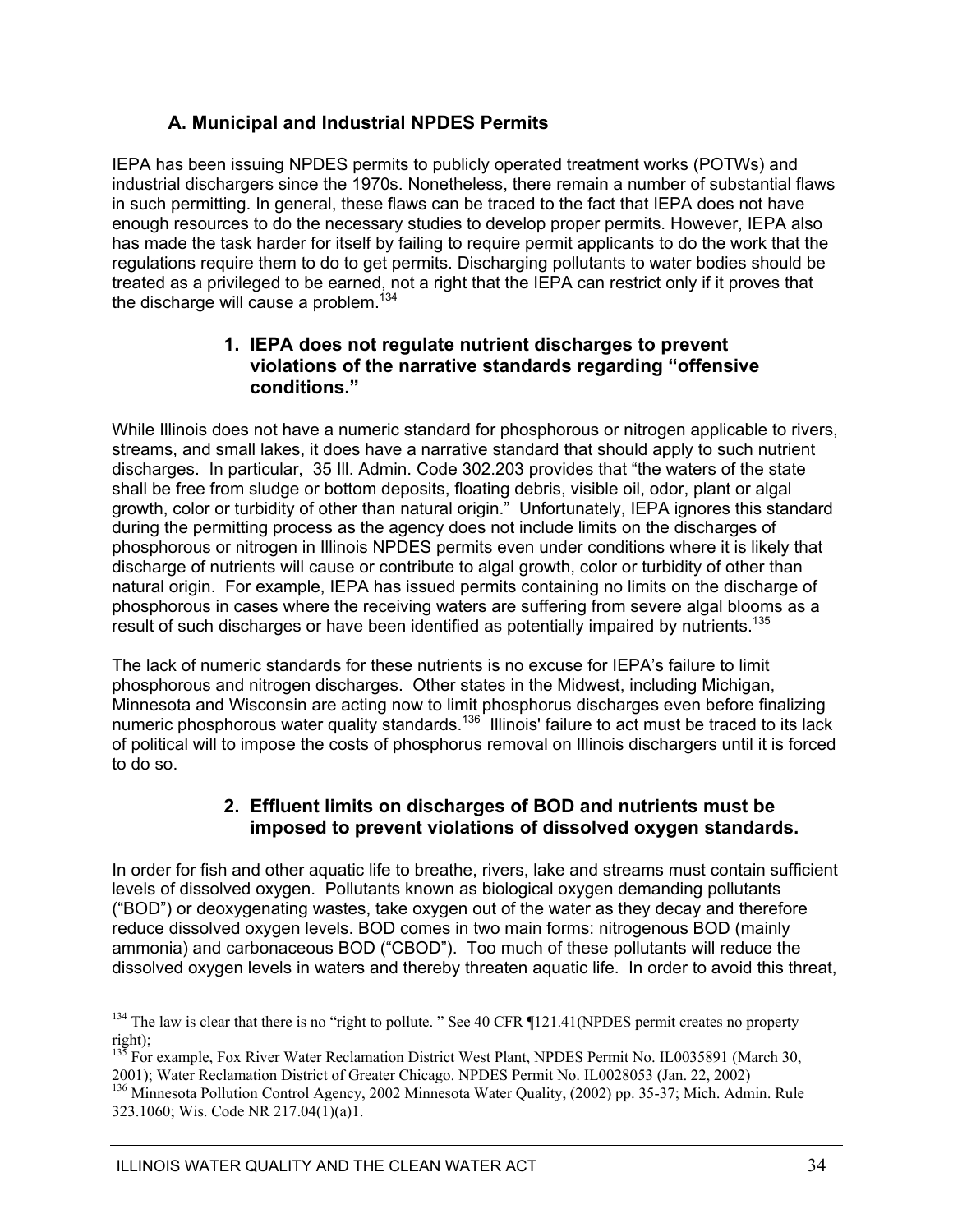### **A. Municipal and Industrial NPDES Permits**

IEPA has been issuing NPDES permits to publicly operated treatment works (POTWs) and industrial dischargers since the 1970s. Nonetheless, there remain a number of substantial flaws in such permitting. In general, these flaws can be traced to the fact that IEPA does not have enough resources to do the necessary studies to develop proper permits. However, IEPA also has made the task harder for itself by failing to require permit applicants to do the work that the regulations require them to do to get permits. Discharging pollutants to water bodies should be treated as a privileged to be earned, not a right that the IEPA can restrict only if it proves that the discharge will cause a problem.<sup>134</sup>

### **1. IEPA does not regulate nutrient discharges to prevent violations of the narrative standards regarding "offensive conditions."**

While Illinois does not have a numeric standard for phosphorous or nitrogen applicable to rivers, streams, and small lakes, it does have a narrative standard that should apply to such nutrient discharges. In particular, 35 Ill. Admin. Code 302.203 provides that "the waters of the state shall be free from sludge or bottom deposits, floating debris, visible oil, odor, plant or algal growth, color or turbidity of other than natural origin." Unfortunately, IEPA ignores this standard during the permitting process as the agency does not include limits on the discharges of phosphorous or nitrogen in Illinois NPDES permits even under conditions where it is likely that discharge of nutrients will cause or contribute to algal growth, color or turbidity of other than natural origin. For example, IEPA has issued permits containing no limits on the discharge of phosphorous in cases where the receiving waters are suffering from severe algal blooms as a result of such discharges or have been identified as potentially impaired by nutrients.<sup>135</sup>

The lack of numeric standards for these nutrients is no excuse for IEPA's failure to limit phosphorous and nitrogen discharges. Other states in the Midwest, including Michigan, Minnesota and Wisconsin are acting now to limit phosphorus discharges even before finalizing numeric phosphorous water quality standards.<sup>136</sup> Illinois' failure to act must be traced to its lack of political will to impose the costs of phosphorus removal on Illinois dischargers until it is forced to do so.

### **2. Effluent limits on discharges of BOD and nutrients must be imposed to prevent violations of dissolved oxygen standards.**

In order for fish and other aquatic life to breathe, rivers, lake and streams must contain sufficient levels of dissolved oxygen. Pollutants known as biological oxygen demanding pollutants ("BOD") or deoxygenating wastes, take oxygen out of the water as they decay and therefore reduce dissolved oxygen levels. BOD comes in two main forms: nitrogenous BOD (mainly ammonia) and carbonaceous BOD ("CBOD"). Too much of these pollutants will reduce the dissolved oxygen levels in waters and thereby threaten aquatic life. In order to avoid this threat,

<sup>&</sup>lt;sup>134</sup> The law is clear that there is no "right to pollute. " See 40 CFR ¶121.41(NPDES permit creates no property right);

<sup>&</sup>lt;sup>135</sup> For example, Fox River Water Reclamation District West Plant, NPDES Permit No. IL0035891 (March 30, 2001); Water Reclamation District of Greater Chicago. NPDES Permit No. IL0028053 (Jan. 22, 2002)

<sup>&</sup>lt;sup>136</sup> Minnesota Pollution Control Agency, 2002 Minnesota Water Quality, (2002) pp. 35-37; Mich. Admin. Rule 323.1060; Wis. Code NR 217.04(1)(a)1.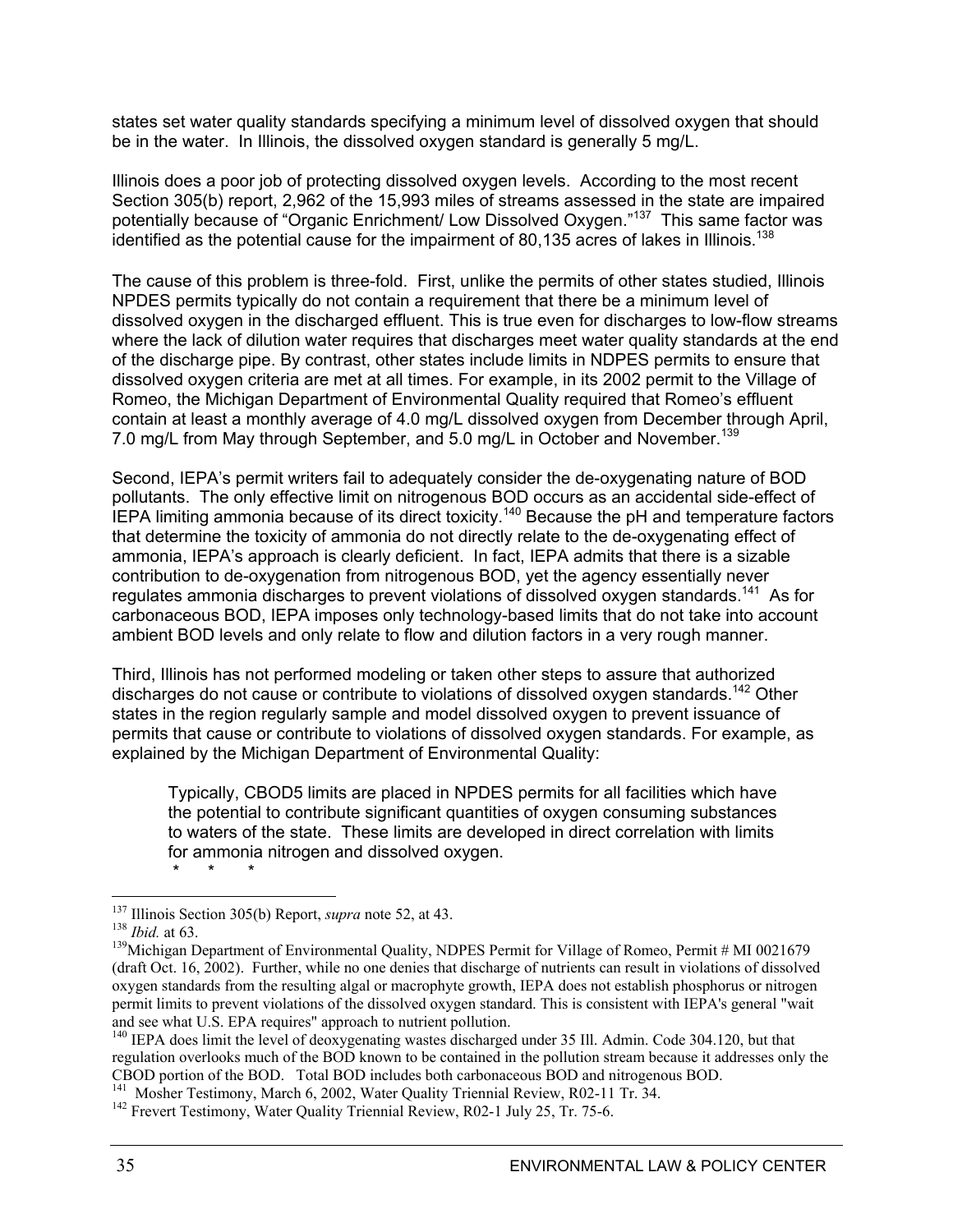states set water quality standards specifying a minimum level of dissolved oxygen that should be in the water. In Illinois, the dissolved oxygen standard is generally 5 mg/L.

Illinois does a poor job of protecting dissolved oxygen levels. According to the most recent Section 305(b) report, 2,962 of the 15,993 miles of streams assessed in the state are impaired potentially because of "Organic Enrichment/ Low Dissolved Oxygen."137 This same factor was identified as the potential cause for the impairment of 80,135 acres of lakes in Illinois.<sup>138</sup>

The cause of this problem is three-fold. First, unlike the permits of other states studied, Illinois NPDES permits typically do not contain a requirement that there be a minimum level of dissolved oxygen in the discharged effluent. This is true even for discharges to low-flow streams where the lack of dilution water requires that discharges meet water quality standards at the end of the discharge pipe. By contrast, other states include limits in NDPES permits to ensure that dissolved oxygen criteria are met at all times. For example, in its 2002 permit to the Village of Romeo, the Michigan Department of Environmental Quality required that Romeo's effluent contain at least a monthly average of 4.0 mg/L dissolved oxygen from December through April, 7.0 mg/L from May through September, and 5.0 mg/L in October and November.<sup>139</sup>

Second, IEPA's permit writers fail to adequately consider the de-oxygenating nature of BOD pollutants. The only effective limit on nitrogenous BOD occurs as an accidental side-effect of IEPA limiting ammonia because of its direct toxicity.<sup>140</sup> Because the pH and temperature factors that determine the toxicity of ammonia do not directly relate to the de-oxygenating effect of ammonia, IEPA's approach is clearly deficient. In fact, IEPA admits that there is a sizable contribution to de-oxygenation from nitrogenous BOD, yet the agency essentially never regulates ammonia discharges to prevent violations of dissolved oxygen standards.<sup>141</sup> As for carbonaceous BOD, IEPA imposes only technology-based limits that do not take into account ambient BOD levels and only relate to flow and dilution factors in a very rough manner.

Third, Illinois has not performed modeling or taken other steps to assure that authorized discharges do not cause or contribute to violations of dissolved oxygen standards.142 Other states in the region regularly sample and model dissolved oxygen to prevent issuance of permits that cause or contribute to violations of dissolved oxygen standards. For example, as explained by the Michigan Department of Environmental Quality:

Typically, CBOD5 limits are placed in NPDES permits for all facilities which have the potential to contribute significant quantities of oxygen consuming substances to waters of the state. These limits are developed in direct correlation with limits for ammonia nitrogen and dissolved oxygen. \* \* \*

<sup>&</sup>lt;sup>137</sup> Illinois Section 305(b) Report, *supra* note 52, at 43.<br><sup>138</sup>*Ibid.* at 63.<br><sup>139</sup>Michigan Department of Environmental Quality, NDPES Permit for Village of Romeo, Permit # MI 0021679 (draft Oct. 16, 2002). Further, while no one denies that discharge of nutrients can result in violations of dissolved oxygen standards from the resulting algal or macrophyte growth, IEPA does not establish phosphorus or nitrogen permit limits to prevent violations of the dissolved oxygen standard. This is consistent with IEPA's general "wait and see what U.S. EPA requires" approach to nutrient pollution.

<sup>&</sup>lt;sup>140</sup> IEPA does limit the level of deoxygenating wastes discharged under 35 Ill. Admin. Code 304.120, but that regulation overlooks much of the BOD known to be contained in the pollution stream because it addresses only the CBOD portion of the BOD. Total BOD includes both carbonaceous BOD and nitrogenous BOD.

<sup>&</sup>lt;sup>141</sup> Mosher Testimony, March 6, 2002, Water Quality Triennial Review, R02-11 Tr. 34.<br><sup>142</sup> Frevert Testimony, Water Quality Triennial Review, R02-1 July 25, Tr. 75-6.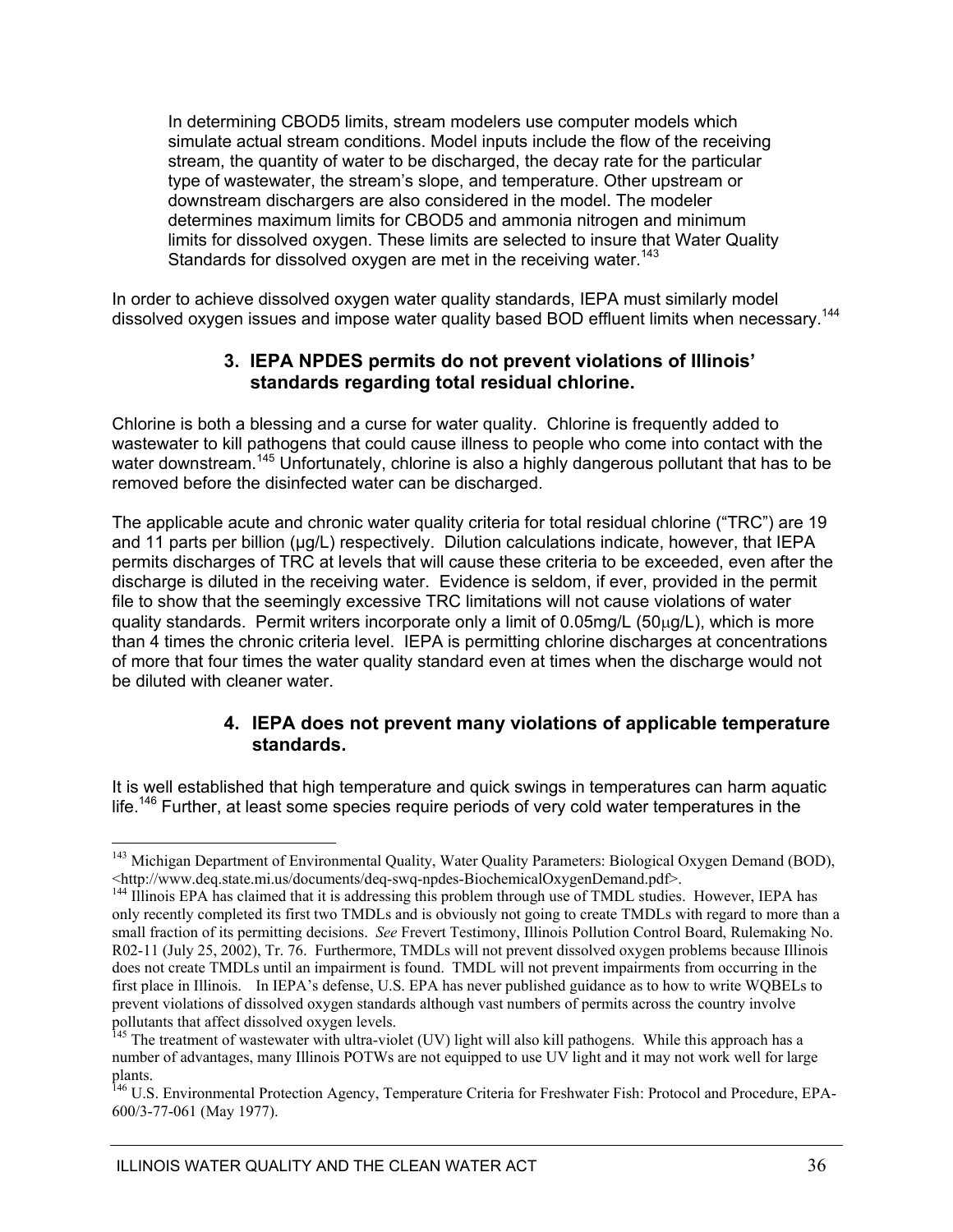In determining CBOD5 limits, stream modelers use computer models which simulate actual stream conditions. Model inputs include the flow of the receiving stream, the quantity of water to be discharged, the decay rate for the particular type of wastewater, the stream's slope, and temperature. Other upstream or downstream dischargers are also considered in the model. The modeler determines maximum limits for CBOD5 and ammonia nitrogen and minimum limits for dissolved oxygen. These limits are selected to insure that Water Quality Standards for dissolved oxygen are met in the receiving water.<sup>143</sup>

In order to achieve dissolved oxygen water quality standards, IEPA must similarly model dissolved oxygen issues and impose water quality based BOD effluent limits when necessary.<sup>144</sup>

#### **3. IEPA NPDES permits do not prevent violations of Illinois' standards regarding total residual chlorine.**

Chlorine is both a blessing and a curse for water quality. Chlorine is frequently added to wastewater to kill pathogens that could cause illness to people who come into contact with the water downstream.<sup>145</sup> Unfortunately, chlorine is also a highly dangerous pollutant that has to be removed before the disinfected water can be discharged.

The applicable acute and chronic water quality criteria for total residual chlorine ("TRC") are 19 and 11 parts per billion (µg/L) respectively. Dilution calculations indicate, however, that IEPA permits discharges of TRC at levels that will cause these criteria to be exceeded, even after the discharge is diluted in the receiving water. Evidence is seldom, if ever, provided in the permit file to show that the seemingly excessive TRC limitations will not cause violations of water quality standards. Permit writers incorporate only a limit of  $0.05$ mg/L ( $50\mu$ g/L), which is more than 4 times the chronic criteria level. IEPA is permitting chlorine discharges at concentrations of more that four times the water quality standard even at times when the discharge would not be diluted with cleaner water.

### **4. IEPA does not prevent many violations of applicable temperature standards.**

It is well established that high temperature and quick swings in temperatures can harm aquatic life.<sup>146</sup> Further, at least some species require periods of very cold water temperatures in the

<sup>&</sup>lt;sup>143</sup> Michigan Department of Environmental Quality, Water Quality Parameters: Biological Oxygen Demand (BOD), <http://www.deq.state.mi.us/documents/deq-swq-npdes-BiochemicalOxygenDemand.pdf>. 144 Illinois EPA has claimed that it is addressing this problem through use of TMDL studies. However, IEPA has

only recently completed its first two TMDLs and is obviously not going to create TMDLs with regard to more than a small fraction of its permitting decisions. *See* Frevert Testimony, Illinois Pollution Control Board, Rulemaking No. R02-11 (July 25, 2002), Tr. 76. Furthermore, TMDLs will not prevent dissolved oxygen problems because Illinois does not create TMDLs until an impairment is found. TMDL will not prevent impairments from occurring in the first place in Illinois. In IEPA's defense, U.S. EPA has never published guidance as to how to write WQBELs to prevent violations of dissolved oxygen standards although vast numbers of permits across the country involve pollutants that affect dissolved oxygen levels.

<sup>&</sup>lt;sup>145</sup> The treatment of wastewater with ultra-violet (UV) light will also kill pathogens. While this approach has a number of advantages, many Illinois POTWs are not equipped to use UV light and it may not work well for large plants.

<sup>&</sup>lt;sup>146</sup> U.S. Environmental Protection Agency, Temperature Criteria for Freshwater Fish: Protocol and Procedure, EPA-600/3-77-061 (May 1977).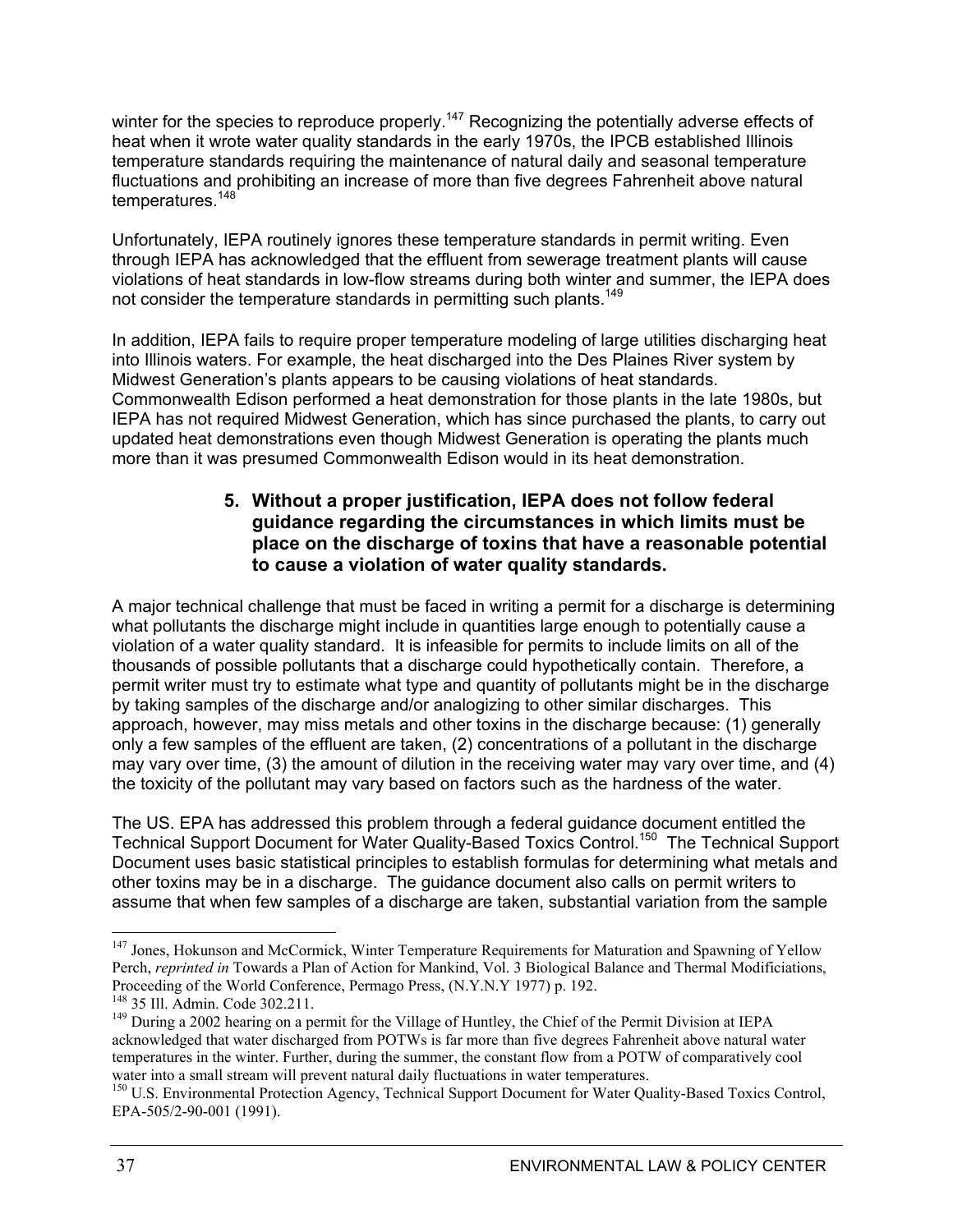winter for the species to reproduce properly.<sup>147</sup> Recognizing the potentially adverse effects of heat when it wrote water quality standards in the early 1970s, the IPCB established Illinois temperature standards requiring the maintenance of natural daily and seasonal temperature fluctuations and prohibiting an increase of more than five degrees Fahrenheit above natural temperatures.<sup>148</sup>

Unfortunately, IEPA routinely ignores these temperature standards in permit writing. Even through IEPA has acknowledged that the effluent from sewerage treatment plants will cause violations of heat standards in low-flow streams during both winter and summer, the IEPA does not consider the temperature standards in permitting such plants.<sup>149</sup>

In addition, IEPA fails to require proper temperature modeling of large utilities discharging heat into Illinois waters. For example, the heat discharged into the Des Plaines River system by Midwest Generation's plants appears to be causing violations of heat standards. Commonwealth Edison performed a heat demonstration for those plants in the late 1980s, but IEPA has not required Midwest Generation, which has since purchased the plants, to carry out updated heat demonstrations even though Midwest Generation is operating the plants much more than it was presumed Commonwealth Edison would in its heat demonstration.

### **5. Without a proper justification, IEPA does not follow federal guidance regarding the circumstances in which limits must be place on the discharge of toxins that have a reasonable potential to cause a violation of water quality standards.**

A major technical challenge that must be faced in writing a permit for a discharge is determining what pollutants the discharge might include in quantities large enough to potentially cause a violation of a water quality standard. It is infeasible for permits to include limits on all of the thousands of possible pollutants that a discharge could hypothetically contain. Therefore, a permit writer must try to estimate what type and quantity of pollutants might be in the discharge by taking samples of the discharge and/or analogizing to other similar discharges. This approach, however, may miss metals and other toxins in the discharge because: (1) generally only a few samples of the effluent are taken, (2) concentrations of a pollutant in the discharge may vary over time, (3) the amount of dilution in the receiving water may vary over time, and (4) the toxicity of the pollutant may vary based on factors such as the hardness of the water.

The US. EPA has addressed this problem through a federal guidance document entitled the Technical Support Document for Water Quality-Based Toxics Control.150 The Technical Support Document uses basic statistical principles to establish formulas for determining what metals and other toxins may be in a discharge. The guidance document also calls on permit writers to assume that when few samples of a discharge are taken, substantial variation from the sample

<sup>&</sup>lt;sup>147</sup> Jones, Hokunson and McCormick, Winter Temperature Requirements for Maturation and Spawning of Yellow Perch, *reprinted in* Towards a Plan of Action for Mankind, Vol. 3 Biological Balance and Thermal Modificiations, Proceeding of the World Conference, Permago Press, (N.Y.N.Y 1977) p. 192.<br><sup>148</sup> 35 Ill. Admin. Code 302.211.<br><sup>149</sup> During a 2002 hearing on a permit for the Village of Huntley, the Chief of the Permit Division at IEPA

acknowledged that water discharged from POTWs is far more than five degrees Fahrenheit above natural water temperatures in the winter. Further, during the summer, the constant flow from a POTW of comparatively cool water into a small stream will prevent natural daily fluctuations in water temperatures.

<sup>&</sup>lt;sup>150</sup> U.S. Environmental Protection Agency, Technical Support Document for Water Quality-Based Toxics Control, EPA-505/2-90-001 (1991).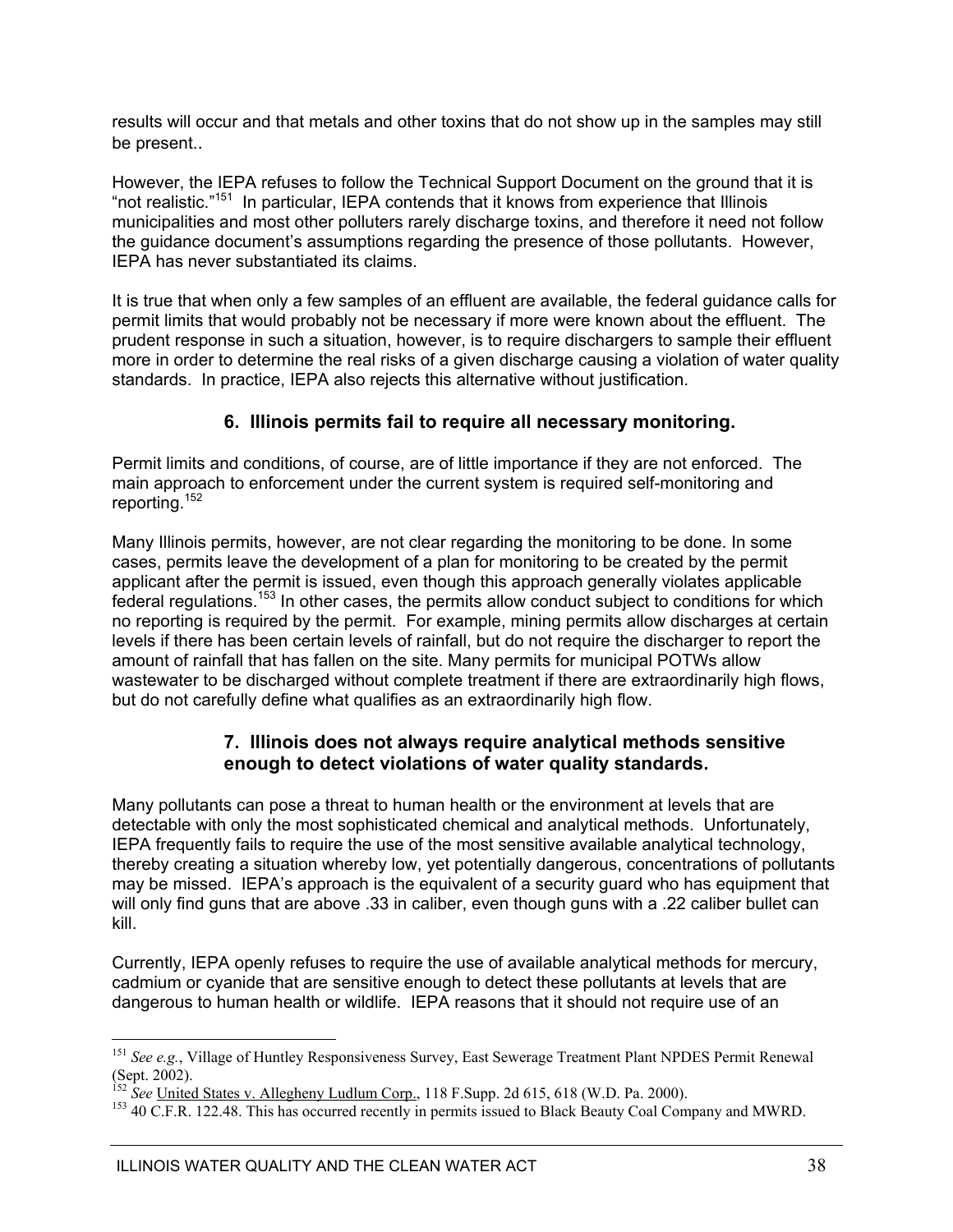results will occur and that metals and other toxins that do not show up in the samples may still be present..

However, the IEPA refuses to follow the Technical Support Document on the ground that it is "not realistic."151 In particular, IEPA contends that it knows from experience that Illinois municipalities and most other polluters rarely discharge toxins, and therefore it need not follow the guidance document's assumptions regarding the presence of those pollutants. However, IEPA has never substantiated its claims.

It is true that when only a few samples of an effluent are available, the federal guidance calls for permit limits that would probably not be necessary if more were known about the effluent. The prudent response in such a situation, however, is to require dischargers to sample their effluent more in order to determine the real risks of a given discharge causing a violation of water quality standards. In practice, IEPA also rejects this alternative without justification.

### **6. Illinois permits fail to require all necessary monitoring.**

Permit limits and conditions, of course, are of little importance if they are not enforced. The main approach to enforcement under the current system is required self-monitoring and reporting.152

Many Illinois permits, however, are not clear regarding the monitoring to be done. In some cases, permits leave the development of a plan for monitoring to be created by the permit applicant after the permit is issued, even though this approach generally violates applicable federal regulations.<sup>153</sup> In other cases, the permits allow conduct subject to conditions for which no reporting is required by the permit. For example, mining permits allow discharges at certain levels if there has been certain levels of rainfall, but do not require the discharger to report the amount of rainfall that has fallen on the site. Many permits for municipal POTWs allow wastewater to be discharged without complete treatment if there are extraordinarily high flows, but do not carefully define what qualifies as an extraordinarily high flow.

### **7. Illinois does not always require analytical methods sensitive enough to detect violations of water quality standards.**

Many pollutants can pose a threat to human health or the environment at levels that are detectable with only the most sophisticated chemical and analytical methods. Unfortunately, IEPA frequently fails to require the use of the most sensitive available analytical technology, thereby creating a situation whereby low, yet potentially dangerous, concentrations of pollutants may be missed. IEPA's approach is the equivalent of a security guard who has equipment that will only find guns that are above .33 in caliber, even though guns with a .22 caliber bullet can kill.

Currently, IEPA openly refuses to require the use of available analytical methods for mercury, cadmium or cyanide that are sensitive enough to detect these pollutants at levels that are dangerous to human health or wildlife. IEPA reasons that it should not require use of an

<sup>151</sup> *See e.g.*, Village of Huntley Responsiveness Survey, East Sewerage Treatment Plant NPDES Permit Renewal (Sept. 2002).

<sup>&</sup>lt;sup>152</sup> *See* <u>United States v. Allegheny Ludlum Corp.</u>, 118 F.Supp. 2d 615, 618 (W.D. Pa. 2000).<br><sup>153</sup> 40 C.F.R. 122.48. This has occurred recently in permits issued to Black Beauty Coal Company and MWRD.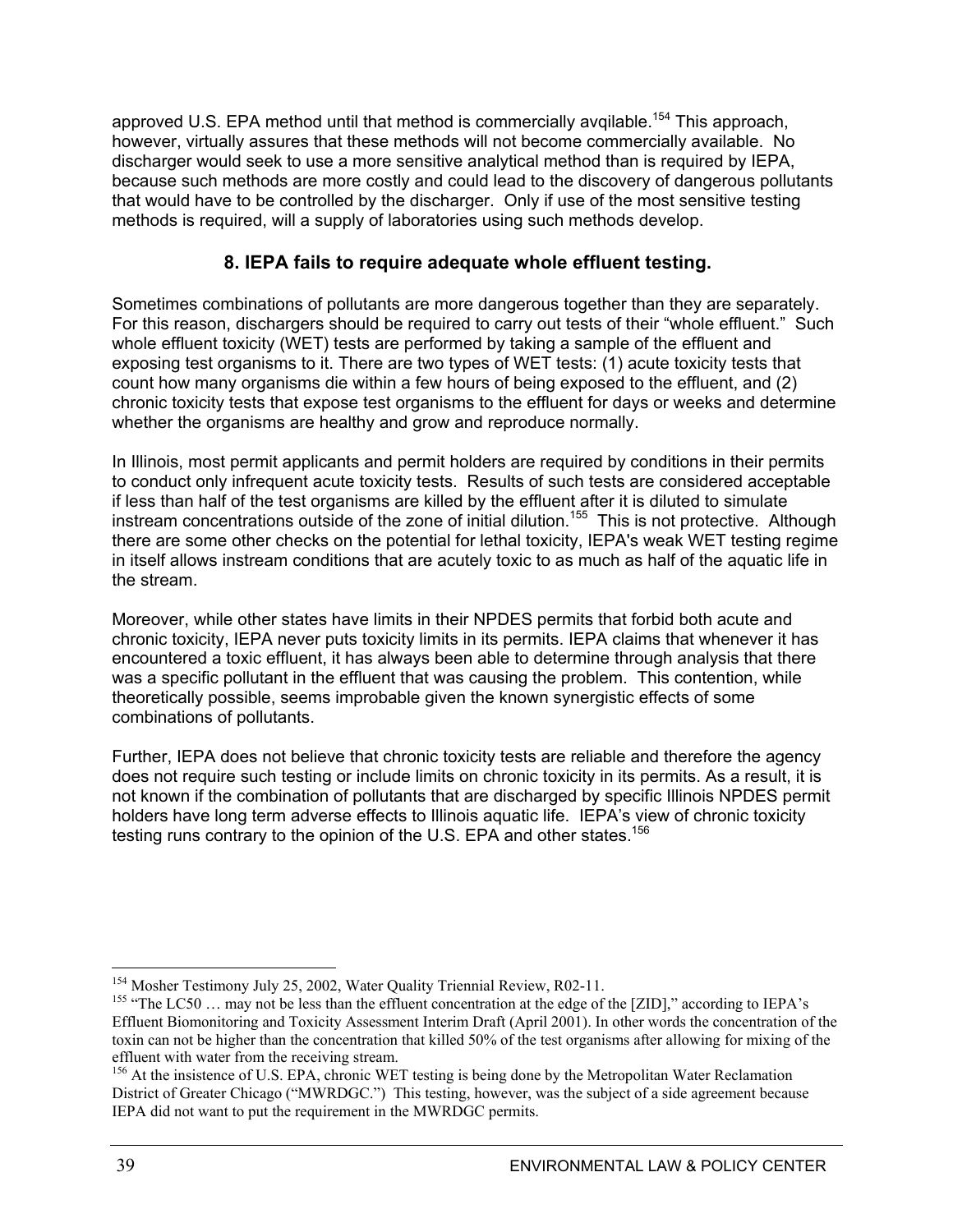approved U.S. EPA method until that method is commercially avqilable.<sup>154</sup> This approach, however, virtually assures that these methods will not become commercially available. No discharger would seek to use a more sensitive analytical method than is required by IEPA, because such methods are more costly and could lead to the discovery of dangerous pollutants that would have to be controlled by the discharger. Only if use of the most sensitive testing methods is required, will a supply of laboratories using such methods develop.

### **8. IEPA fails to require adequate whole effluent testing.**

Sometimes combinations of pollutants are more dangerous together than they are separately. For this reason, dischargers should be required to carry out tests of their "whole effluent." Such whole effluent toxicity (WET) tests are performed by taking a sample of the effluent and exposing test organisms to it. There are two types of WET tests: (1) acute toxicity tests that count how many organisms die within a few hours of being exposed to the effluent, and (2) chronic toxicity tests that expose test organisms to the effluent for days or weeks and determine whether the organisms are healthy and grow and reproduce normally.

In Illinois, most permit applicants and permit holders are required by conditions in their permits to conduct only infrequent acute toxicity tests. Results of such tests are considered acceptable if less than half of the test organisms are killed by the effluent after it is diluted to simulate instream concentrations outside of the zone of initial dilution.155 This is not protective. Although there are some other checks on the potential for lethal toxicity, IEPA's weak WET testing regime in itself allows instream conditions that are acutely toxic to as much as half of the aquatic life in the stream.

Moreover, while other states have limits in their NPDES permits that forbid both acute and chronic toxicity, IEPA never puts toxicity limits in its permits. IEPA claims that whenever it has encountered a toxic effluent, it has always been able to determine through analysis that there was a specific pollutant in the effluent that was causing the problem. This contention, while theoretically possible, seems improbable given the known synergistic effects of some combinations of pollutants.

Further, IEPA does not believe that chronic toxicity tests are reliable and therefore the agency does not require such testing or include limits on chronic toxicity in its permits. As a result, it is not known if the combination of pollutants that are discharged by specific Illinois NPDES permit holders have long term adverse effects to Illinois aquatic life. IEPA's view of chronic toxicity testing runs contrary to the opinion of the U.S. EPA and other states.<sup>156</sup>

<sup>&</sup>lt;sup>154</sup> Mosher Testimony July 25, 2002, Water Quality Triennial Review, R02-11.

<sup>&</sup>lt;sup>155</sup> "The LC50 ... may not be less than the effluent concentration at the edge of the [ZID]," according to IEPA's Effluent Biomonitoring and Toxicity Assessment Interim Draft (April 2001). In other words the concentration of the toxin can not be higher than the concentration that killed 50% of the test organisms after allowing for mixing of the

<sup>&</sup>lt;sup>156</sup> At the insistence of U.S. EPA, chronic WET testing is being done by the Metropolitan Water Reclamation District of Greater Chicago ("MWRDGC.") This testing, however, was the subject of a side agreement because IEPA did not want to put the requirement in the MWRDGC permits.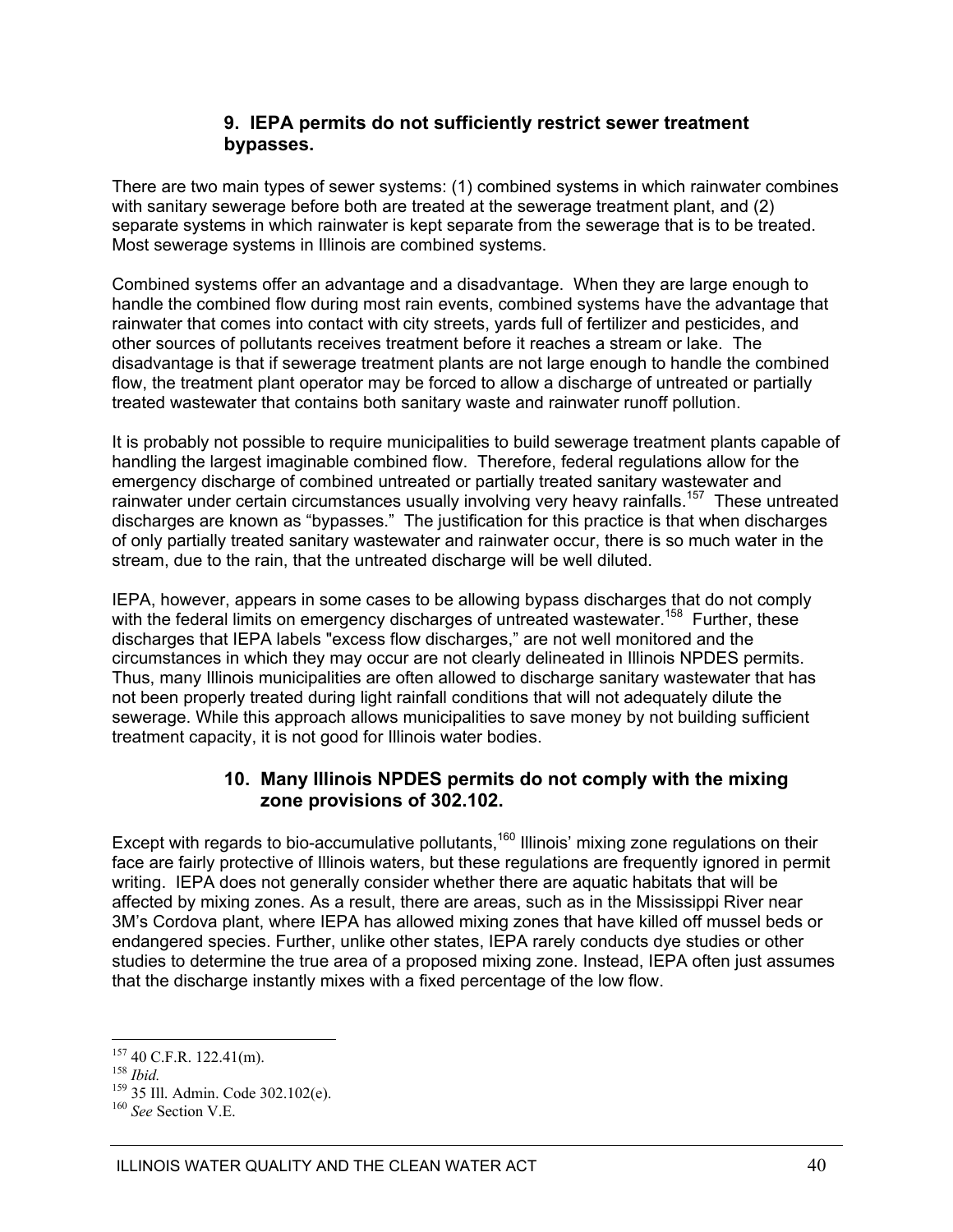### **9. IEPA permits do not sufficiently restrict sewer treatment bypasses.**

There are two main types of sewer systems: (1) combined systems in which rainwater combines with sanitary sewerage before both are treated at the sewerage treatment plant, and (2) separate systems in which rainwater is kept separate from the sewerage that is to be treated. Most sewerage systems in Illinois are combined systems.

Combined systems offer an advantage and a disadvantage. When they are large enough to handle the combined flow during most rain events, combined systems have the advantage that rainwater that comes into contact with city streets, yards full of fertilizer and pesticides, and other sources of pollutants receives treatment before it reaches a stream or lake. The disadvantage is that if sewerage treatment plants are not large enough to handle the combined flow, the treatment plant operator may be forced to allow a discharge of untreated or partially treated wastewater that contains both sanitary waste and rainwater runoff pollution.

It is probably not possible to require municipalities to build sewerage treatment plants capable of handling the largest imaginable combined flow. Therefore, federal regulations allow for the emergency discharge of combined untreated or partially treated sanitary wastewater and rainwater under certain circumstances usually involving very heavy rainfalls.<sup>157</sup> These untreated discharges are known as "bypasses." The justification for this practice is that when discharges of only partially treated sanitary wastewater and rainwater occur, there is so much water in the stream, due to the rain, that the untreated discharge will be well diluted.

IEPA, however, appears in some cases to be allowing bypass discharges that do not comply with the federal limits on emergency discharges of untreated wastewater.<sup>158</sup> Further, these discharges that IEPA labels "excess flow discharges," are not well monitored and the circumstances in which they may occur are not clearly delineated in Illinois NPDES permits. Thus, many Illinois municipalities are often allowed to discharge sanitary wastewater that has not been properly treated during light rainfall conditions that will not adequately dilute the sewerage. While this approach allows municipalities to save money by not building sufficient treatment capacity, it is not good for Illinois water bodies.

### **10. Many Illinois NPDES permits do not comply with the mixing zone provisions of 302.102.**

Except with regards to bio-accumulative pollutants,<sup>160</sup> Illinois' mixing zone regulations on their face are fairly protective of Illinois waters, but these regulations are frequently ignored in permit writing. IEPA does not generally consider whether there are aquatic habitats that will be affected by mixing zones. As a result, there are areas, such as in the Mississippi River near 3M's Cordova plant, where IEPA has allowed mixing zones that have killed off mussel beds or endangered species. Further, unlike other states, IEPA rarely conducts dye studies or other studies to determine the true area of a proposed mixing zone. Instead, IEPA often just assumes that the discharge instantly mixes with a fixed percentage of the low flow.

 $157$  40 C.F.R. 122.41(m).

<sup>158</sup> *Ibid.* 159 35 Ill. Admin. Code 302.102(e). 160 *See* Section V.E.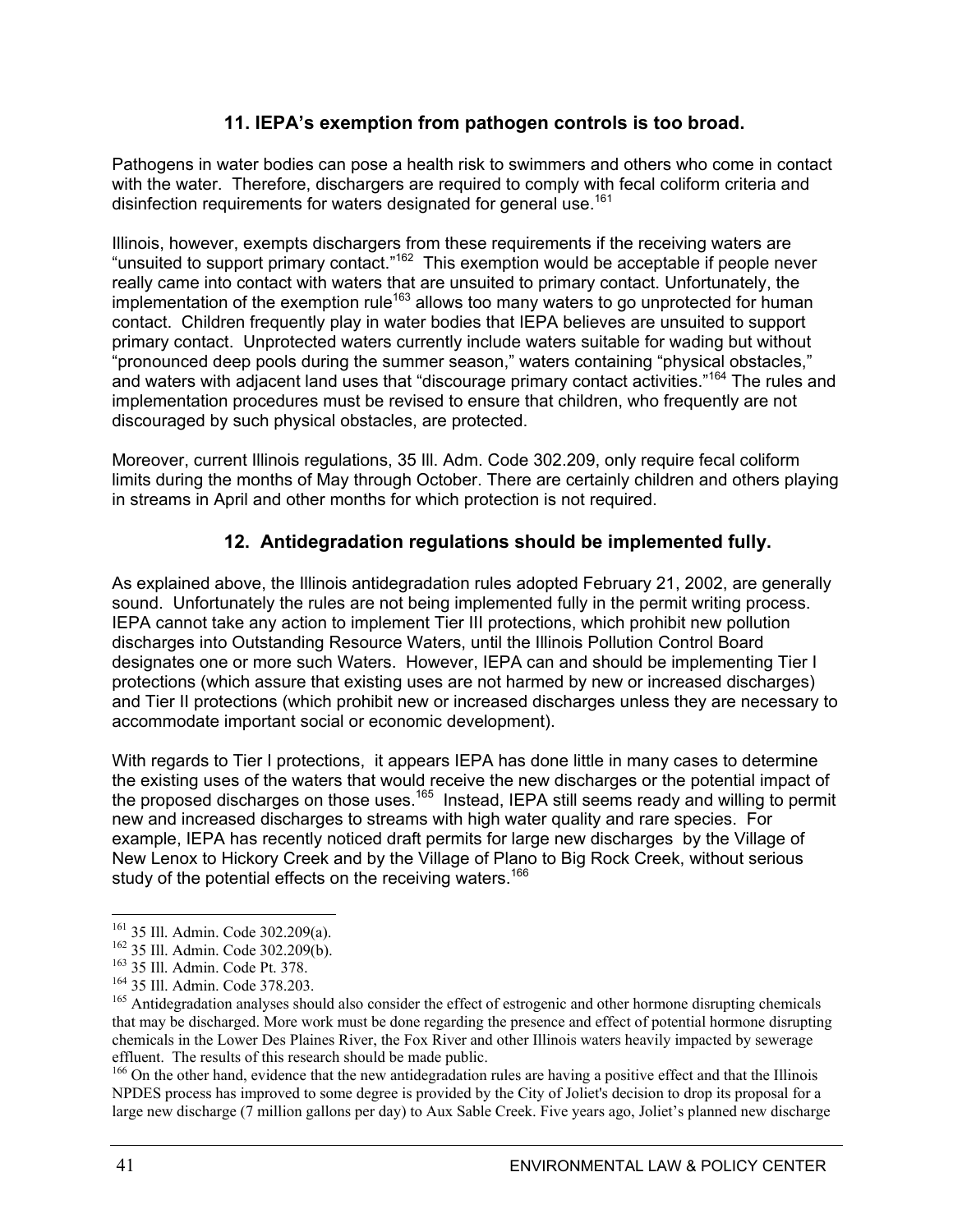### **11. IEPA's exemption from pathogen controls is too broad.**

Pathogens in water bodies can pose a health risk to swimmers and others who come in contact with the water. Therefore, dischargers are required to comply with fecal coliform criteria and disinfection requirements for waters designated for general use.<sup>161</sup>

Illinois, however, exempts dischargers from these requirements if the receiving waters are "unsuited to support primary contact."162 This exemption would be acceptable if people never really came into contact with waters that are unsuited to primary contact. Unfortunately, the implementation of the exemption rule<sup>163</sup> allows too many waters to go unprotected for human contact. Children frequently play in water bodies that IEPA believes are unsuited to support primary contact. Unprotected waters currently include waters suitable for wading but without "pronounced deep pools during the summer season," waters containing "physical obstacles," and waters with adjacent land uses that "discourage primary contact activities."<sup>164</sup> The rules and implementation procedures must be revised to ensure that children, who frequently are not discouraged by such physical obstacles, are protected.

Moreover, current Illinois regulations, 35 Ill. Adm. Code 302.209, only require fecal coliform limits during the months of May through October. There are certainly children and others playing in streams in April and other months for which protection is not required.

### **12. Antidegradation regulations should be implemented fully.**

As explained above, the Illinois antidegradation rules adopted February 21, 2002, are generally sound. Unfortunately the rules are not being implemented fully in the permit writing process. IEPA cannot take any action to implement Tier III protections, which prohibit new pollution discharges into Outstanding Resource Waters, until the Illinois Pollution Control Board designates one or more such Waters. However, IEPA can and should be implementing Tier I protections (which assure that existing uses are not harmed by new or increased discharges) and Tier II protections (which prohibit new or increased discharges unless they are necessary to accommodate important social or economic development).

With regards to Tier I protections, it appears IEPA has done little in many cases to determine the existing uses of the waters that would receive the new discharges or the potential impact of the proposed discharges on those uses.<sup>165</sup> Instead, IEPA still seems ready and willing to permit new and increased discharges to streams with high water quality and rare species. For example, IEPA has recently noticed draft permits for large new discharges by the Village of New Lenox to Hickory Creek and by the Village of Plano to Big Rock Creek, without serious study of the potential effects on the receiving waters.<sup>166</sup>

<sup>166</sup> On the other hand, evidence that the new antidegradation rules are having a positive effect and that the Illinois NPDES process has improved to some degree is provided by the City of Joliet's decision to drop its proposal for a large new discharge (7 million gallons per day) to Aux Sable Creek. Five years ago, Joliet's planned new discharge

<sup>&</sup>lt;sup>161</sup> 35 Ill. Admin. Code 302.209(a).

<sup>&</sup>lt;sup>162</sup> 35 III. Admin. Code 302.209(b).<br><sup>163</sup> 35 III. Admin. Code Pt. 378.<br><sup>164</sup> 35 III. Admin. Code 378.203.<br><sup>164</sup> 35 III. Admin. Code 378.203.<br><sup>164</sup> Antidegradation analyses should also consider the effect of estrogenic a that may be discharged. More work must be done regarding the presence and effect of potential hormone disrupting chemicals in the Lower Des Plaines River, the Fox River and other Illinois waters heavily impacted by sewerage effluent. The results of this research should be made public.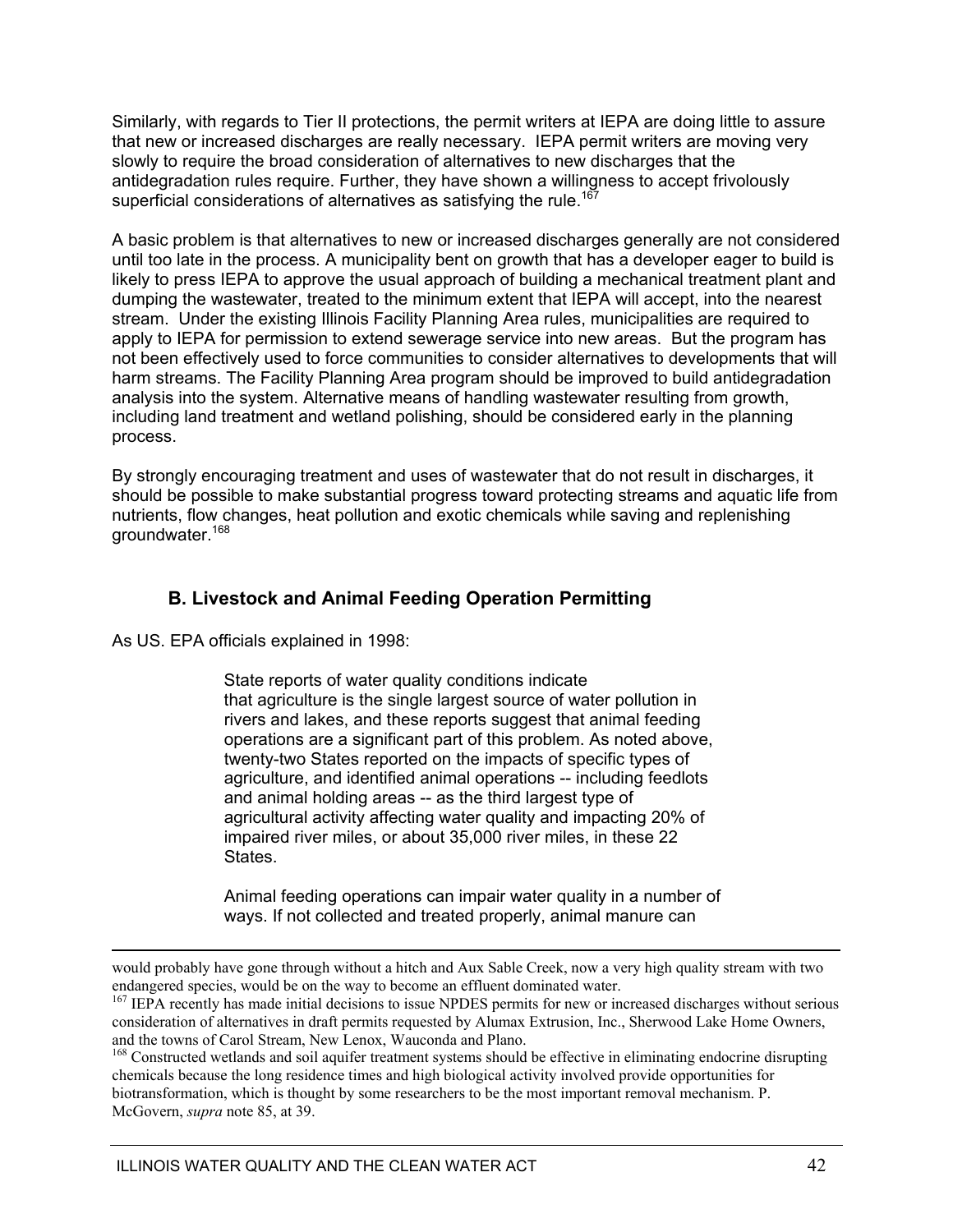Similarly, with regards to Tier II protections, the permit writers at IEPA are doing little to assure that new or increased discharges are really necessary. IEPA permit writers are moving very slowly to require the broad consideration of alternatives to new discharges that the antidegradation rules require. Further, they have shown a willingness to accept frivolously superficial considerations of alternatives as satisfying the rule.<sup>167</sup>

A basic problem is that alternatives to new or increased discharges generally are not considered until too late in the process. A municipality bent on growth that has a developer eager to build is likely to press IEPA to approve the usual approach of building a mechanical treatment plant and dumping the wastewater, treated to the minimum extent that IEPA will accept, into the nearest stream. Under the existing Illinois Facility Planning Area rules, municipalities are required to apply to IEPA for permission to extend sewerage service into new areas. But the program has not been effectively used to force communities to consider alternatives to developments that will harm streams. The Facility Planning Area program should be improved to build antidegradation analysis into the system. Alternative means of handling wastewater resulting from growth, including land treatment and wetland polishing, should be considered early in the planning process.

By strongly encouraging treatment and uses of wastewater that do not result in discharges, it should be possible to make substantial progress toward protecting streams and aquatic life from nutrients, flow changes, heat pollution and exotic chemicals while saving and replenishing groundwater.<sup>168</sup>

### **B. Livestock and Animal Feeding Operation Permitting**

As US. EPA officials explained in 1998:

State reports of water quality conditions indicate that agriculture is the single largest source of water pollution in rivers and lakes, and these reports suggest that animal feeding operations are a significant part of this problem. As noted above, twenty-two States reported on the impacts of specific types of agriculture, and identified animal operations -- including feedlots and animal holding areas -- as the third largest type of agricultural activity affecting water quality and impacting 20% of impaired river miles, or about 35,000 river miles, in these 22 States.

 Animal feeding operations can impair water quality in a number of ways. If not collected and treated properly, animal manure can

would probably have gone through without a hitch and Aux Sable Creek, now a very high quality stream with two endangered species, would be on the way to become an effluent dominated water.

<sup>&</sup>lt;sup>167</sup> IEPA recently has made initial decisions to issue NPDES permits for new or increased discharges without serious consideration of alternatives in draft permits requested by Alumax Extrusion, Inc., Sherwood Lake Home Owners, and the towns of Carol Stream, New Lenox, Wauconda and Plano.<br><sup>168</sup> Constructed wetlands and soil aquifer treatment systems should be effective in eliminating endocrine disrupting

chemicals because the long residence times and high biological activity involved provide opportunities for biotransformation, which is thought by some researchers to be the most important removal mechanism. P. McGovern, *supra* note 85, at 39.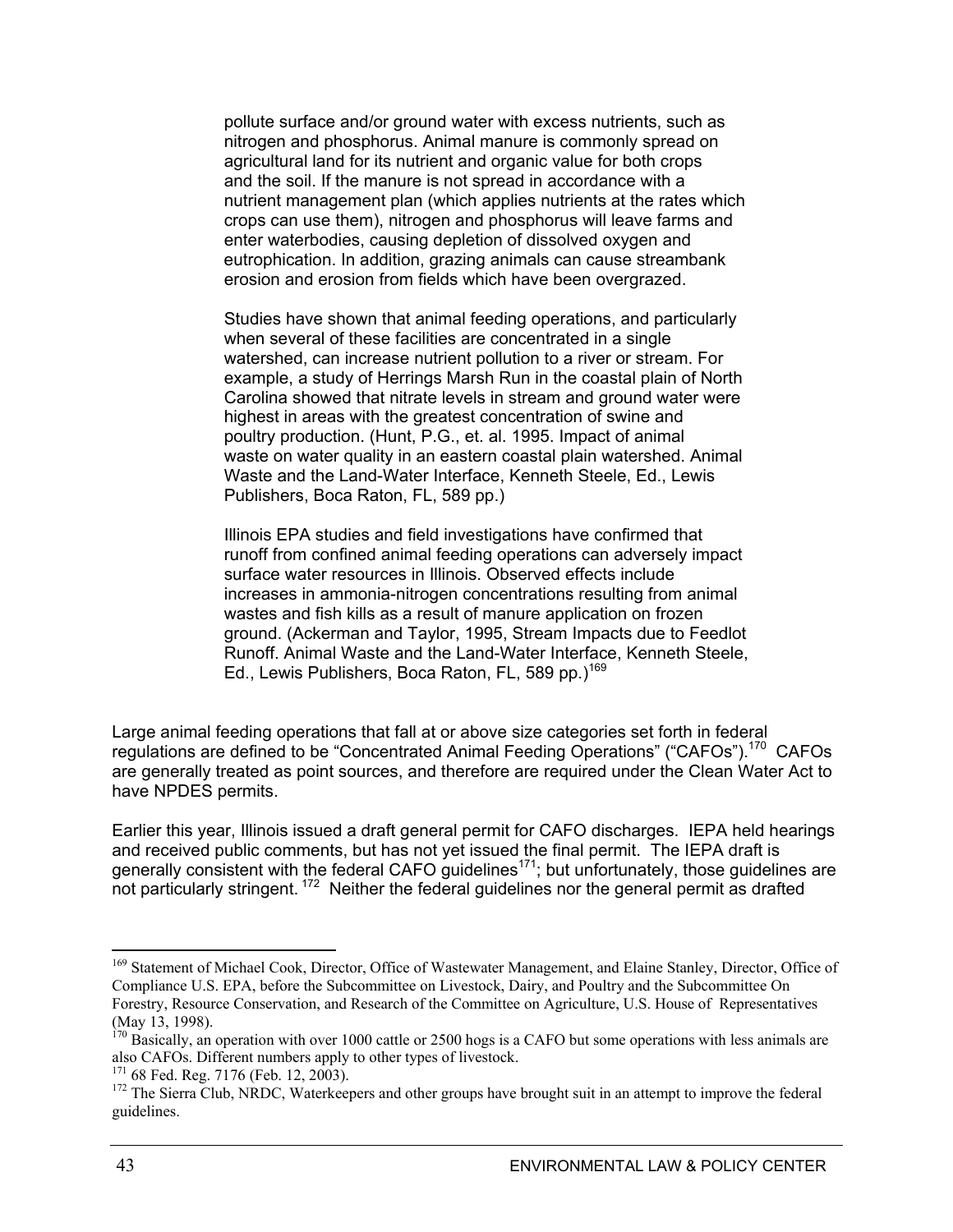pollute surface and/or ground water with excess nutrients, such as nitrogen and phosphorus. Animal manure is commonly spread on agricultural land for its nutrient and organic value for both crops and the soil. If the manure is not spread in accordance with a nutrient management plan (which applies nutrients at the rates which crops can use them), nitrogen and phosphorus will leave farms and enter waterbodies, causing depletion of dissolved oxygen and eutrophication. In addition, grazing animals can cause streambank erosion and erosion from fields which have been overgrazed.

 Studies have shown that animal feeding operations, and particularly when several of these facilities are concentrated in a single watershed, can increase nutrient pollution to a river or stream. For example, a study of Herrings Marsh Run in the coastal plain of North Carolina showed that nitrate levels in stream and ground water were highest in areas with the greatest concentration of swine and poultry production. (Hunt, P.G., et. al. 1995. Impact of animal waste on water quality in an eastern coastal plain watershed. Animal Waste and the Land-Water Interface, Kenneth Steele, Ed., Lewis Publishers, Boca Raton, FL, 589 pp.)

 Illinois EPA studies and field investigations have confirmed that runoff from confined animal feeding operations can adversely impact surface water resources in Illinois. Observed effects include increases in ammonia-nitrogen concentrations resulting from animal wastes and fish kills as a result of manure application on frozen ground. (Ackerman and Taylor, 1995, Stream Impacts due to Feedlot Runoff. Animal Waste and the Land-Water Interface, Kenneth Steele, Ed., Lewis Publishers, Boca Raton, FL, 589 pp.)<sup>169</sup>

Large animal feeding operations that fall at or above size categories set forth in federal regulations are defined to be "Concentrated Animal Feeding Operations" ("CAFOs").170 CAFOs are generally treated as point sources, and therefore are required under the Clean Water Act to have NPDES permits.

Earlier this year, Illinois issued a draft general permit for CAFO discharges. IEPA held hearings and received public comments, but has not yet issued the final permit. The IEPA draft is generally consistent with the federal CAFO guidelines<sup>171</sup>; but unfortunately, those guidelines are not particularly stringent.<sup>172</sup> Neither the federal guidelines nor the general permit as drafted

<sup>&</sup>lt;sup>169</sup> Statement of Michael Cook, Director, Office of Wastewater Management, and Elaine Stanley, Director, Office of Compliance U.S. EPA, before the Subcommittee on Livestock, Dairy, and Poultry and the Subcommittee On Forestry, Resource Conservation, and Research of the Committee on Agriculture, U.S. House of Representatives (May 13, 1998).

 $170$  Basically, an operation with over 1000 cattle or 2500 hogs is a CAFO but some operations with less animals are also CAFOs. Different numbers apply to other types of livestock.<br><sup>171</sup> 68 Fed. Reg. 7176 (Feb. 12, 2003).

<sup>&</sup>lt;sup>172</sup> The Sierra Club, NRDC, Waterkeepers and other groups have brought suit in an attempt to improve the federal guidelines.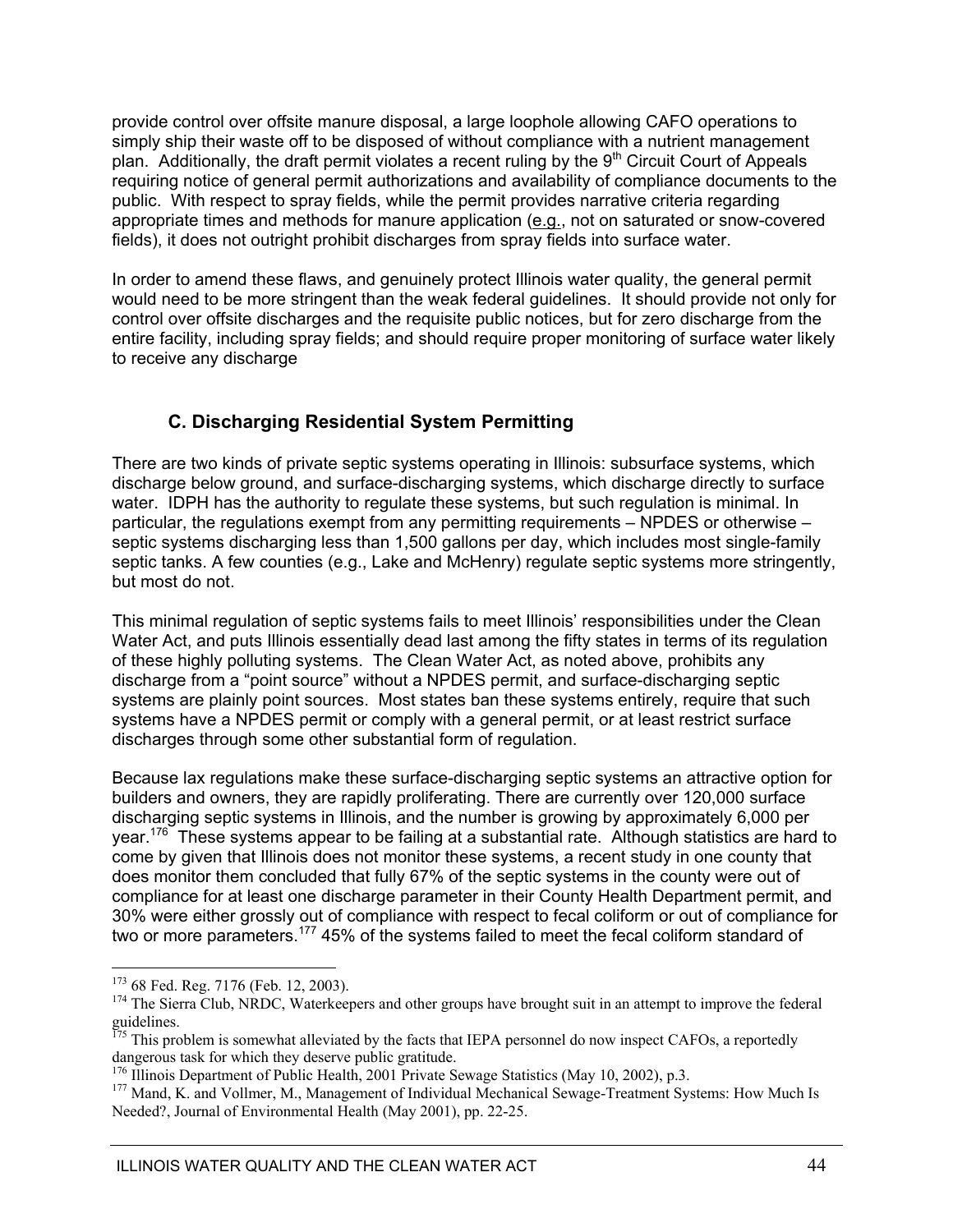provide control over offsite manure disposal, a large loophole allowing CAFO operations to simply ship their waste off to be disposed of without compliance with a nutrient management plan. Additionally, the draft permit violates a recent ruling by the  $9<sup>th</sup>$  Circuit Court of Appeals requiring notice of general permit authorizations and availability of compliance documents to the public. With respect to spray fields, while the permit provides narrative criteria regarding appropriate times and methods for manure application (e.g., not on saturated or snow-covered fields), it does not outright prohibit discharges from spray fields into surface water.

In order to amend these flaws, and genuinely protect Illinois water quality, the general permit would need to be more stringent than the weak federal guidelines. It should provide not only for control over offsite discharges and the requisite public notices, but for zero discharge from the entire facility, including spray fields; and should require proper monitoring of surface water likely to receive any discharge

### **C. Discharging Residential System Permitting**

There are two kinds of private septic systems operating in Illinois: subsurface systems, which discharge below ground, and surface-discharging systems, which discharge directly to surface water. IDPH has the authority to regulate these systems, but such regulation is minimal. In particular, the regulations exempt from any permitting requirements – NPDES or otherwise – septic systems discharging less than 1,500 gallons per day, which includes most single-family septic tanks. A few counties (e.g., Lake and McHenry) regulate septic systems more stringently, but most do not.

This minimal regulation of septic systems fails to meet Illinois' responsibilities under the Clean Water Act, and puts Illinois essentially dead last among the fifty states in terms of its regulation of these highly polluting systems. The Clean Water Act, as noted above, prohibits any discharge from a "point source" without a NPDES permit, and surface-discharging septic systems are plainly point sources. Most states ban these systems entirely, require that such systems have a NPDES permit or comply with a general permit, or at least restrict surface discharges through some other substantial form of regulation.

Because lax regulations make these surface-discharging septic systems an attractive option for builders and owners, they are rapidly proliferating. There are currently over 120,000 surface discharging septic systems in Illinois, and the number is growing by approximately 6,000 per year.<sup>176</sup> These systems appear to be failing at a substantial rate. Although statistics are hard to come by given that Illinois does not monitor these systems, a recent study in one county that does monitor them concluded that fully 67% of the septic systems in the county were out of compliance for at least one discharge parameter in their County Health Department permit, and 30% were either grossly out of compliance with respect to fecal coliform or out of compliance for two or more parameters.<sup>177</sup> 45% of the systems failed to meet the fecal coliform standard of

<sup>&</sup>lt;sup>173</sup> 68 Fed. Reg. 7176 (Feb. 12, 2003).

<sup>&</sup>lt;sup>174</sup> The Sierra Club, NRDC, Waterkeepers and other groups have brought suit in an attempt to improve the federal guidelines.

<sup>&</sup>lt;sup>175</sup> This problem is somewhat alleviated by the facts that IEPA personnel do now inspect CAFOs, a reportedly dangerous task for which they deserve public gratitude.<br><sup>176</sup> Illinois Department of Public Health, 2001 Private Sewage Statistics (May 10, 2002), p.3.

<sup>&</sup>lt;sup>177</sup> Mand, K. and Vollmer, M., Management of Individual Mechanical Sewage-Treatment Systems: How Much Is Needed?, Journal of Environmental Health (May 2001), pp. 22-25.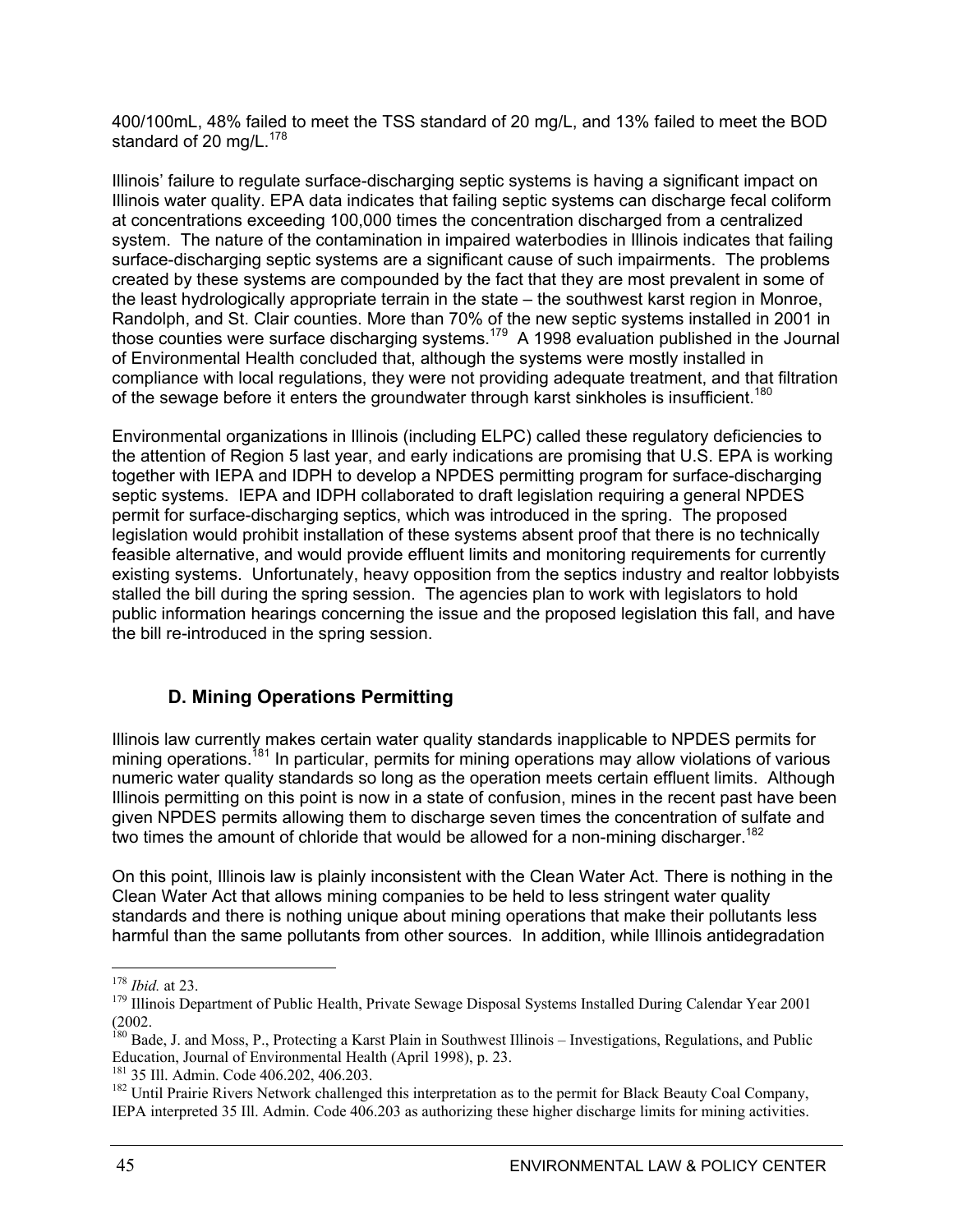400/100mL, 48% failed to meet the TSS standard of 20 mg/L, and 13% failed to meet the BOD standard of 20 mg/L.<sup>178</sup>

Illinois' failure to regulate surface-discharging septic systems is having a significant impact on Illinois water quality. EPA data indicates that failing septic systems can discharge fecal coliform at concentrations exceeding 100,000 times the concentration discharged from a centralized system. The nature of the contamination in impaired waterbodies in Illinois indicates that failing surface-discharging septic systems are a significant cause of such impairments. The problems created by these systems are compounded by the fact that they are most prevalent in some of the least hydrologically appropriate terrain in the state – the southwest karst region in Monroe, Randolph, and St. Clair counties. More than 70% of the new septic systems installed in 2001 in those counties were surface discharging systems.179 A 1998 evaluation published in the Journal of Environmental Health concluded that, although the systems were mostly installed in compliance with local regulations, they were not providing adequate treatment, and that filtration of the sewage before it enters the groundwater through karst sinkholes is insufficient.<sup>180</sup>

Environmental organizations in Illinois (including ELPC) called these regulatory deficiencies to the attention of Region 5 last year, and early indications are promising that U.S. EPA is working together with IEPA and IDPH to develop a NPDES permitting program for surface-discharging septic systems. IEPA and IDPH collaborated to draft legislation requiring a general NPDES permit for surface-discharging septics, which was introduced in the spring. The proposed legislation would prohibit installation of these systems absent proof that there is no technically feasible alternative, and would provide effluent limits and monitoring requirements for currently existing systems. Unfortunately, heavy opposition from the septics industry and realtor lobbyists stalled the bill during the spring session. The agencies plan to work with legislators to hold public information hearings concerning the issue and the proposed legislation this fall, and have the bill re-introduced in the spring session.

### **D. Mining Operations Permitting**

Illinois law currently makes certain water quality standards inapplicable to NPDES permits for mining operations.<sup>181</sup> In particular, permits for mining operations may allow violations of various numeric water quality standards so long as the operation meets certain effluent limits. Although Illinois permitting on this point is now in a state of confusion, mines in the recent past have been given NPDES permits allowing them to discharge seven times the concentration of sulfate and two times the amount of chloride that would be allowed for a non-mining discharger.<sup>182</sup>

On this point, Illinois law is plainly inconsistent with the Clean Water Act. There is nothing in the Clean Water Act that allows mining companies to be held to less stringent water quality standards and there is nothing unique about mining operations that make their pollutants less harmful than the same pollutants from other sources. In addition, while Illinois antidegradation

 $178$  *Ibid.* at 23.

<sup>&</sup>lt;sup>179</sup> Illinois Department of Public Health, Private Sewage Disposal Systems Installed During Calendar Year 2001 (2002.

<sup>&</sup>lt;sup>180</sup> Bade, J. and Moss, P., Protecting a Karst Plain in Southwest Illinois – Investigations, Regulations, and Public Education, Journal of Environmental Health (April 1998), p. 23.

<sup>&</sup>lt;sup>181</sup> 35 Ill. Admin. Code 406.202, 406.203.<br><sup>182</sup> Until Prairie Rivers Network challenged this interpretation as to the permit for Black Beauty Coal Company, IEPA interpreted 35 Ill. Admin. Code 406.203 as authorizing these higher discharge limits for mining activities.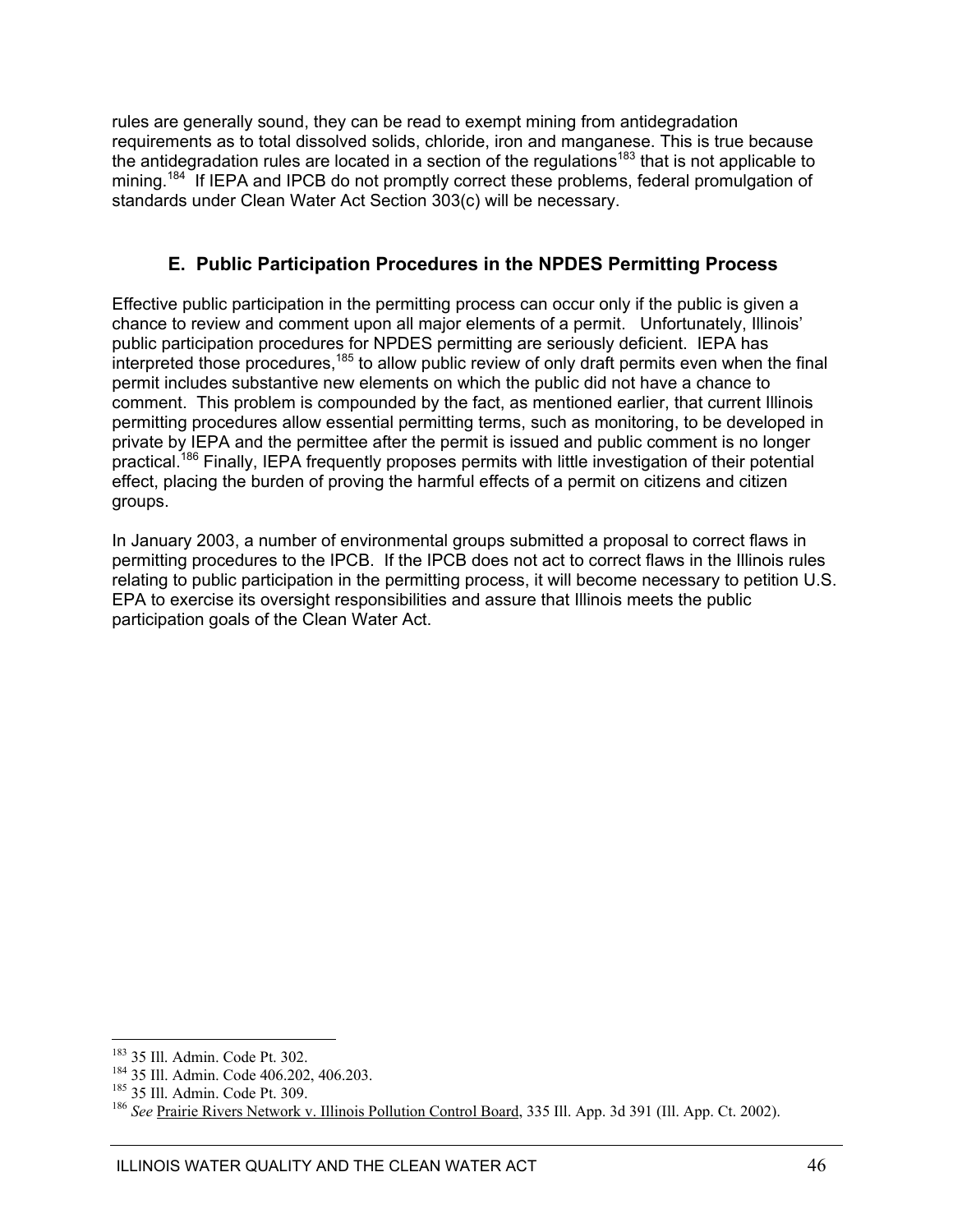rules are generally sound, they can be read to exempt mining from antidegradation requirements as to total dissolved solids, chloride, iron and manganese. This is true because the antidegradation rules are located in a section of the regulations<sup>183</sup> that is not applicable to mining.<sup>184</sup> If IEPA and IPCB do not promptly correct these problems, federal promulgation of standards under Clean Water Act Section 303(c) will be necessary.

### **E. Public Participation Procedures in the NPDES Permitting Process**

Effective public participation in the permitting process can occur only if the public is given a chance to review and comment upon all major elements of a permit. Unfortunately, Illinois' public participation procedures for NPDES permitting are seriously deficient. IEPA has  $\frac{1}{2}$  interpreted those procedures,<sup>185</sup> to allow public review of only draft permits even when the final permit includes substantive new elements on which the public did not have a chance to comment. This problem is compounded by the fact, as mentioned earlier, that current Illinois permitting procedures allow essential permitting terms, such as monitoring, to be developed in private by IEPA and the permittee after the permit is issued and public comment is no longer practical.<sup>186</sup> Finally, IEPA frequently proposes permits with little investigation of their potential effect, placing the burden of proving the harmful effects of a permit on citizens and citizen groups.

In January 2003, a number of environmental groups submitted a proposal to correct flaws in permitting procedures to the IPCB. If the IPCB does not act to correct flaws in the Illinois rules relating to public participation in the permitting process, it will become necessary to petition U.S. EPA to exercise its oversight responsibilities and assure that Illinois meets the public participation goals of the Clean Water Act.

 $\overline{a}$ 

<sup>&</sup>lt;sup>183</sup> 35 Ill. Admin. Code Pt. 302.<br><sup>184</sup> 35 Ill. Admin. Code 406.202, 406.203.<br><sup>185</sup> 35 Ill. Admin. Code Pt. 309.<br><sup>185</sup> *See* Prairie Rivers Netw<u>ork v. Illinois Pollution Control Board</u>, 335 Ill. App. 3d 391 (Ill. App. C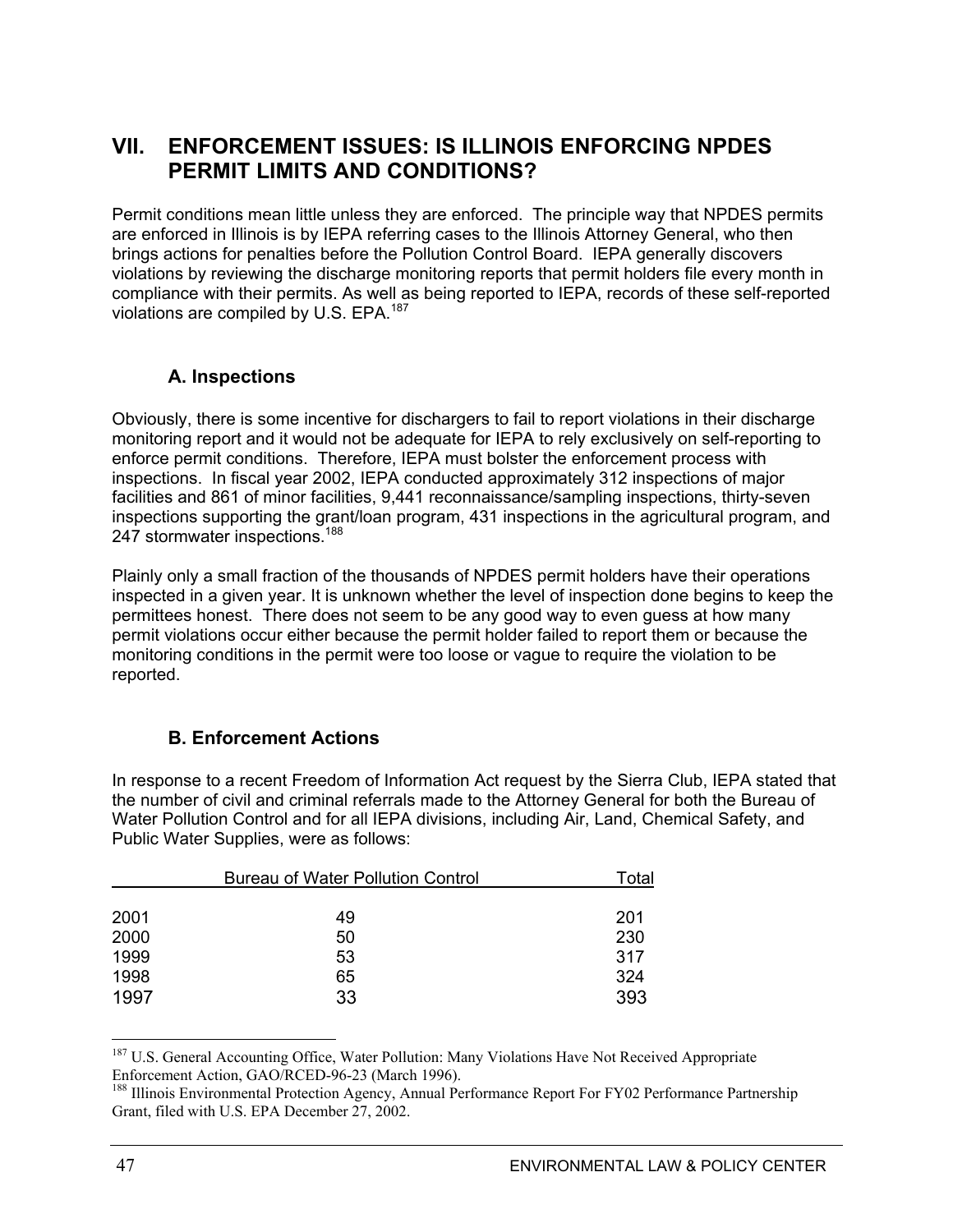### **VII. ENFORCEMENT ISSUES: IS ILLINOIS ENFORCING NPDES PERMIT LIMITS AND CONDITIONS?**

Permit conditions mean little unless they are enforced. The principle way that NPDES permits are enforced in Illinois is by IEPA referring cases to the Illinois Attorney General, who then brings actions for penalties before the Pollution Control Board. IEPA generally discovers violations by reviewing the discharge monitoring reports that permit holders file every month in compliance with their permits. As well as being reported to IEPA, records of these self-reported violations are compiled by U.S. EPA.<sup>187</sup>

### **A. Inspections**

Obviously, there is some incentive for dischargers to fail to report violations in their discharge monitoring report and it would not be adequate for IEPA to rely exclusively on self-reporting to enforce permit conditions. Therefore, IEPA must bolster the enforcement process with inspections. In fiscal year 2002, IEPA conducted approximately 312 inspections of major facilities and 861 of minor facilities, 9,441 reconnaissance/sampling inspections, thirty-seven inspections supporting the grant/loan program, 431 inspections in the agricultural program, and 247 stormwater inspections.<sup>188</sup>

Plainly only a small fraction of the thousands of NPDES permit holders have their operations inspected in a given year. It is unknown whether the level of inspection done begins to keep the permittees honest. There does not seem to be any good way to even guess at how many permit violations occur either because the permit holder failed to report them or because the monitoring conditions in the permit were too loose or vague to require the violation to be reported.

### **B. Enforcement Actions**

In response to a recent Freedom of Information Act request by the Sierra Club, IEPA stated that the number of civil and criminal referrals made to the Attorney General for both the Bureau of Water Pollution Control and for all IEPA divisions, including Air, Land, Chemical Safety, and Public Water Supplies, were as follows:

|      | Total |     |
|------|-------|-----|
|      |       |     |
| 2001 | 49    | 201 |
| 2000 | 50    | 230 |
| 1999 | 53    | 317 |
| 1998 | 65    | 324 |
| 1997 | 33    | 393 |

<sup>187</sup> U.S. General Accounting Office, Water Pollution: Many Violations Have Not Received Appropriate Enforcement Action, GAO/RCED-96-23 (March 1996).

<sup>&</sup>lt;sup>188</sup> Illinois Environmental Protection Agency, Annual Performance Report For FY02 Performance Partnership Grant, filed with U.S. EPA December 27, 2002.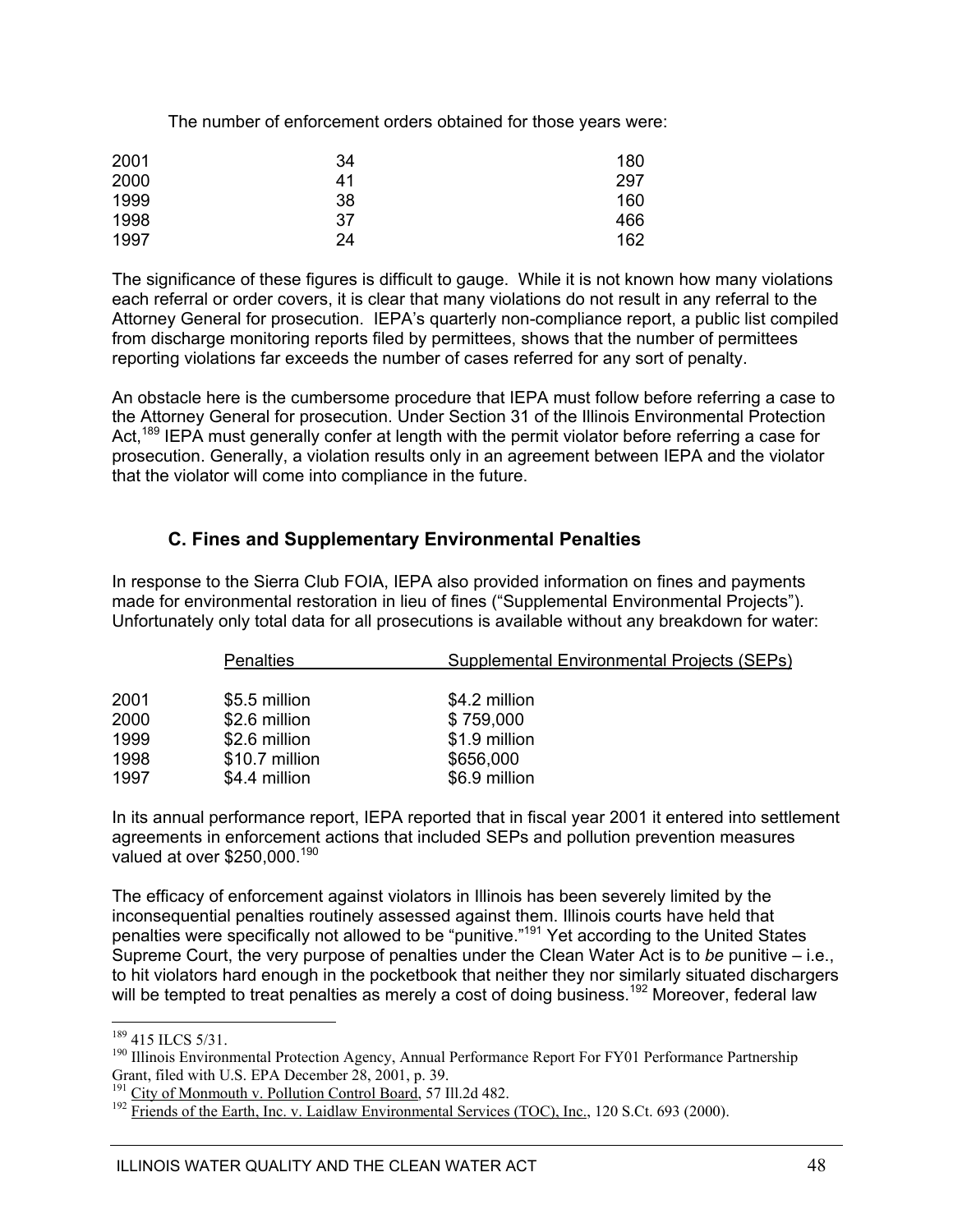The number of enforcement orders obtained for those years were:

| 2001 | 34 | 180 |
|------|----|-----|
| 2000 | 41 | 297 |
| 1999 | 38 | 160 |
| 1998 | 37 | 466 |
| 1997 | 24 | 162 |

The significance of these figures is difficult to gauge. While it is not known how many violations each referral or order covers, it is clear that many violations do not result in any referral to the Attorney General for prosecution. IEPA's quarterly non-compliance report, a public list compiled from discharge monitoring reports filed by permittees, shows that the number of permittees reporting violations far exceeds the number of cases referred for any sort of penalty.

An obstacle here is the cumbersome procedure that IEPA must follow before referring a case to the Attorney General for prosecution. Under Section 31 of the Illinois Environmental Protection Act,<sup>189</sup> IEPA must generally confer at length with the permit violator before referring a case for prosecution. Generally, a violation results only in an agreement between IEPA and the violator that the violator will come into compliance in the future.

### **C. Fines and Supplementary Environmental Penalties**

In response to the Sierra Club FOIA, IEPA also provided information on fines and payments made for environmental restoration in lieu of fines ("Supplemental Environmental Projects"). Unfortunately only total data for all prosecutions is available without any breakdown for water:

|      | <b>Penalties</b> | Supplemental Environmental Projects (SEPs) |
|------|------------------|--------------------------------------------|
| 2001 | \$5.5 million    | \$4.2 million                              |
| 2000 | \$2.6 million    | \$759,000                                  |
| 1999 | \$2.6 million    | \$1.9 million                              |
| 1998 | \$10.7 million   | \$656,000                                  |
| 1997 | \$4.4 million    | \$6.9 million                              |

In its annual performance report, IEPA reported that in fiscal year 2001 it entered into settlement agreements in enforcement actions that included SEPs and pollution prevention measures valued at over \$250,000.<sup>190</sup>

The efficacy of enforcement against violators in Illinois has been severely limited by the inconsequential penalties routinely assessed against them. Illinois courts have held that penalties were specifically not allowed to be "punitive."191 Yet according to the United States Supreme Court, the very purpose of penalties under the Clean Water Act is to *be* punitive – i.e., to hit violators hard enough in the pocketbook that neither they nor similarly situated dischargers will be tempted to treat penalties as merely a cost of doing business.<sup>192</sup> Moreover, federal law

<sup>&</sup>lt;sup>189</sup> 415 ILCS 5/31.

<sup>&</sup>lt;sup>190</sup> Illinois Environmental Protection Agency, Annual Performance Report For FY01 Performance Partnership Grant, filed with U.S. EPA December 28, 2001, p. 39.

<sup>&</sup>lt;sup>191</sup> City of Monmouth v. Pollution Control Board, 57 Ill.2d 482.<br><sup>192</sup> Friends of the Earth, Inc. v. Laidlaw Environmental Services (TOC), Inc., 120 S.Ct. 693 (2000).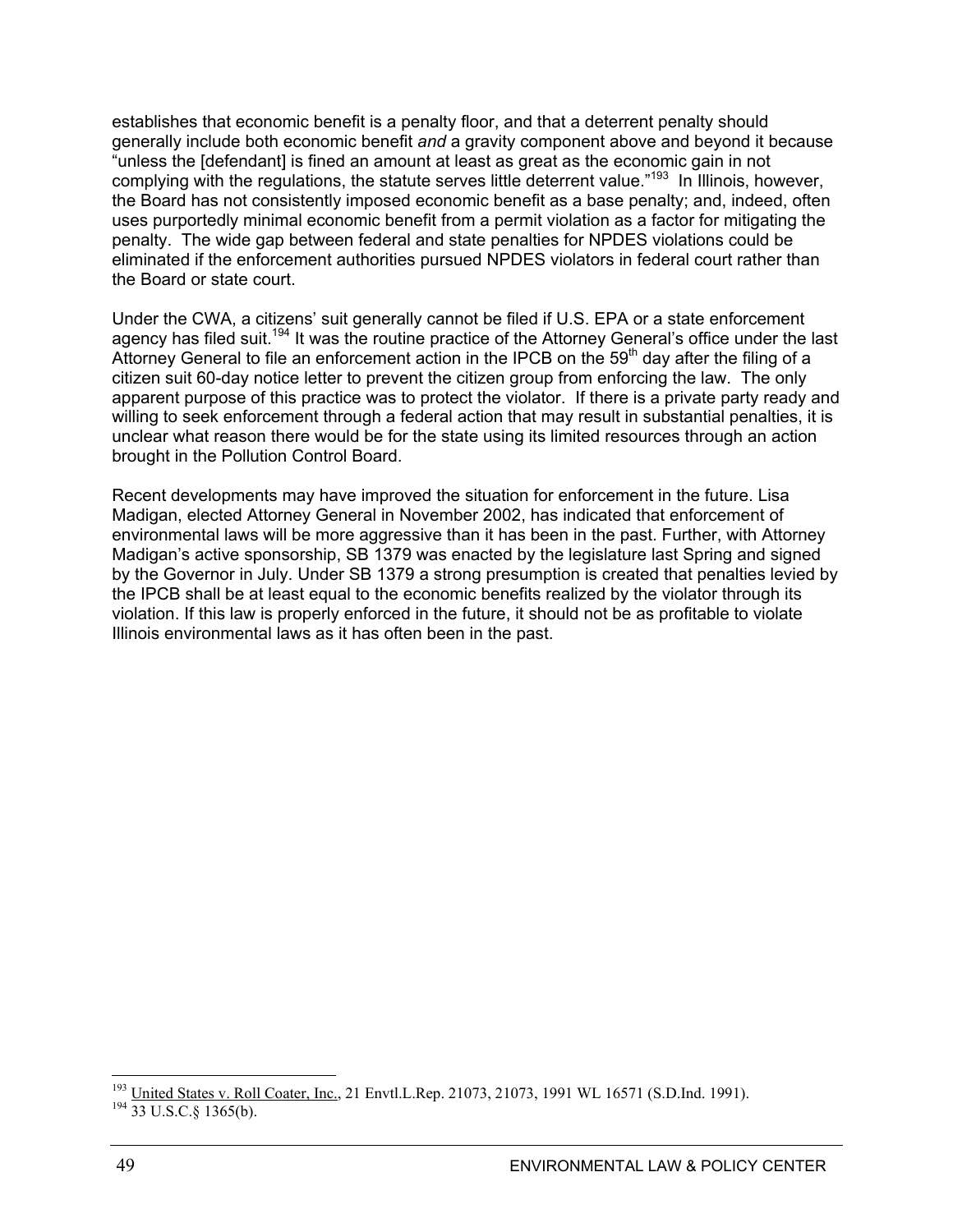establishes that economic benefit is a penalty floor, and that a deterrent penalty should generally include both economic benefit *and* a gravity component above and beyond it because "unless the [defendant] is fined an amount at least as great as the economic gain in not complying with the regulations, the statute serves little deterrent value."193 In Illinois, however, the Board has not consistently imposed economic benefit as a base penalty; and, indeed, often uses purportedly minimal economic benefit from a permit violation as a factor for mitigating the penalty. The wide gap between federal and state penalties for NPDES violations could be eliminated if the enforcement authorities pursued NPDES violators in federal court rather than the Board or state court.

Under the CWA, a citizens' suit generally cannot be filed if U.S. EPA or a state enforcement agency has filed suit.<sup>194</sup> It was the routine practice of the Attorney General's office under the last Attorney General to file an enforcement action in the IPCB on the  $59<sup>th</sup>$  day after the filing of a citizen suit 60-day notice letter to prevent the citizen group from enforcing the law. The only apparent purpose of this practice was to protect the violator. If there is a private party ready and willing to seek enforcement through a federal action that may result in substantial penalties, it is unclear what reason there would be for the state using its limited resources through an action brought in the Pollution Control Board.

Recent developments may have improved the situation for enforcement in the future. Lisa Madigan, elected Attorney General in November 2002, has indicated that enforcement of environmental laws will be more aggressive than it has been in the past. Further, with Attorney Madigan's active sponsorship, SB 1379 was enacted by the legislature last Spring and signed by the Governor in July. Under SB 1379 a strong presumption is created that penalties levied by the IPCB shall be at least equal to the economic benefits realized by the violator through its violation. If this law is properly enforced in the future, it should not be as profitable to violate Illinois environmental laws as it has often been in the past.

 $^{193}_{194}$  United States v. Roll Coater, Inc., 21 Envtl.L.Rep. 21073, 21073, 1991 WL 16571 (S.D.Ind. 1991). 194 33 U.S.C.§ 1365(b).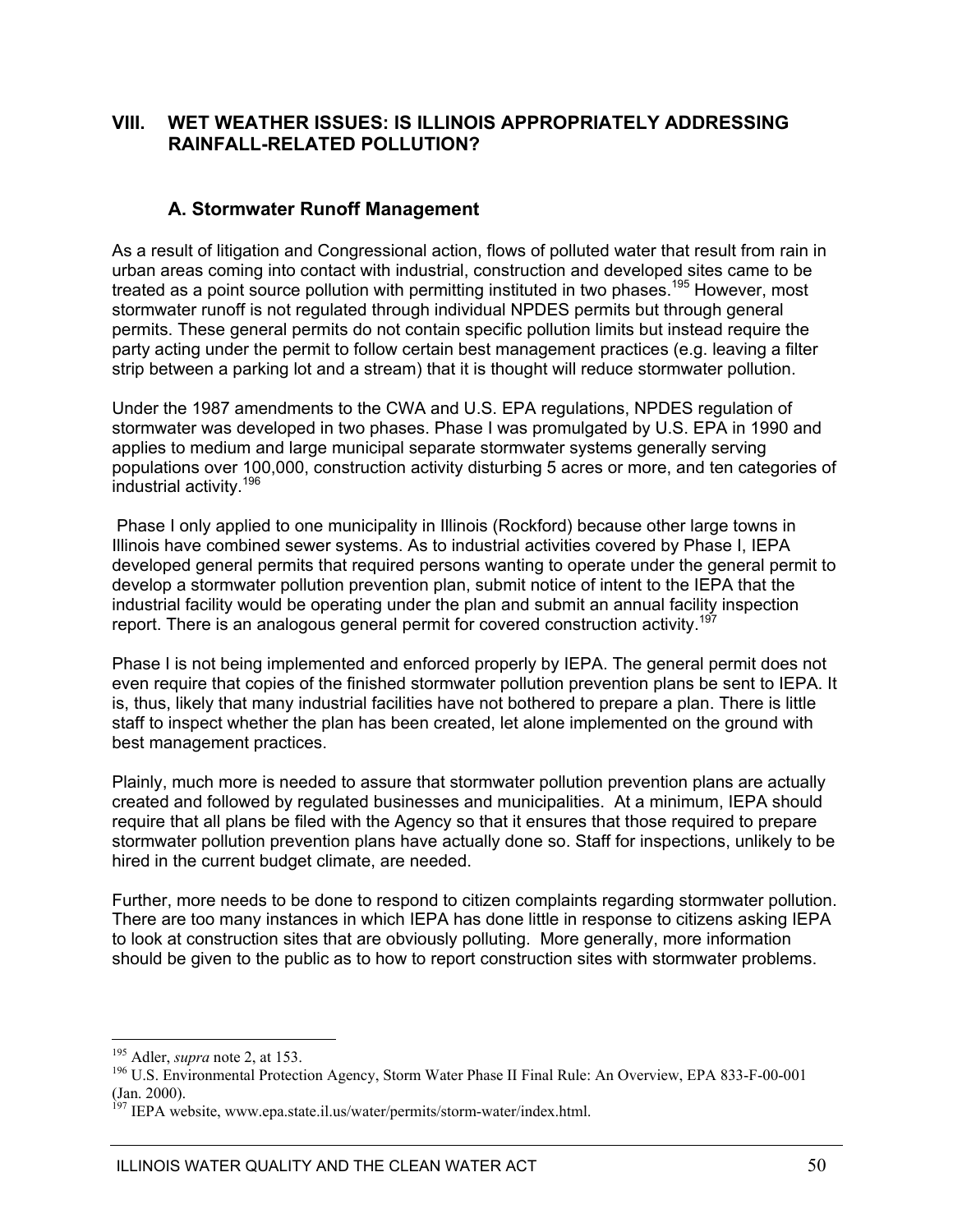### **VIII. WET WEATHER ISSUES: IS ILLINOIS APPROPRIATELY ADDRESSING RAINFALL-RELATED POLLUTION?**

### **A. Stormwater Runoff Management**

As a result of litigation and Congressional action, flows of polluted water that result from rain in urban areas coming into contact with industrial, construction and developed sites came to be treated as a point source pollution with permitting instituted in two phases.<sup>195</sup> However, most stormwater runoff is not regulated through individual NPDES permits but through general permits. These general permits do not contain specific pollution limits but instead require the party acting under the permit to follow certain best management practices (e.g. leaving a filter strip between a parking lot and a stream) that it is thought will reduce stormwater pollution.

Under the 1987 amendments to the CWA and U.S. EPA regulations, NPDES regulation of stormwater was developed in two phases. Phase I was promulgated by U.S. EPA in 1990 and applies to medium and large municipal separate stormwater systems generally serving populations over 100,000, construction activity disturbing 5 acres or more, and ten categories of industrial activity.<sup>196</sup>

 Phase I only applied to one municipality in Illinois (Rockford) because other large towns in Illinois have combined sewer systems. As to industrial activities covered by Phase I, IEPA developed general permits that required persons wanting to operate under the general permit to develop a stormwater pollution prevention plan, submit notice of intent to the IEPA that the industrial facility would be operating under the plan and submit an annual facility inspection report. There is an analogous general permit for covered construction activity.<sup>19</sup>

Phase I is not being implemented and enforced properly by IEPA. The general permit does not even require that copies of the finished stormwater pollution prevention plans be sent to IEPA. It is, thus, likely that many industrial facilities have not bothered to prepare a plan. There is little staff to inspect whether the plan has been created, let alone implemented on the ground with best management practices.

Plainly, much more is needed to assure that stormwater pollution prevention plans are actually created and followed by regulated businesses and municipalities. At a minimum, IEPA should require that all plans be filed with the Agency so that it ensures that those required to prepare stormwater pollution prevention plans have actually done so. Staff for inspections, unlikely to be hired in the current budget climate, are needed.

Further, more needs to be done to respond to citizen complaints regarding stormwater pollution. There are too many instances in which IEPA has done little in response to citizens asking IEPA to look at construction sites that are obviously polluting. More generally, more information should be given to the public as to how to report construction sites with stormwater problems.

<sup>&</sup>lt;sup>195</sup> Adler, *supra* note 2, at 153.<br><sup>196</sup> U.S. Environmental Protection Agency, Storm Water Phase II Final Rule: An Overview, EPA 833-F-00-001 (Jan. 2000).

<sup>&</sup>lt;sup>197</sup> IEPA website, www.epa.state.il.us/water/permits/storm-water/index.html.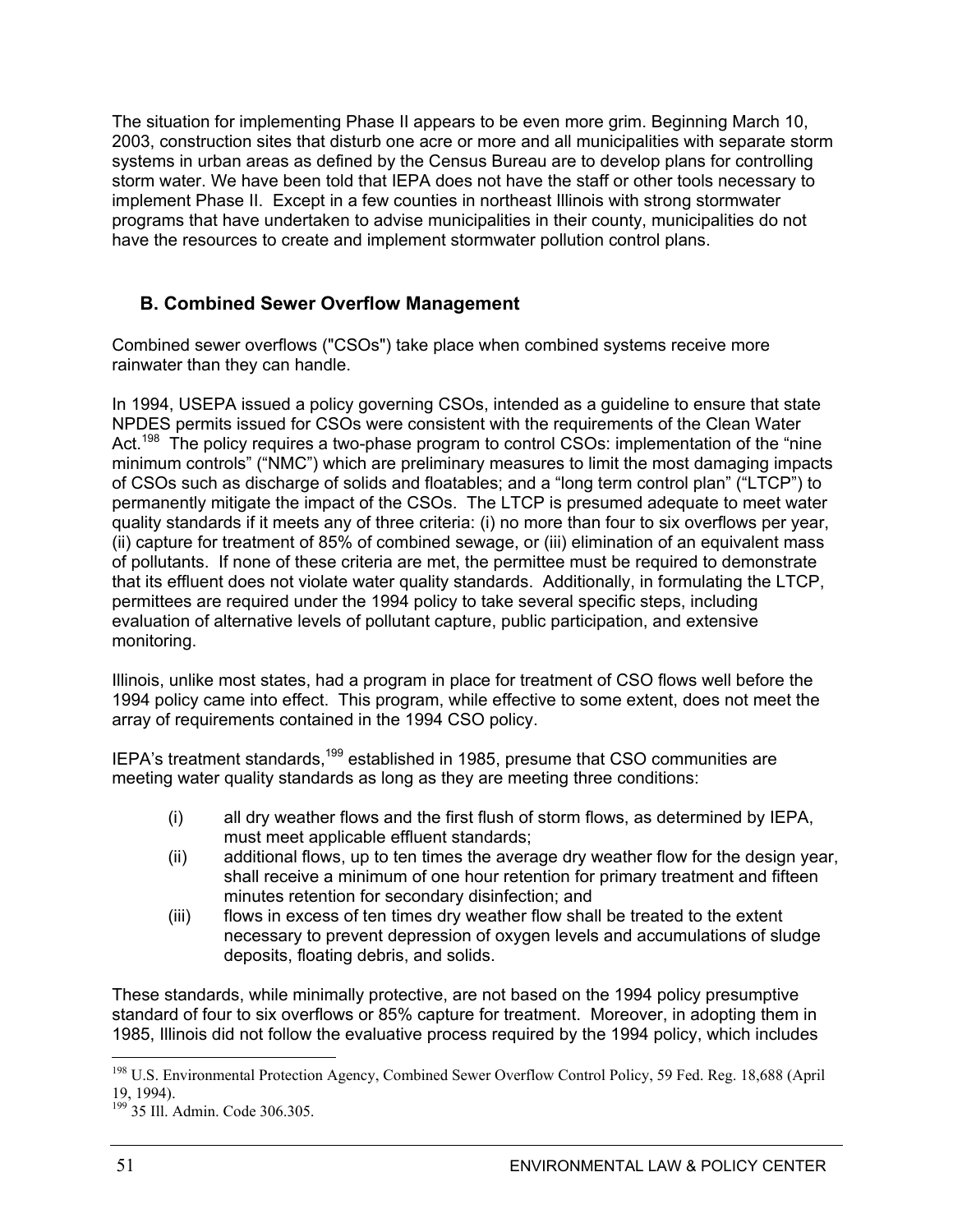The situation for implementing Phase II appears to be even more grim. Beginning March 10, 2003, construction sites that disturb one acre or more and all municipalities with separate storm systems in urban areas as defined by the Census Bureau are to develop plans for controlling storm water. We have been told that IEPA does not have the staff or other tools necessary to implement Phase II. Except in a few counties in northeast Illinois with strong stormwater programs that have undertaken to advise municipalities in their county, municipalities do not have the resources to create and implement stormwater pollution control plans.

### **B. Combined Sewer Overflow Management**

Combined sewer overflows ("CSOs") take place when combined systems receive more rainwater than they can handle.

In 1994, USEPA issued a policy governing CSOs, intended as a guideline to ensure that state NPDES permits issued for CSOs were consistent with the requirements of the Clean Water Act.<sup>198</sup> The policy requires a two-phase program to control CSOs: implementation of the "nine minimum controls" ("NMC") which are preliminary measures to limit the most damaging impacts of CSOs such as discharge of solids and floatables; and a "long term control plan" ("LTCP") to permanently mitigate the impact of the CSOs. The LTCP is presumed adequate to meet water quality standards if it meets any of three criteria: (i) no more than four to six overflows per year, (ii) capture for treatment of 85% of combined sewage, or (iii) elimination of an equivalent mass of pollutants. If none of these criteria are met, the permittee must be required to demonstrate that its effluent does not violate water quality standards. Additionally, in formulating the LTCP, permittees are required under the 1994 policy to take several specific steps, including evaluation of alternative levels of pollutant capture, public participation, and extensive monitoring.

Illinois, unlike most states, had a program in place for treatment of CSO flows well before the 1994 policy came into effect. This program, while effective to some extent, does not meet the array of requirements contained in the 1994 CSO policy.

IEPA's treatment standards,199 established in 1985, presume that CSO communities are meeting water quality standards as long as they are meeting three conditions:

- (i) all dry weather flows and the first flush of storm flows, as determined by IEPA, must meet applicable effluent standards;
- (ii) additional flows, up to ten times the average dry weather flow for the design year, shall receive a minimum of one hour retention for primary treatment and fifteen minutes retention for secondary disinfection; and
- (iii) flows in excess of ten times dry weather flow shall be treated to the extent necessary to prevent depression of oxygen levels and accumulations of sludge deposits, floating debris, and solids.

These standards, while minimally protective, are not based on the 1994 policy presumptive standard of four to six overflows or 85% capture for treatment. Moreover, in adopting them in 1985, Illinois did not follow the evaluative process required by the 1994 policy, which includes

<sup>&</sup>lt;sup>198</sup> U.S. Environmental Protection Agency, Combined Sewer Overflow Control Policy, 59 Fed. Reg. 18,688 (April 19, 1994).

<sup>199 35</sup> Ill. Admin. Code 306.305.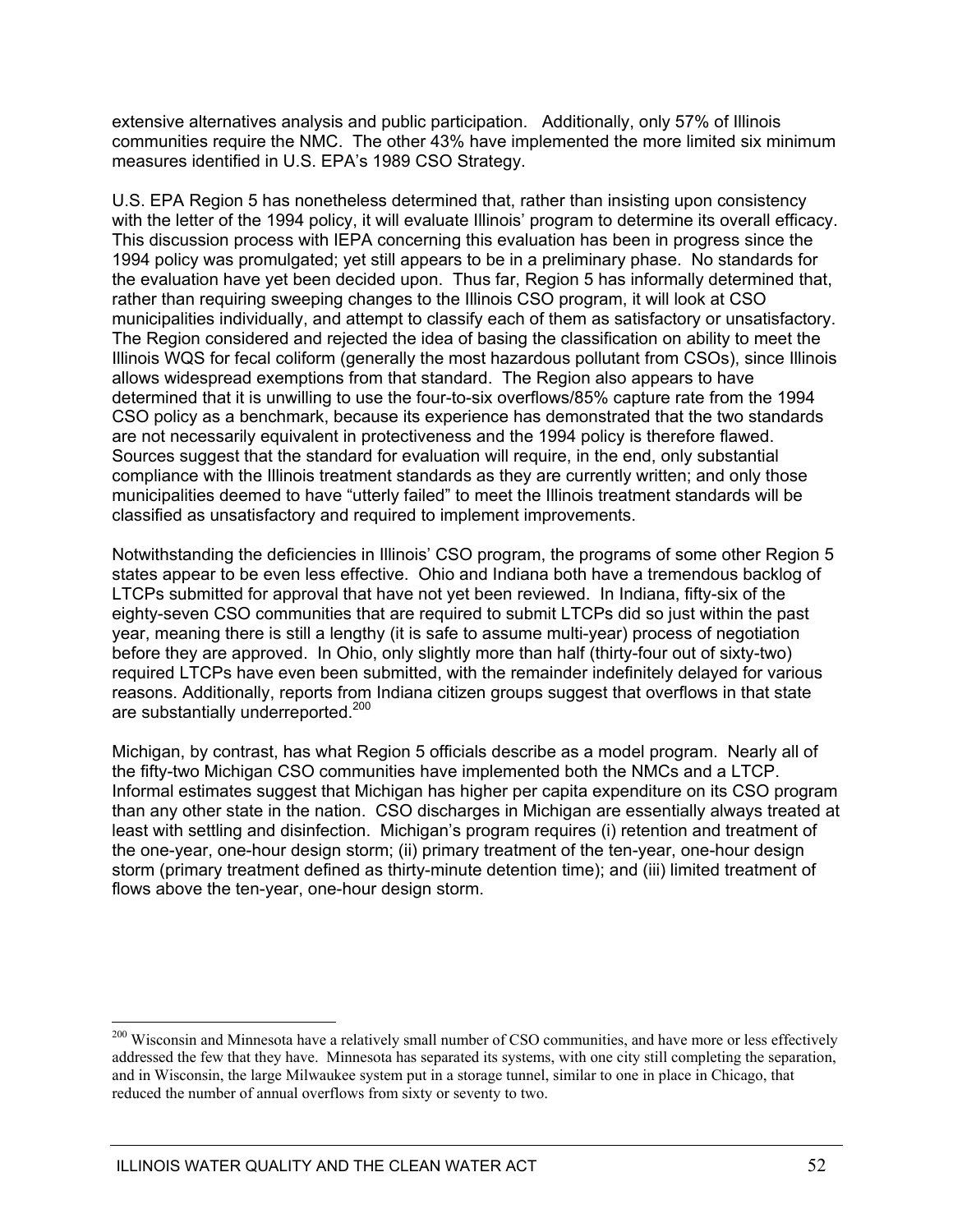extensive alternatives analysis and public participation. Additionally, only 57% of Illinois communities require the NMC. The other 43% have implemented the more limited six minimum measures identified in U.S. EPA's 1989 CSO Strategy.

U.S. EPA Region 5 has nonetheless determined that, rather than insisting upon consistency with the letter of the 1994 policy, it will evaluate Illinois' program to determine its overall efficacy. This discussion process with IEPA concerning this evaluation has been in progress since the 1994 policy was promulgated; yet still appears to be in a preliminary phase. No standards for the evaluation have yet been decided upon. Thus far, Region 5 has informally determined that, rather than requiring sweeping changes to the Illinois CSO program, it will look at CSO municipalities individually, and attempt to classify each of them as satisfactory or unsatisfactory. The Region considered and rejected the idea of basing the classification on ability to meet the Illinois WQS for fecal coliform (generally the most hazardous pollutant from CSOs), since Illinois allows widespread exemptions from that standard. The Region also appears to have determined that it is unwilling to use the four-to-six overflows/85% capture rate from the 1994 CSO policy as a benchmark, because its experience has demonstrated that the two standards are not necessarily equivalent in protectiveness and the 1994 policy is therefore flawed. Sources suggest that the standard for evaluation will require, in the end, only substantial compliance with the Illinois treatment standards as they are currently written; and only those municipalities deemed to have "utterly failed" to meet the Illinois treatment standards will be classified as unsatisfactory and required to implement improvements.

Notwithstanding the deficiencies in Illinois' CSO program, the programs of some other Region 5 states appear to be even less effective. Ohio and Indiana both have a tremendous backlog of LTCPs submitted for approval that have not yet been reviewed. In Indiana, fifty-six of the eighty-seven CSO communities that are required to submit LTCPs did so just within the past year, meaning there is still a lengthy (it is safe to assume multi-year) process of negotiation before they are approved. In Ohio, only slightly more than half (thirty-four out of sixty-two) required LTCPs have even been submitted, with the remainder indefinitely delayed for various reasons. Additionally, reports from Indiana citizen groups suggest that overflows in that state are substantially underreported.<sup>200</sup>

Michigan, by contrast, has what Region 5 officials describe as a model program. Nearly all of the fifty-two Michigan CSO communities have implemented both the NMCs and a LTCP. Informal estimates suggest that Michigan has higher per capita expenditure on its CSO program than any other state in the nation. CSO discharges in Michigan are essentially always treated at least with settling and disinfection. Michigan's program requires (i) retention and treatment of the one-year, one-hour design storm; (ii) primary treatment of the ten-year, one-hour design storm (primary treatment defined as thirty-minute detention time); and (iii) limited treatment of flows above the ten-year, one-hour design storm.

<sup>&</sup>lt;sup>200</sup> Wisconsin and Minnesota have a relatively small number of CSO communities, and have more or less effectively addressed the few that they have. Minnesota has separated its systems, with one city still completing the separation, and in Wisconsin, the large Milwaukee system put in a storage tunnel, similar to one in place in Chicago, that reduced the number of annual overflows from sixty or seventy to two.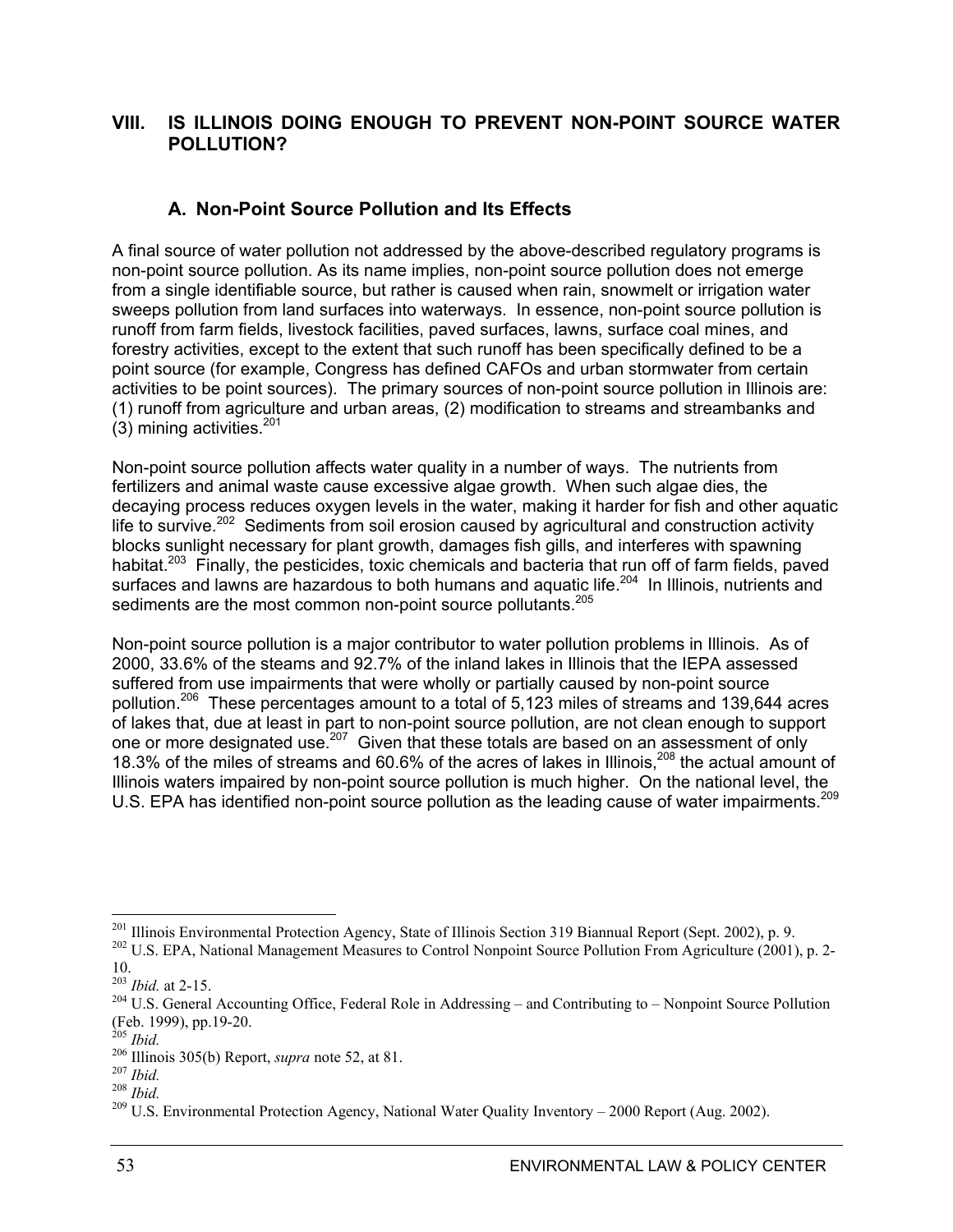### **VIII. IS ILLINOIS DOING ENOUGH TO PREVENT NON-POINT SOURCE WATER POLLUTION?**

### **A. Non-Point Source Pollution and Its Effects**

A final source of water pollution not addressed by the above-described regulatory programs is non-point source pollution. As its name implies, non-point source pollution does not emerge from a single identifiable source, but rather is caused when rain, snowmelt or irrigation water sweeps pollution from land surfaces into waterways. In essence, non-point source pollution is runoff from farm fields, livestock facilities, paved surfaces, lawns, surface coal mines, and forestry activities, except to the extent that such runoff has been specifically defined to be a point source (for example, Congress has defined CAFOs and urban stormwater from certain activities to be point sources). The primary sources of non-point source pollution in Illinois are: (1) runoff from agriculture and urban areas, (2) modification to streams and streambanks and  $(3)$  mining activities.<sup>201</sup>

Non-point source pollution affects water quality in a number of ways. The nutrients from fertilizers and animal waste cause excessive algae growth. When such algae dies, the decaying process reduces oxygen levels in the water, making it harder for fish and other aquatic life to survive.<sup>202</sup> Sediments from soil erosion caused by agricultural and construction activity blocks sunlight necessary for plant growth, damages fish gills, and interferes with spawning habitat.<sup>203</sup> Finally, the pesticides, toxic chemicals and bacteria that run off of farm fields, paved surfaces and lawns are hazardous to both humans and aquatic life.<sup>204</sup> In Illinois, nutrients and sediments are the most common non-point source pollutants.<sup>205</sup>

Non-point source pollution is a major contributor to water pollution problems in Illinois. As of 2000, 33.6% of the steams and 92.7% of the inland lakes in Illinois that the IEPA assessed suffered from use impairments that were wholly or partially caused by non-point source pollution.206 These percentages amount to a total of 5,123 miles of streams and 139,644 acres of lakes that, due at least in part to non-point source pollution, are not clean enough to support one or more designated use.<sup>207</sup> Given that these totals are based on an assessment of only 18.3% of the miles of streams and 60.6% of the acres of lakes in Illinois,<sup>208</sup> the actual amount of Illinois waters impaired by non-point source pollution is much higher. On the national level, the U.S. EPA has identified non-point source pollution as the leading cause of water impairments.<sup>209</sup>

<sup>&</sup>lt;sup>201</sup> Illinois Environmental Protection Agency, State of Illinois Section 319 Biannual Report (Sept. 2002), p. 9.  $2^{102}$  U.S. EPA, National Management Measures to Control Nonpoint Source Pollution From Agriculture (2001

 $203$  *Ibid.* at 2-15.

<sup>&</sup>lt;sup>204</sup> U.S. General Accounting Office, Federal Role in Addressing – and Contributing to – Nonpoint Source Pollution (Feb. 1999), pp.19-20.<br><sup>205</sup> *Ihid*.

<sup>&</sup>lt;sup>206</sup> Illinois 305(b) Report, *supra* note 52, at 81.<br><sup>207</sup> *Ibid.*<br><sup>208</sup> *U.S.* Environmental Protection Agency, National Water Quality Inventory – 2000 Report (Aug. 2002).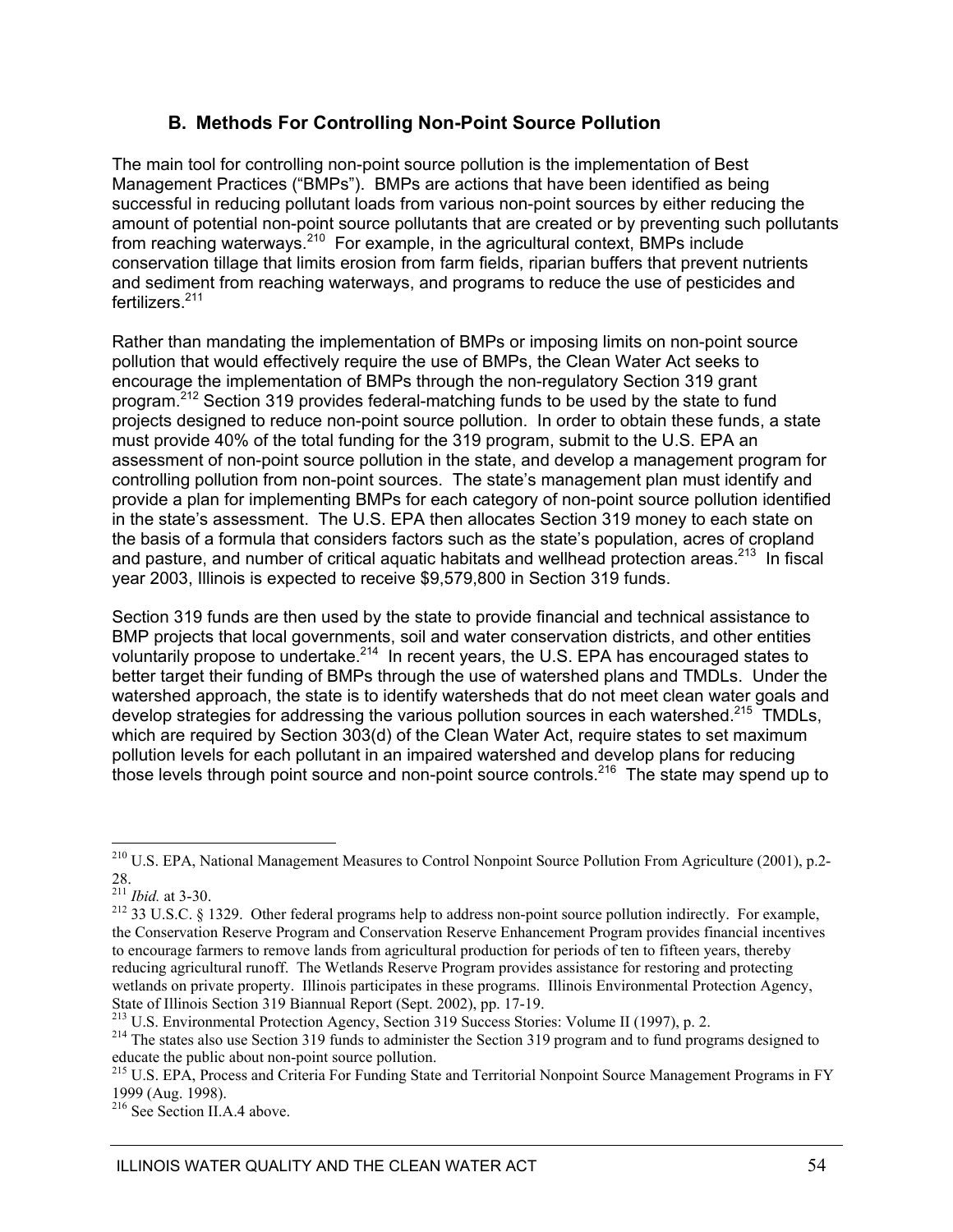### **B. Methods For Controlling Non-Point Source Pollution**

The main tool for controlling non-point source pollution is the implementation of Best Management Practices ("BMPs"). BMPs are actions that have been identified as being successful in reducing pollutant loads from various non-point sources by either reducing the amount of potential non-point source pollutants that are created or by preventing such pollutants from reaching waterways.<sup>210</sup> For example, in the agricultural context, BMPs include conservation tillage that limits erosion from farm fields, riparian buffers that prevent nutrients and sediment from reaching waterways, and programs to reduce the use of pesticides and fertilizers.<sup>211</sup>

Rather than mandating the implementation of BMPs or imposing limits on non-point source pollution that would effectively require the use of BMPs, the Clean Water Act seeks to encourage the implementation of BMPs through the non-regulatory Section 319 grant program.<sup>212</sup> Section 319 provides federal-matching funds to be used by the state to fund projects designed to reduce non-point source pollution. In order to obtain these funds, a state must provide 40% of the total funding for the 319 program, submit to the U.S. EPA an assessment of non-point source pollution in the state, and develop a management program for controlling pollution from non-point sources. The state's management plan must identify and provide a plan for implementing BMPs for each category of non-point source pollution identified in the state's assessment. The U.S. EPA then allocates Section 319 money to each state on the basis of a formula that considers factors such as the state's population, acres of cropland and pasture, and number of critical aquatic habitats and wellhead protection areas.<sup>213</sup> In fiscal year 2003, Illinois is expected to receive \$9,579,800 in Section 319 funds.

Section 319 funds are then used by the state to provide financial and technical assistance to BMP projects that local governments, soil and water conservation districts, and other entities voluntarily propose to undertake.<sup>214</sup> In recent years, the U.S. EPA has encouraged states to better target their funding of BMPs through the use of watershed plans and TMDLs. Under the watershed approach, the state is to identify watersheds that do not meet clean water goals and develop strategies for addressing the various pollution sources in each watershed.<sup>215</sup> TMDLs, which are required by Section 303(d) of the Clean Water Act, require states to set maximum pollution levels for each pollutant in an impaired watershed and develop plans for reducing those levels through point source and non-point source controls.<sup>216</sup> The state may spend up to

<sup>&</sup>lt;sup>210</sup> U.S. EPA, National Management Measures to Control Nonpoint Source Pollution From Agriculture (2001), p.2-28.<br><sup>211</sup> *Ibid.* at 3-30.

<sup>&</sup>lt;sup>212</sup> 33 U.S.C. § 1329. Other federal programs help to address non-point source pollution indirectly. For example, the Conservation Reserve Program and Conservation Reserve Enhancement Program provides financial incentives to encourage farmers to remove lands from agricultural production for periods of ten to fifteen years, thereby reducing agricultural runoff. The Wetlands Reserve Program provides assistance for restoring and protecting wetlands on private property. Illinois participates in these programs. Illinois Environmental Protection Agency, State of Illinois Section 319 Biannual Report (Sept. 2002), pp. 17-19.<br><sup>213</sup> U.S. Environmental Protection Agency, Section 319 Success Stories: Volume II (1997), p. 2.

<sup>&</sup>lt;sup>214</sup> The states also use Section 319 funds to administer the Section 319 program and to fund programs designed to educate the public about non-point source pollution.

<sup>&</sup>lt;sup>215</sup> U.S. EPA, Process and Criteria For Funding State and Territorial Nonpoint Source Management Programs in FY 1999 (Aug. 1998).

<sup>216</sup> See Section II.A.4 above.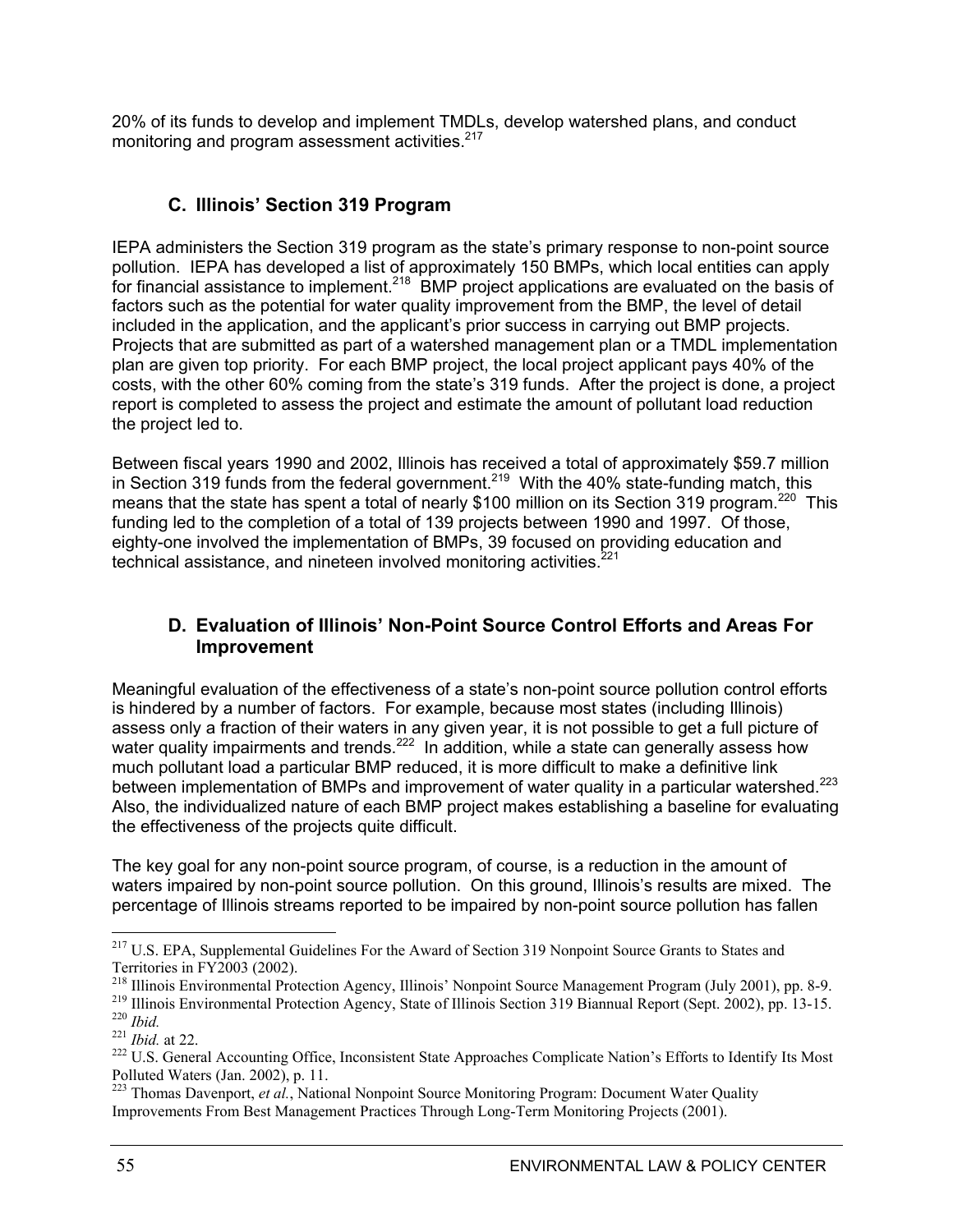20% of its funds to develop and implement TMDLs, develop watershed plans, and conduct monitoring and program assessment activities.<sup>217</sup>

### **C. Illinois' Section 319 Program**

IEPA administers the Section 319 program as the state's primary response to non-point source pollution. IEPA has developed a list of approximately 150 BMPs, which local entities can apply for financial assistance to implement.<sup>218</sup> BMP project applications are evaluated on the basis of factors such as the potential for water quality improvement from the BMP, the level of detail included in the application, and the applicant's prior success in carrying out BMP projects. Projects that are submitted as part of a watershed management plan or a TMDL implementation plan are given top priority. For each BMP project, the local project applicant pays 40% of the costs, with the other 60% coming from the state's 319 funds. After the project is done, a project report is completed to assess the project and estimate the amount of pollutant load reduction the project led to.

Between fiscal years 1990 and 2002, Illinois has received a total of approximately \$59.7 million in Section 319 funds from the federal government.<sup>219</sup> With the 40% state-funding match, this means that the state has spent a total of nearly \$100 million on its Section 319 program.<sup>220</sup> This funding led to the completion of a total of 139 projects between 1990 and 1997. Of those, eighty-one involved the implementation of BMPs, 39 focused on providing education and technical assistance, and nineteen involved monitoring activities. $221$ 

### **D. Evaluation of Illinois' Non-Point Source Control Efforts and Areas For Improvement**

Meaningful evaluation of the effectiveness of a state's non-point source pollution control efforts is hindered by a number of factors. For example, because most states (including Illinois) assess only a fraction of their waters in any given year, it is not possible to get a full picture of water quality impairments and trends.<sup>222</sup> In addition, while a state can generally assess how much pollutant load a particular BMP reduced, it is more difficult to make a definitive link between implementation of BMPs and improvement of water quality in a particular watershed.<sup>223</sup> Also, the individualized nature of each BMP project makes establishing a baseline for evaluating the effectiveness of the projects quite difficult.

The key goal for any non-point source program, of course, is a reduction in the amount of waters impaired by non-point source pollution. On this ground, Illinois's results are mixed. The percentage of Illinois streams reported to be impaired by non-point source pollution has fallen

<sup>&</sup>lt;sup>217</sup> U.S. EPA, Supplemental Guidelines For the Award of Section 319 Nonpoint Source Grants to States and

Territories in FY2003 (2002).<br><sup>218</sup> Illinois Environmental Protection Agency, Illinois' Nonpoint Source Management Program (July 2001), pp. 8-9.

<sup>&</sup>lt;sup>219</sup> Illinois Environmental Protection Agency, State of Illinois Section 319 Biannual Report (Sept. 2002), pp. 13-15.<br><sup>220</sup> *Ibid.*<br><sup>221</sup> *Ibid.* at 22.<br><sup>222</sup> U.S. General Accounting Office, Inconsistent State Approaches

Polluted Waters (Jan. 2002), p. 11.

<sup>&</sup>lt;sup>223</sup> Thomas Davenport, *et al.*, National Nonpoint Source Monitoring Program: Document Water Quality Improvements From Best Management Practices Through Long-Term Monitoring Projects (2001).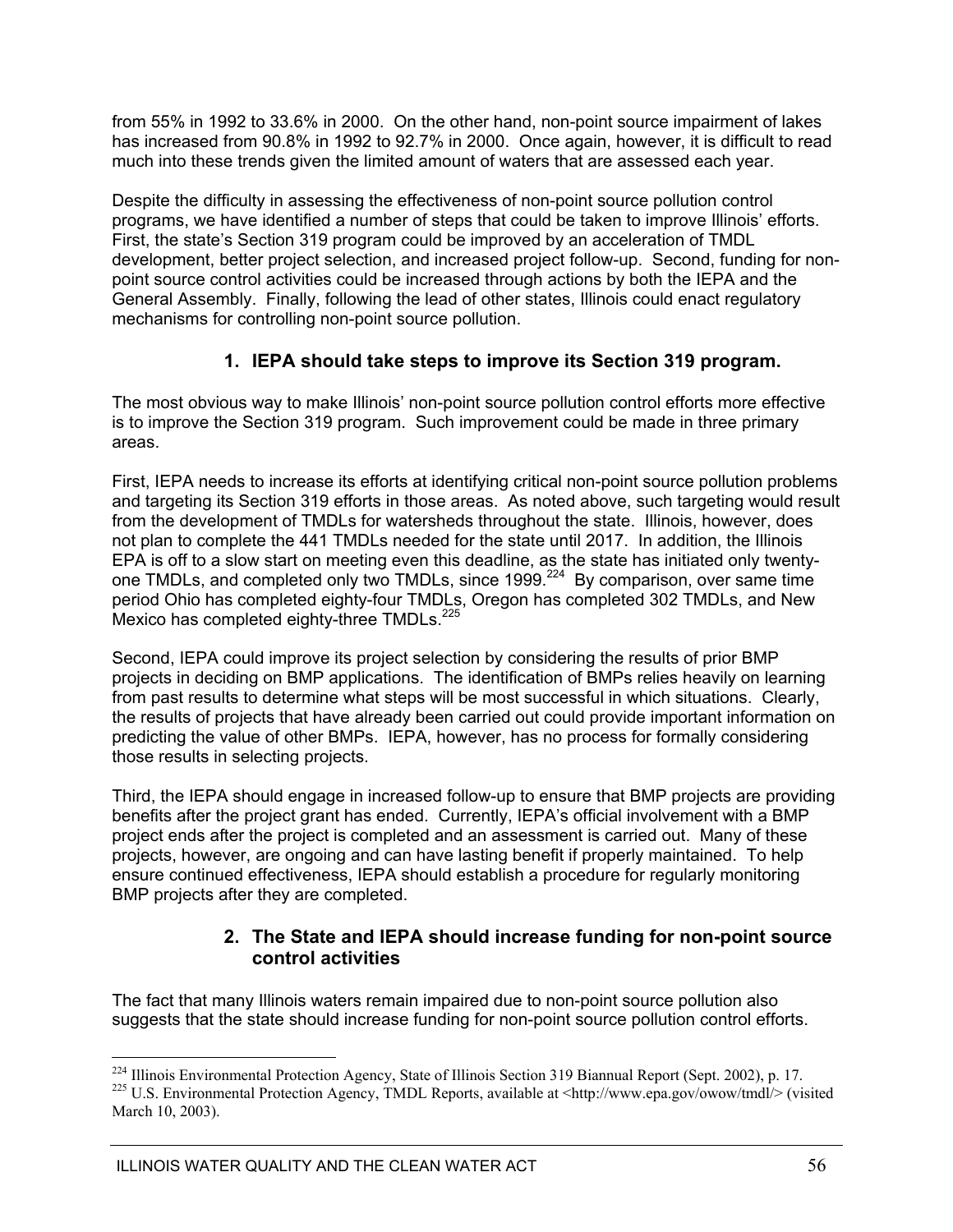from 55% in 1992 to 33.6% in 2000. On the other hand, non-point source impairment of lakes has increased from 90.8% in 1992 to 92.7% in 2000. Once again, however, it is difficult to read much into these trends given the limited amount of waters that are assessed each year.

Despite the difficulty in assessing the effectiveness of non-point source pollution control programs, we have identified a number of steps that could be taken to improve Illinois' efforts. First, the state's Section 319 program could be improved by an acceleration of TMDL development, better project selection, and increased project follow-up. Second, funding for nonpoint source control activities could be increased through actions by both the IEPA and the General Assembly. Finally, following the lead of other states, Illinois could enact regulatory mechanisms for controlling non-point source pollution.

### **1. IEPA should take steps to improve its Section 319 program.**

The most obvious way to make Illinois' non-point source pollution control efforts more effective is to improve the Section 319 program. Such improvement could be made in three primary areas.

First, IEPA needs to increase its efforts at identifying critical non-point source pollution problems and targeting its Section 319 efforts in those areas. As noted above, such targeting would result from the development of TMDLs for watersheds throughout the state. Illinois, however, does not plan to complete the 441 TMDLs needed for the state until 2017. In addition, the Illinois EPA is off to a slow start on meeting even this deadline, as the state has initiated only twentyone TMDLs, and completed only two TMDLs, since 1999.<sup>224</sup> By comparison, over same time period Ohio has completed eighty-four TMDLs, Oregon has completed 302 TMDLs, and New Mexico has completed eighty-three TMDLs.<sup>225</sup>

Second, IEPA could improve its project selection by considering the results of prior BMP projects in deciding on BMP applications. The identification of BMPs relies heavily on learning from past results to determine what steps will be most successful in which situations. Clearly, the results of projects that have already been carried out could provide important information on predicting the value of other BMPs. IEPA, however, has no process for formally considering those results in selecting projects.

Third, the IEPA should engage in increased follow-up to ensure that BMP projects are providing benefits after the project grant has ended. Currently, IEPA's official involvement with a BMP project ends after the project is completed and an assessment is carried out. Many of these projects, however, are ongoing and can have lasting benefit if properly maintained. To help ensure continued effectiveness, IEPA should establish a procedure for regularly monitoring BMP projects after they are completed.

### **2. The State and IEPA should increase funding for non-point source control activities**

The fact that many Illinois waters remain impaired due to non-point source pollution also suggests that the state should increase funding for non-point source pollution control efforts.

 $\overline{a}$ <sup>224</sup> Illinois Environmental Protection Agency, State of Illinois Section 319 Biannual Report (Sept. 2002), p. 17. <sup>225</sup> U.S. Environmental Protection Agency, TMDL Reports, available at  $\text{http://www.epa.gov/owow/tmdl}\text{/}\text{visited}$ 

March 10, 2003).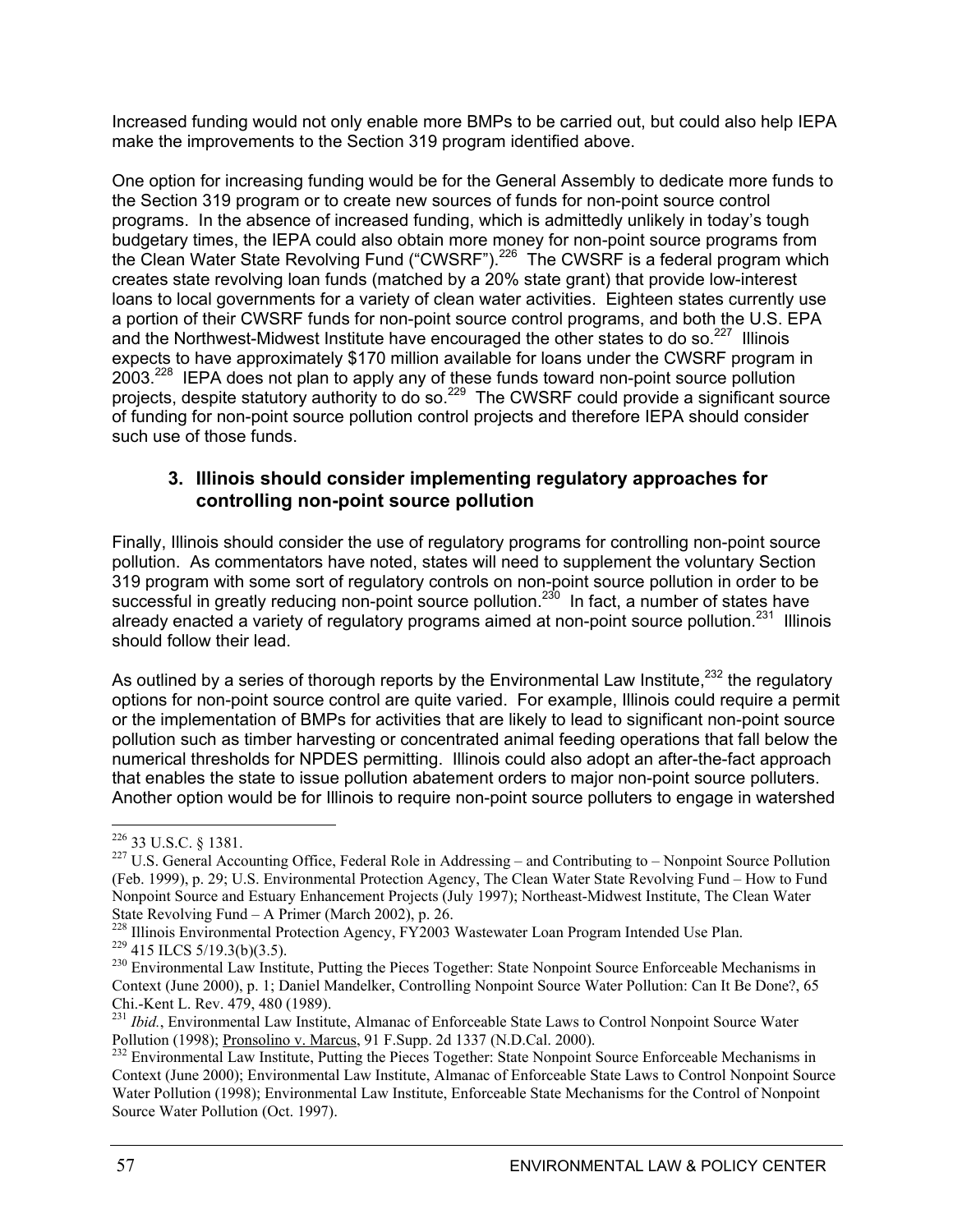Increased funding would not only enable more BMPs to be carried out, but could also help IEPA make the improvements to the Section 319 program identified above.

One option for increasing funding would be for the General Assembly to dedicate more funds to the Section 319 program or to create new sources of funds for non-point source control programs. In the absence of increased funding, which is admittedly unlikely in today's tough budgetary times, the IEPA could also obtain more money for non-point source programs from the Clean Water State Revolving Fund ("CWSRF").<sup>226</sup> The CWSRF is a federal program which creates state revolving loan funds (matched by a 20% state grant) that provide low-interest loans to local governments for a variety of clean water activities. Eighteen states currently use a portion of their CWSRF funds for non-point source control programs, and both the U.S. EPA and the Northwest-Midwest Institute have encouraged the other states to do so.<sup>227</sup> Illinois expects to have approximately \$170 million available for loans under the CWSRF program in 2003<sup>228</sup> IEPA does not plan to apply any of these funds toward non-point source pollution projects, despite statutory authority to do so.<sup>229</sup> The CWSRF could provide a significant source of funding for non-point source pollution control projects and therefore IEPA should consider such use of those funds.

### **3. Illinois should consider implementing regulatory approaches for controlling non-point source pollution**

Finally, Illinois should consider the use of regulatory programs for controlling non-point source pollution. As commentators have noted, states will need to supplement the voluntary Section 319 program with some sort of regulatory controls on non-point source pollution in order to be successful in greatly reducing non-point source pollution.<sup>230</sup> In fact, a number of states have already enacted a variety of regulatory programs aimed at non-point source pollution.<sup>231</sup> Illinois should follow their lead.

As outlined by a series of thorough reports by the Environmental Law Institute,  $232$  the regulatory options for non-point source control are quite varied. For example, Illinois could require a permit or the implementation of BMPs for activities that are likely to lead to significant non-point source pollution such as timber harvesting or concentrated animal feeding operations that fall below the numerical thresholds for NPDES permitting. Illinois could also adopt an after-the-fact approach that enables the state to issue pollution abatement orders to major non-point source polluters. Another option would be for Illinois to require non-point source polluters to engage in watershed

<sup>&</sup>lt;sup>226</sup> 33 U.S.C. § 1381.

<sup>&</sup>lt;sup>227</sup> U.S. General Accounting Office, Federal Role in Addressing – and Contributing to – Nonpoint Source Pollution (Feb. 1999), p. 29; U.S. Environmental Protection Agency, The Clean Water State Revolving Fund – How to Fund Nonpoint Source and Estuary Enhancement Projects (July 1997); Northeast-Midwest Institute, The Clean Water State Revolving Fund – A Primer (March 2002), p. 26.<br><sup>228</sup> Illinois Environmental Protection Agency, FY2003 Wastewater Loan Program Intended Use Plan.

 $\frac{229}{415}$  HLCS 5/19.3(b)(3.5).<br><sup>230</sup> Environmental Law Institute, Putting the Pieces Together: State Nonpoint Source Enforceable Mechanisms in

Context (June 2000), p. 1; Daniel Mandelker, Controlling Nonpoint Source Water Pollution: Can It Be Done?, 65 Chi.-Kent L. Rev. 479, 480 (1989).

<sup>&</sup>lt;sup>231</sup> *Ibid.*, Environmental Law Institute, Almanac of Enforceable State Laws to Control Nonpoint Source Water Pollution (1998); Pronsolino v. Marcus, 91 F. Supp. 2d 1337 (N.D.Cal. 2000).

<sup>&</sup>lt;sup>232</sup> Environmental Law Institute, Putting the Pieces Together: State Nonpoint Source Enforceable Mechanisms in Context (June 2000); Environmental Law Institute, Almanac of Enforceable State Laws to Control Nonpoint Source Water Pollution (1998); Environmental Law Institute, Enforceable State Mechanisms for the Control of Nonpoint Source Water Pollution (Oct. 1997).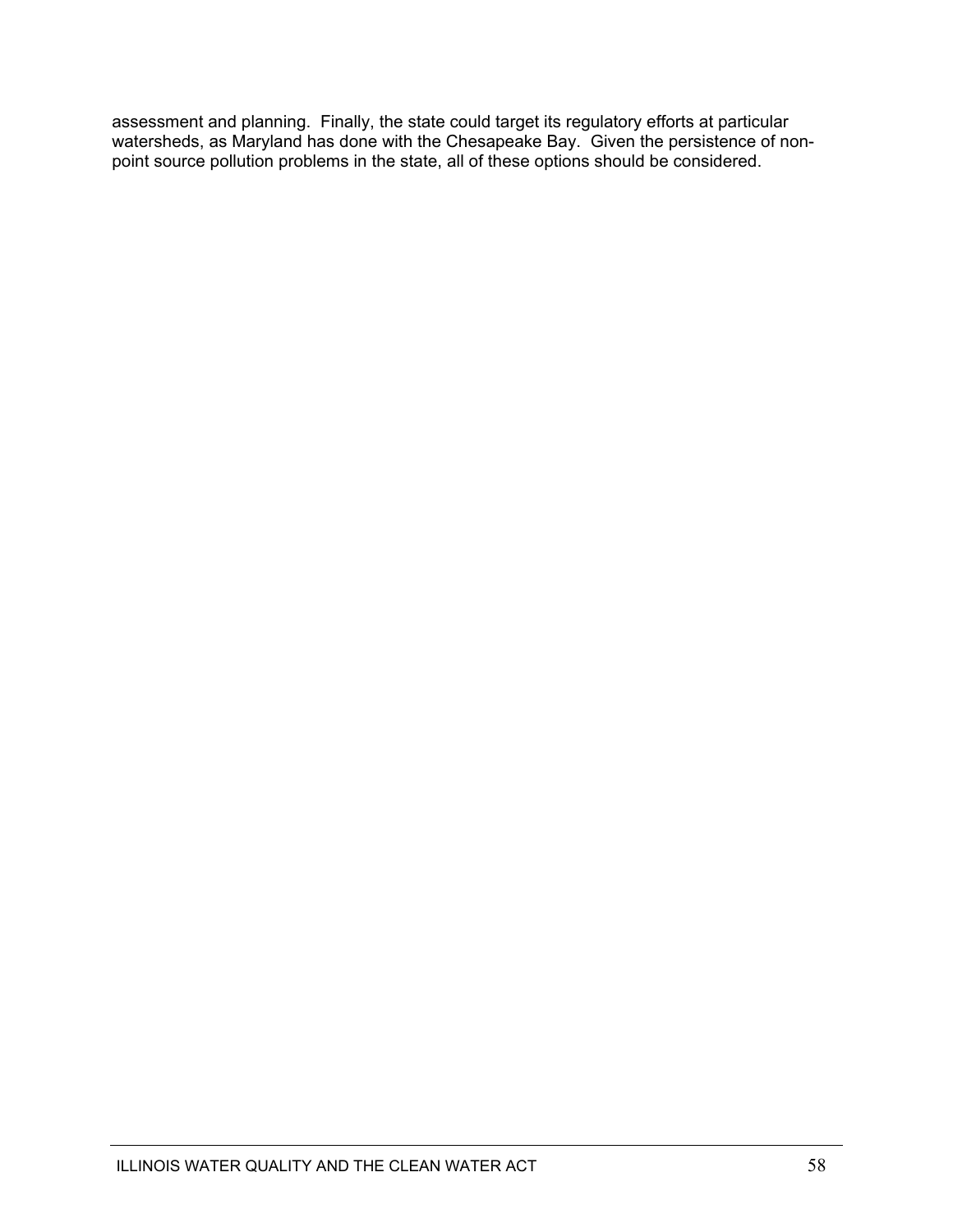assessment and planning. Finally, the state could target its regulatory efforts at particular watersheds, as Maryland has done with the Chesapeake Bay. Given the persistence of nonpoint source pollution problems in the state, all of these options should be considered.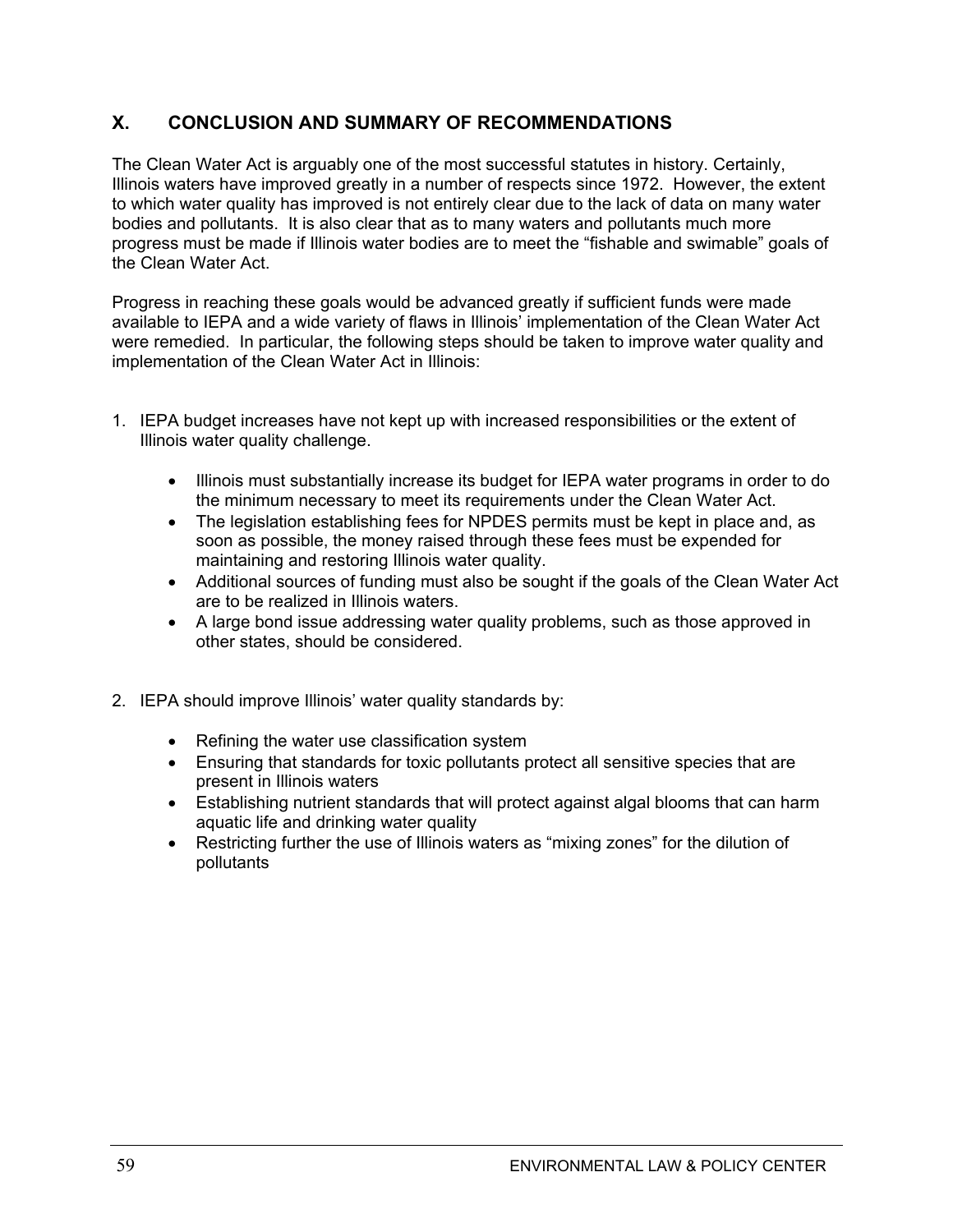### **X. CONCLUSION AND SUMMARY OF RECOMMENDATIONS**

The Clean Water Act is arguably one of the most successful statutes in history. Certainly, Illinois waters have improved greatly in a number of respects since 1972. However, the extent to which water quality has improved is not entirely clear due to the lack of data on many water bodies and pollutants. It is also clear that as to many waters and pollutants much more progress must be made if Illinois water bodies are to meet the "fishable and swimable" goals of the Clean Water Act.

Progress in reaching these goals would be advanced greatly if sufficient funds were made available to IEPA and a wide variety of flaws in Illinois' implementation of the Clean Water Act were remedied. In particular, the following steps should be taken to improve water quality and implementation of the Clean Water Act in Illinois:

- 1. IEPA budget increases have not kept up with increased responsibilities or the extent of Illinois water quality challenge.
	- Illinois must substantially increase its budget for IEPA water programs in order to do the minimum necessary to meet its requirements under the Clean Water Act.
	- The legislation establishing fees for NPDES permits must be kept in place and, as soon as possible, the money raised through these fees must be expended for maintaining and restoring Illinois water quality.
	- Additional sources of funding must also be sought if the goals of the Clean Water Act are to be realized in Illinois waters.
	- A large bond issue addressing water quality problems, such as those approved in other states, should be considered.
- 2. IEPA should improve Illinois' water quality standards by:
	- $\bullet$  Refining the water use classification system
	- Ensuring that standards for toxic pollutants protect all sensitive species that are present in Illinois waters
	- Establishing nutrient standards that will protect against algal blooms that can harm aquatic life and drinking water quality
	- Restricting further the use of Illinois waters as "mixing zones" for the dilution of pollutants